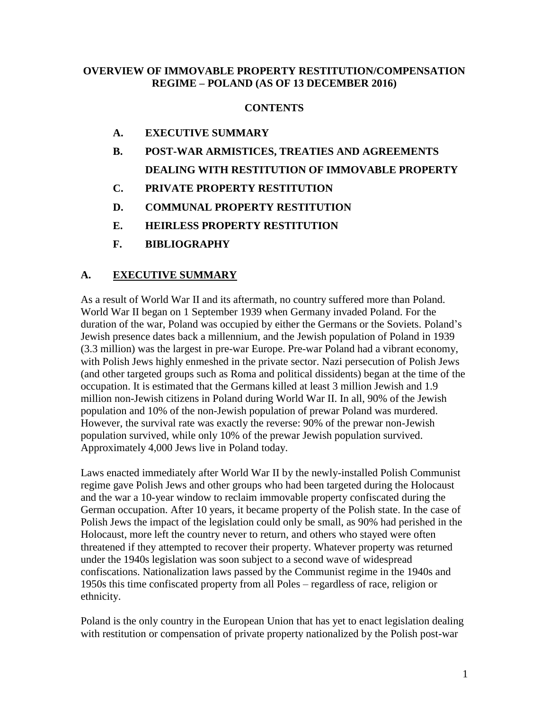## **OVERVIEW OF IMMOVABLE PROPERTY RESTITUTION/COMPENSATION REGIME – POLAND (AS OF 13 DECEMBER 2016)**

#### **CONTENTS**

- **A. EXECUTIVE SUMMARY**
- **B. POST-WAR ARMISTICES, TREATIES AND AGREEMENTS DEALING WITH RESTITUTION OF IMMOVABLE PROPERTY**
- **C. PRIVATE PROPERTY RESTITUTION**
- **D. COMMUNAL PROPERTY RESTITUTION**
- **E. HEIRLESS PROPERTY RESTITUTION**
- **F. BIBLIOGRAPHY**

#### **A. EXECUTIVE SUMMARY**

As a result of World War II and its aftermath, no country suffered more than Poland. World War II began on 1 September 1939 when Germany invaded Poland. For the duration of the war, Poland was occupied by either the Germans or the Soviets. Poland's Jewish presence dates back a millennium, and the Jewish population of Poland in 1939 (3.3 million) was the largest in pre-war Europe. Pre-war Poland had a vibrant economy, with Polish Jews highly enmeshed in the private sector. Nazi persecution of Polish Jews (and other targeted groups such as Roma and political dissidents) began at the time of the occupation. It is estimated that the Germans killed at least 3 million Jewish and 1.9 million non-Jewish citizens in Poland during World War II. In all, 90% of the Jewish population and 10% of the non-Jewish population of prewar Poland was murdered. However, the survival rate was exactly the reverse: 90% of the prewar non-Jewish population survived, while only 10% of the prewar Jewish population survived. Approximately 4,000 Jews live in Poland today.

Laws enacted immediately after World War II by the newly-installed Polish Communist regime gave Polish Jews and other groups who had been targeted during the Holocaust and the war a 10-year window to reclaim immovable property confiscated during the German occupation. After 10 years, it became property of the Polish state. In the case of Polish Jews the impact of the legislation could only be small, as 90% had perished in the Holocaust, more left the country never to return, and others who stayed were often threatened if they attempted to recover their property. Whatever property was returned under the 1940s legislation was soon subject to a second wave of widespread confiscations. Nationalization laws passed by the Communist regime in the 1940s and 1950s this time confiscated property from all Poles – regardless of race, religion or ethnicity.

Poland is the only country in the European Union that has yet to enact legislation dealing with restitution or compensation of private property nationalized by the Polish post-war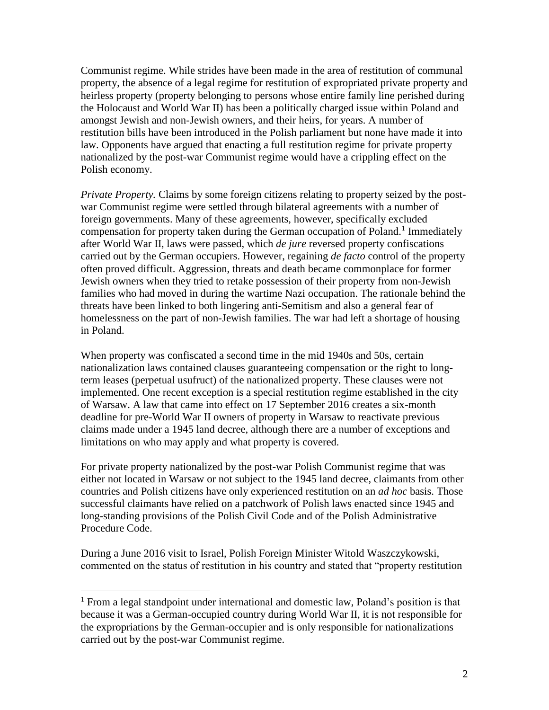Communist regime. While strides have been made in the area of restitution of communal property, the absence of a legal regime for restitution of expropriated private property and heirless property (property belonging to persons whose entire family line perished during the Holocaust and World War II) has been a politically charged issue within Poland and amongst Jewish and non-Jewish owners, and their heirs, for years. A number of restitution bills have been introduced in the Polish parliament but none have made it into law. Opponents have argued that enacting a full restitution regime for private property nationalized by the post-war Communist regime would have a crippling effect on the Polish economy.

*Private Property.* Claims by some foreign citizens relating to property seized by the postwar Communist regime were settled through bilateral agreements with a number of foreign governments. Many of these agreements, however, specifically excluded compensation for property taken during the German occupation of Poland.<sup>1</sup> Immediately after World War II, laws were passed, which *de jure* reversed property confiscations carried out by the German occupiers. However, regaining *de facto* control of the property often proved difficult. Aggression, threats and death became commonplace for former Jewish owners when they tried to retake possession of their property from non-Jewish families who had moved in during the wartime Nazi occupation. The rationale behind the threats have been linked to both lingering anti-Semitism and also a general fear of homelessness on the part of non-Jewish families. The war had left a shortage of housing in Poland.

When property was confiscated a second time in the mid 1940s and 50s, certain nationalization laws contained clauses guaranteeing compensation or the right to longterm leases (perpetual usufruct) of the nationalized property. These clauses were not implemented. One recent exception is a special restitution regime established in the city of Warsaw. A law that came into effect on 17 September 2016 creates a six-month deadline for pre-World War II owners of property in Warsaw to reactivate previous claims made under a 1945 land decree, although there are a number of exceptions and limitations on who may apply and what property is covered.

For private property nationalized by the post-war Polish Communist regime that was either not located in Warsaw or not subject to the 1945 land decree, claimants from other countries and Polish citizens have only experienced restitution on an *ad hoc* basis. Those successful claimants have relied on a patchwork of Polish laws enacted since 1945 and long-standing provisions of the Polish Civil Code and of the Polish Administrative Procedure Code.

During a June 2016 visit to Israel, Polish Foreign Minister Witold Waszczykowski, commented on the status of restitution in his country and stated that "property restitution

 $\overline{a}$ 

<sup>&</sup>lt;sup>1</sup> From a legal standpoint under international and domestic law, Poland's position is that because it was a German-occupied country during World War II, it is not responsible for the expropriations by the German-occupier and is only responsible for nationalizations carried out by the post-war Communist regime.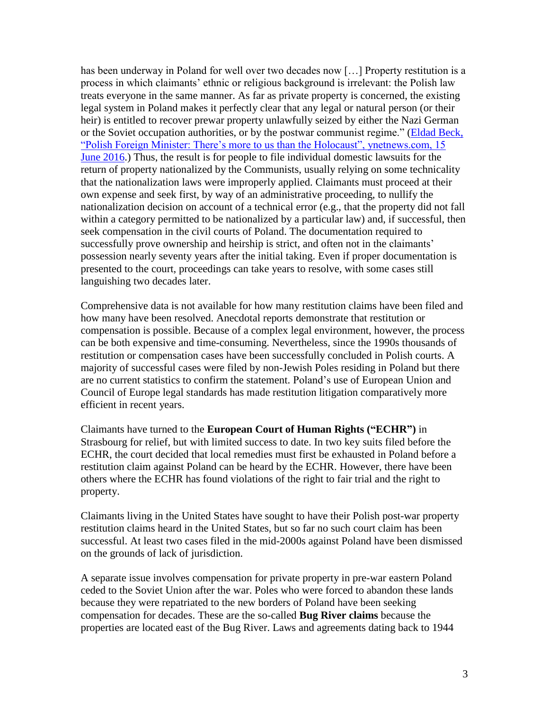has been underway in Poland for well over two decades now […] Property restitution is a process in which claimants' ethnic or religious background is irrelevant: the Polish law treats everyone in the same manner. As far as private property is concerned, the existing legal system in Poland makes it perfectly clear that any legal or natural person (or their heir) is entitled to recover prewar property unlawfully seized by either the Nazi German or the Soviet occupation authorities, or by the postwar communist regime." [\(Eldad Beck,](http://www.ynetnews.com/articles/0,7340,L-4816365,00.html)  ["Polish Foreign Minister: There's more to us than the Holocaust", ynetnews.com, 15](http://www.ynetnews.com/articles/0,7340,L-4816365,00.html)  [June 2016.](http://www.ynetnews.com/articles/0,7340,L-4816365,00.html)) Thus, the result is for people to file individual domestic lawsuits for the return of property nationalized by the Communists, usually relying on some technicality that the nationalization laws were improperly applied. Claimants must proceed at their own expense and seek first, by way of an administrative proceeding, to nullify the nationalization decision on account of a technical error (e.g., that the property did not fall within a category permitted to be nationalized by a particular law) and, if successful, then seek compensation in the civil courts of Poland. The documentation required to successfully prove ownership and heirship is strict, and often not in the claimants' possession nearly seventy years after the initial taking. Even if proper documentation is presented to the court, proceedings can take years to resolve, with some cases still languishing two decades later.

Comprehensive data is not available for how many restitution claims have been filed and how many have been resolved. Anecdotal reports demonstrate that restitution or compensation is possible. Because of a complex legal environment, however, the process can be both expensive and time-consuming. Nevertheless, since the 1990s thousands of restitution or compensation cases have been successfully concluded in Polish courts. A majority of successful cases were filed by non-Jewish Poles residing in Poland but there are no current statistics to confirm the statement. Poland's use of European Union and Council of Europe legal standards has made restitution litigation comparatively more efficient in recent years.

Claimants have turned to the **European Court of Human Rights ("ECHR")** in Strasbourg for relief, but with limited success to date. In two key suits filed before the ECHR, the court decided that local remedies must first be exhausted in Poland before a restitution claim against Poland can be heard by the ECHR. However, there have been others where the ECHR has found violations of the right to fair trial and the right to property.

Claimants living in the United States have sought to have their Polish post-war property restitution claims heard in the United States, but so far no such court claim has been successful. At least two cases filed in the mid-2000s against Poland have been dismissed on the grounds of lack of jurisdiction.

A separate issue involves compensation for private property in pre-war eastern Poland ceded to the Soviet Union after the war. Poles who were forced to abandon these lands because they were repatriated to the new borders of Poland have been seeking compensation for decades. These are the so-called **Bug River claims** because the properties are located east of the Bug River. Laws and agreements dating back to 1944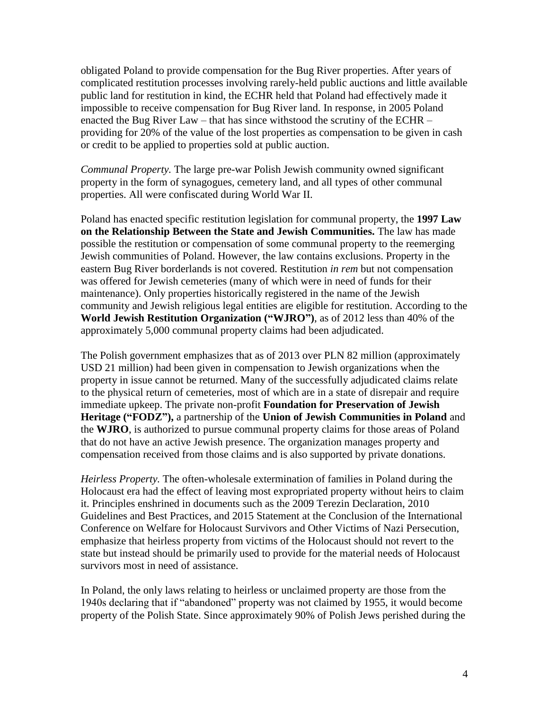obligated Poland to provide compensation for the Bug River properties. After years of complicated restitution processes involving rarely-held public auctions and little available public land for restitution in kind, the ECHR held that Poland had effectively made it impossible to receive compensation for Bug River land. In response, in 2005 Poland enacted the Bug River Law – that has since withstood the scrutiny of the ECHR – providing for 20% of the value of the lost properties as compensation to be given in cash or credit to be applied to properties sold at public auction.

*Communal Property.* The large pre-war Polish Jewish community owned significant property in the form of synagogues, cemetery land, and all types of other communal properties. All were confiscated during World War II.

Poland has enacted specific restitution legislation for communal property, the **1997 Law on the Relationship Between the State and Jewish Communities.** The law has made possible the restitution or compensation of some communal property to the reemerging Jewish communities of Poland. However, the law contains exclusions. Property in the eastern Bug River borderlands is not covered. Restitution *in rem* but not compensation was offered for Jewish cemeteries (many of which were in need of funds for their maintenance). Only properties historically registered in the name of the Jewish community and Jewish religious legal entities are eligible for restitution. According to the **World Jewish Restitution Organization ("WJRO")**, as of 2012 less than 40% of the approximately 5,000 communal property claims had been adjudicated.

The Polish government emphasizes that as of 2013 over PLN 82 million (approximately USD 21 million) had been given in compensation to Jewish organizations when the property in issue cannot be returned. Many of the successfully adjudicated claims relate to the physical return of cemeteries, most of which are in a state of disrepair and require immediate upkeep. The private non-profit **Foundation for Preservation of Jewish Heritage ("FODZ"),** a partnership of the **Union of Jewish Communities in Poland** and the **WJRO**, is authorized to pursue communal property claims for those areas of Poland that do not have an active Jewish presence. The organization manages property and compensation received from those claims and is also supported by private donations.

*Heirless Property.* The often-wholesale extermination of families in Poland during the Holocaust era had the effect of leaving most expropriated property without heirs to claim it. Principles enshrined in documents such as the 2009 Terezin Declaration, 2010 Guidelines and Best Practices, and 2015 Statement at the Conclusion of the International Conference on Welfare for Holocaust Survivors and Other Victims of Nazi Persecution, emphasize that heirless property from victims of the Holocaust should not revert to the state but instead should be primarily used to provide for the material needs of Holocaust survivors most in need of assistance.

In Poland, the only laws relating to heirless or unclaimed property are those from the 1940s declaring that if "abandoned" property was not claimed by 1955, it would become property of the Polish State. Since approximately 90% of Polish Jews perished during the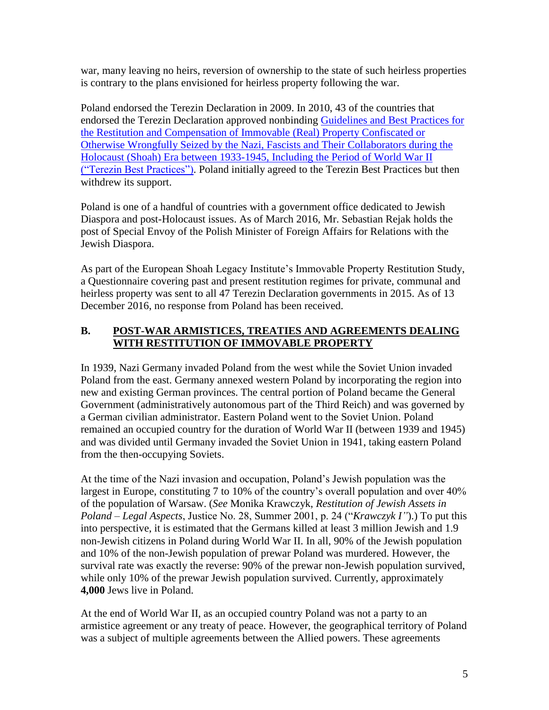war, many leaving no heirs, reversion of ownership to the state of such heirless properties is contrary to the plans envisioned for heirless property following the war.

Poland endorsed the Terezin Declaration in 2009. In 2010, 43 of the countries that endorsed the Terezin Declaration approved nonbinding [Guidelines and Best Practices for](http://shoahlegacy.org/wp-content/uploads/2014/06/guidelines_and_best_practices_for_the_restitution_and_compensation_of_immovable_property_09062010.pdf)  [the Restitution and Compensation of Immovable \(Real\) Property Confiscated or](http://shoahlegacy.org/wp-content/uploads/2014/06/guidelines_and_best_practices_for_the_restitution_and_compensation_of_immovable_property_09062010.pdf)  [Otherwise Wrongfully Seized by the Nazi, Fascists and Their Collaborators during the](http://shoahlegacy.org/wp-content/uploads/2014/06/guidelines_and_best_practices_for_the_restitution_and_compensation_of_immovable_property_09062010.pdf)  [Holocaust \(Shoah\) Era between 1933-1945, Including the Period of World War II](http://shoahlegacy.org/wp-content/uploads/2014/06/guidelines_and_best_practices_for_the_restitution_and_compensation_of_immovable_property_09062010.pdf)  [\("Terezin Best Practices"\).](http://shoahlegacy.org/wp-content/uploads/2014/06/guidelines_and_best_practices_for_the_restitution_and_compensation_of_immovable_property_09062010.pdf) Poland initially agreed to the Terezin Best Practices but then withdrew its support.

Poland is one of a handful of countries with a government office dedicated to Jewish Diaspora and post-Holocaust issues. As of March 2016, Mr. Sebastian Rejak holds the post of Special Envoy of the Polish Minister of Foreign Affairs for Relations with the Jewish Diaspora.

As part of the European Shoah Legacy Institute's Immovable Property Restitution Study, a Questionnaire covering past and present restitution regimes for private, communal and heirless property was sent to all 47 Terezin Declaration governments in 2015. As of 13 December 2016, no response from Poland has been received.

## **B. POST-WAR ARMISTICES, TREATIES AND AGREEMENTS DEALING WITH RESTITUTION OF IMMOVABLE PROPERTY**

In 1939, Nazi Germany invaded Poland from the west while the Soviet Union invaded Poland from the east. Germany annexed western Poland by incorporating the region into new and existing German provinces. The central portion of Poland became the General Government (administratively autonomous part of the Third Reich) and was governed by a German civilian administrator. Eastern Poland went to the Soviet Union. Poland remained an occupied country for the duration of World War II (between 1939 and 1945) and was divided until Germany invaded the Soviet Union in 1941, taking eastern Poland from the then-occupying Soviets.

At the time of the Nazi invasion and occupation, Poland's Jewish population was the largest in Europe, constituting 7 to 10% of the country's overall population and over 40% of the population of Warsaw. (*See* Monika Krawczyk, *Restitution of Jewish Assets in Poland – Legal Aspects*, Justice No. 28, Summer 2001, p. 24 ("*Krawczyk I"*).) To put this into perspective, it is estimated that the Germans killed at least 3 million Jewish and 1.9 non-Jewish citizens in Poland during World War II. In all, 90% of the Jewish population and 10% of the non-Jewish population of prewar Poland was murdered. However, the survival rate was exactly the reverse: 90% of the prewar non-Jewish population survived, while only 10% of the prewar Jewish population survived. Currently, approximately **4,000** Jews live in Poland.

At the end of World War II, as an occupied country Poland was not a party to an armistice agreement or any treaty of peace. However, the geographical territory of Poland was a subject of multiple agreements between the Allied powers. These agreements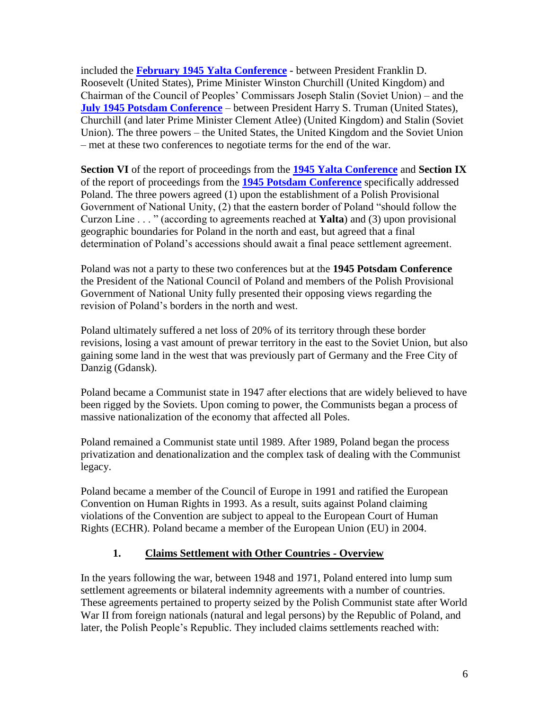included the **[February 1945 Yalta Conference](http://www.loc.gov/law/help/us-treaties/bevans/m-ust000003-1005.pdf) -** between President Franklin D. Roosevelt (United States), Prime Minister Winston Churchill (United Kingdom) and Chairman of the Council of Peoples' Commissars Joseph Stalin (Soviet Union) – and the **[July 1945 Potsdam Conference](http://www.loc.gov/law/help/us-treaties/bevans/m-ust000003-1224.pdf)** – between President Harry S. Truman (United States), Churchill (and later Prime Minister Clement Atlee) (United Kingdom) and Stalin (Soviet Union). The three powers – the United States, the United Kingdom and the Soviet Union – met at these two conferences to negotiate terms for the end of the war.

**Section VI** of the report of proceedings from the **1945 [Yalta Conference](http://avalon.law.yale.edu/wwii/yalta.asp)** and **Section IX**  of the report of proceedings from the **[1945 Potsdam Conference](http://avalon.law.yale.edu/20th_century/decade17.asp)** specifically addressed Poland. The three powers agreed (1) upon the establishment of a Polish Provisional Government of National Unity, (2) that the eastern border of Poland "should follow the Curzon Line . . . " (according to agreements reached at **Yalta**) and (3) upon provisional geographic boundaries for Poland in the north and east, but agreed that a final determination of Poland's accessions should await a final peace settlement agreement.

Poland was not a party to these two conferences but at the **1945 Potsdam Conference** the President of the National Council of Poland and members of the Polish Provisional Government of National Unity fully presented their opposing views regarding the revision of Poland's borders in the north and west.

Poland ultimately suffered a net loss of 20% of its territory through these border revisions, losing a vast amount of prewar territory in the east to the Soviet Union, but also gaining some land in the west that was previously part of Germany and the Free City of Danzig (Gdansk).

Poland became a Communist state in 1947 after elections that are widely believed to have been rigged by the Soviets. Upon coming to power, the Communists began a process of massive nationalization of the economy that affected all Poles.

Poland remained a Communist state until 1989. After 1989, Poland began the process privatization and denationalization and the complex task of dealing with the Communist legacy.

Poland became a member of the Council of Europe in 1991 and ratified the European Convention on Human Rights in 1993. As a result, suits against Poland claiming violations of the Convention are subject to appeal to the European Court of Human Rights (ECHR). Poland became a member of the European Union (EU) in 2004.

## **1. Claims Settlement with Other Countries - Overview**

In the years following the war, between 1948 and 1971, Poland entered into lump sum settlement agreements or bilateral indemnity agreements with a number of countries. These agreements pertained to property seized by the Polish Communist state after World War II from foreign nationals (natural and legal persons) by the Republic of Poland, and later, the Polish People's Republic. They included claims settlements reached with: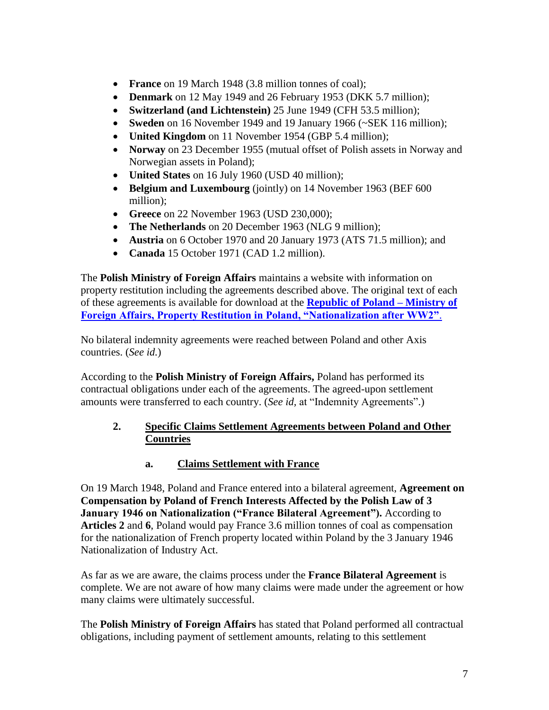- **France** on 19 March 1948 (3.8 million tonnes of coal);
- **Denmark** on 12 May 1949 and 26 February 1953 (DKK 5.7 million);
- **Switzerland (and Lichtenstein)** 25 June 1949 (CFH 53.5 million);
- **Sweden** on 16 November 1949 and 19 January 1966 (~SEK 116 million);
- **United Kingdom** on 11 November 1954 (GBP 5.4 million);
- **Norway** on 23 December 1955 (mutual offset of Polish assets in Norway and Norwegian assets in Poland);
- **United States** on 16 July 1960 (USD 40 million);
- **Belgium and Luxembourg** (jointly) on 14 November 1963 (BEF 600 million);
- **Greece** on 22 November 1963 (USD 230,000);
- **The Netherlands** on 20 December 1963 (NLG 9 million);
- **Austria** on 6 October 1970 and 20 January 1973 (ATS 71.5 million); and
- **Canada** 15 October 1971 (CAD 1.2 million).

The **Polish Ministry of Foreign Affairs** maintains a website with information on property restitution including the agreements described above. The original text of each of these agreements is available for download at the **[Republic of Poland –](http://propertyrestitution.pl/Nationalization,after,WW2,18.html) Ministry of [Foreign Affairs, Property Restitution in Poland, "Nationalization after WW2"](http://propertyrestitution.pl/Nationalization,after,WW2,18.html)**.

No bilateral indemnity agreements were reached between Poland and other Axis countries. (*See id.*)

According to the **Polish Ministry of Foreign Affairs,** Poland has performed its contractual obligations under each of the agreements. The agreed-upon settlement amounts were transferred to each country. (*See id,* at "Indemnity Agreements".)

## **2. Specific Claims Settlement Agreements between Poland and Other Countries**

# **a. Claims Settlement with France**

On 19 March 1948, Poland and France entered into a bilateral agreement, **Agreement on Compensation by Poland of French Interests Affected by the Polish Law of 3 January 1946 on Nationalization ("France Bilateral Agreement").** According to **Articles 2** and **6**, Poland would pay France 3.6 million tonnes of coal as compensation for the nationalization of French property located within Poland by the 3 January 1946 Nationalization of Industry Act.

As far as we are aware, the claims process under the **France Bilateral Agreement** is complete. We are not aware of how many claims were made under the agreement or how many claims were ultimately successful.

The **Polish Ministry of Foreign Affairs** has stated that Poland performed all contractual obligations, including payment of settlement amounts, relating to this settlement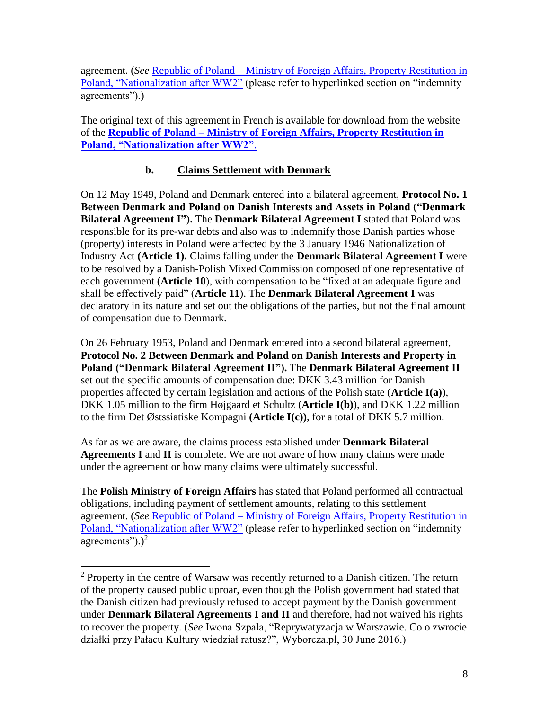agreement. (*See* Republic of Poland – [Ministry of Foreign Affairs, Property Restitution in](http://propertyrestitution.pl/Nationalization,after,WW2,18.html)  [Poland, "Nationalization after WW2"](http://propertyrestitution.pl/Nationalization,after,WW2,18.html) (please refer to hyperlinked section on "indemnity agreements").)

The original text of this agreement in French is available for download from the website of the **Republic of Poland – [Ministry of Foreign Affairs, Property Restitution in](http://propertyrestitution.pl/Nationalization,after,WW2,18.html)  [Poland, "Nationalization after WW2"](http://propertyrestitution.pl/Nationalization,after,WW2,18.html)**.

# **b. Claims Settlement with Denmark**

On 12 May 1949, Poland and Denmark entered into a bilateral agreement, **Protocol No. 1 Between Denmark and Poland on Danish Interests and Assets in Poland ("Denmark Bilateral Agreement I").** The **Denmark Bilateral Agreement I** stated that Poland was responsible for its pre-war debts and also was to indemnify those Danish parties whose (property) interests in Poland were affected by the 3 January 1946 Nationalization of Industry Act **(Article 1).** Claims falling under the **Denmark Bilateral Agreement I** were to be resolved by a Danish-Polish Mixed Commission composed of one representative of each government **(Article 10**), with compensation to be "fixed at an adequate figure and shall be effectively paid" (**Article 11**). The **Denmark Bilateral Agreement I** was declaratory in its nature and set out the obligations of the parties, but not the final amount of compensation due to Denmark.

On 26 February 1953, Poland and Denmark entered into a second bilateral agreement, **Protocol No. 2 Between Denmark and Poland on Danish Interests and Property in Poland ("Denmark Bilateral Agreement II").** The **Denmark Bilateral Agreement II** set out the specific amounts of compensation due: DKK 3.43 million for Danish properties affected by certain legislation and actions of the Polish state (**Article I(a)**), DKK 1.05 million to the firm Højgaard et Schultz (**Article I(b)**), and DKK 1.22 million to the firm Det Østssiatiske Kompagni **(Article I(c))**, for a total of DKK 5.7 million.

As far as we are aware, the claims process established under **Denmark Bilateral Agreements I** and **II** is complete. We are not aware of how many claims were made under the agreement or how many claims were ultimately successful.

The **Polish Ministry of Foreign Affairs** has stated that Poland performed all contractual obligations, including payment of settlement amounts, relating to this settlement agreement. (*See* Republic of Poland – [Ministry of Foreign Affairs, Property Restitution in](http://propertyrestitution.pl/Nationalization,after,WW2,18.html)  [Poland, "Nationalization after WW2"](http://propertyrestitution.pl/Nationalization,after,WW2,18.html) (please refer to hyperlinked section on "indemnity agreements").) $<sup>2</sup>$ </sup>

 $\overline{a}$ 

 $2$  Property in the centre of Warsaw was recently returned to a Danish citizen. The return of the property caused public uproar, even though the Polish government had stated that the Danish citizen had previously refused to accept payment by the Danish government under **Denmark Bilateral Agreements I and II** and therefore, had not waived his rights to recover the property. (*See* Iwona Szpala, "Reprywatyzacja w Warszawie. Co o zwrocie działki przy Pałacu Kultury wiedział ratusz?", Wyborcza.pl, 30 June 2016.)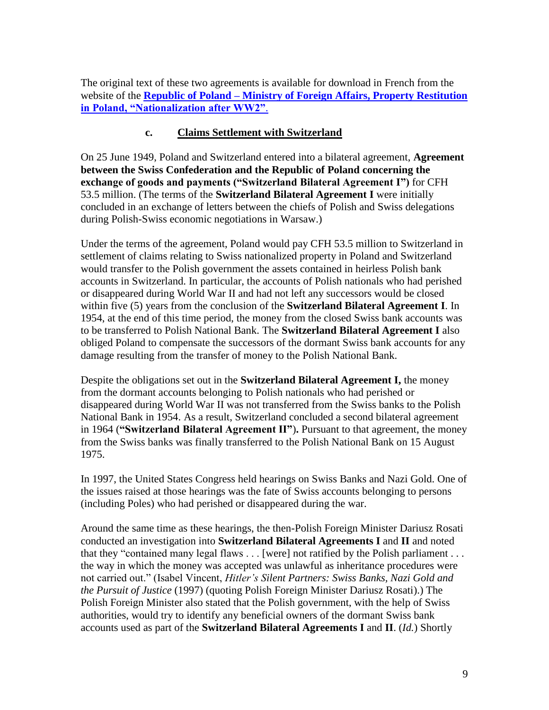The original text of these two agreements is available for download in French from the website of the **Republic of Poland – [Ministry of Foreign Affairs, Property Restitution](http://propertyrestitution.pl/Nationalization,after,WW2,18.html)  [in Poland, "Nationalization after WW2"](http://propertyrestitution.pl/Nationalization,after,WW2,18.html)**.

## **c. Claims Settlement with Switzerland**

On 25 June 1949, Poland and Switzerland entered into a bilateral agreement, **Agreement between the Swiss Confederation and the Republic of Poland concerning the exchange of goods and payments ("Switzerland Bilateral Agreement I")** for CFH 53.5 million. (The terms of the **Switzerland Bilateral Agreement I** were initially concluded in an exchange of letters between the chiefs of Polish and Swiss delegations during Polish-Swiss economic negotiations in Warsaw.)

Under the terms of the agreement, Poland would pay CFH 53.5 million to Switzerland in settlement of claims relating to Swiss nationalized property in Poland and Switzerland would transfer to the Polish government the assets contained in heirless Polish bank accounts in Switzerland. In particular, the accounts of Polish nationals who had perished or disappeared during World War II and had not left any successors would be closed within five (5) years from the conclusion of the **Switzerland Bilateral Agreement I**. In 1954, at the end of this time period, the money from the closed Swiss bank accounts was to be transferred to Polish National Bank. The **Switzerland Bilateral Agreement I** also obliged Poland to compensate the successors of the dormant Swiss bank accounts for any damage resulting from the transfer of money to the Polish National Bank.

Despite the obligations set out in the **Switzerland Bilateral Agreement I,** the money from the dormant accounts belonging to Polish nationals who had perished or disappeared during World War II was not transferred from the Swiss banks to the Polish National Bank in 1954. As a result, Switzerland concluded a second bilateral agreement in 1964 (**"Switzerland Bilateral Agreement II"**)**.** Pursuant to that agreement, the money from the Swiss banks was finally transferred to the Polish National Bank on 15 August 1975.

In 1997, the United States Congress held hearings on Swiss Banks and Nazi Gold. One of the issues raised at those hearings was the fate of Swiss accounts belonging to persons (including Poles) who had perished or disappeared during the war.

Around the same time as these hearings, the then-Polish Foreign Minister Dariusz Rosati conducted an investigation into **Switzerland Bilateral Agreements I** and **II** and noted that they "contained many legal flaws . . . [were] not ratified by the Polish parliament . . . the way in which the money was accepted was unlawful as inheritance procedures were not carried out." (Isabel Vincent, *Hitler's Silent Partners: Swiss Banks, Nazi Gold and the Pursuit of Justice* (1997) (quoting Polish Foreign Minister Dariusz Rosati).) The Polish Foreign Minister also stated that the Polish government, with the help of Swiss authorities, would try to identify any beneficial owners of the dormant Swiss bank accounts used as part of the **Switzerland Bilateral Agreements I** and **II**. (*Id.*) Shortly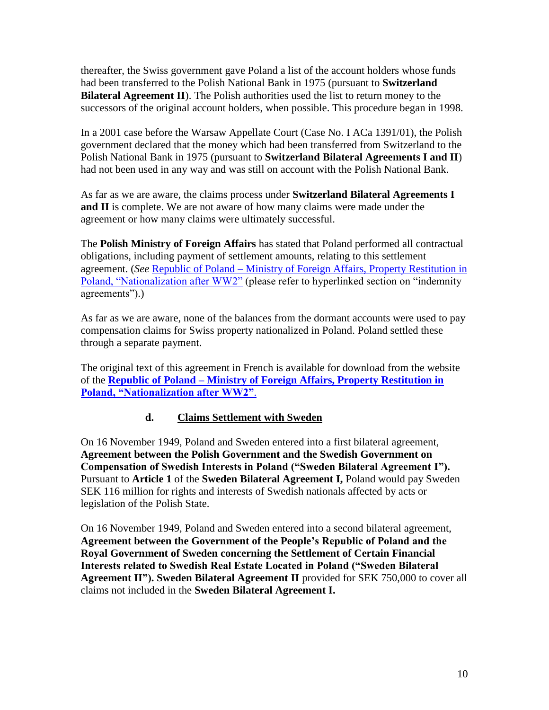thereafter, the Swiss government gave Poland a list of the account holders whose funds had been transferred to the Polish National Bank in 1975 (pursuant to **Switzerland Bilateral Agreement II**). The Polish authorities used the list to return money to the successors of the original account holders, when possible. This procedure began in 1998.

In a 2001 case before the Warsaw Appellate Court (Case No. I ACa 1391/01), the Polish government declared that the money which had been transferred from Switzerland to the Polish National Bank in 1975 (pursuant to **Switzerland Bilateral Agreements I and II**) had not been used in any way and was still on account with the Polish National Bank.

As far as we are aware, the claims process under **Switzerland Bilateral Agreements I and II** is complete. We are not aware of how many claims were made under the agreement or how many claims were ultimately successful.

The **Polish Ministry of Foreign Affairs** has stated that Poland performed all contractual obligations, including payment of settlement amounts, relating to this settlement agreement. (*See* Republic of Poland – [Ministry of Foreign Affairs, Property Restitution in](http://propertyrestitution.pl/Nationalization,after,WW2,18.html)  [Poland, "Nationalization after WW2"](http://propertyrestitution.pl/Nationalization,after,WW2,18.html) (please refer to hyperlinked section on "indemnity agreements").)

As far as we are aware, none of the balances from the dormant accounts were used to pay compensation claims for Swiss property nationalized in Poland. Poland settled these through a separate payment.

The original text of this agreement in French is available for download from the website of the **Republic of Poland – [Ministry of Foreign Affairs, Property Restitution in](http://propertyrestitution.pl/Nationalization,after,WW2,18.html)  [Poland, "Nationalization after WW2"](http://propertyrestitution.pl/Nationalization,after,WW2,18.html)**.

# **d. Claims Settlement with Sweden**

On 16 November 1949, Poland and Sweden entered into a first bilateral agreement, **Agreement between the Polish Government and the Swedish Government on Compensation of Swedish Interests in Poland ("Sweden Bilateral Agreement I").**  Pursuant to **Article 1** of the **Sweden Bilateral Agreement I,** Poland would pay Sweden SEK 116 million for rights and interests of Swedish nationals affected by acts or legislation of the Polish State.

On 16 November 1949, Poland and Sweden entered into a second bilateral agreement, **Agreement between the Government of the People's Republic of Poland and the Royal Government of Sweden concerning the Settlement of Certain Financial Interests related to Swedish Real Estate Located in Poland ("Sweden Bilateral Agreement II"). Sweden Bilateral Agreement II** provided for SEK 750,000 to cover all claims not included in the **Sweden Bilateral Agreement I.**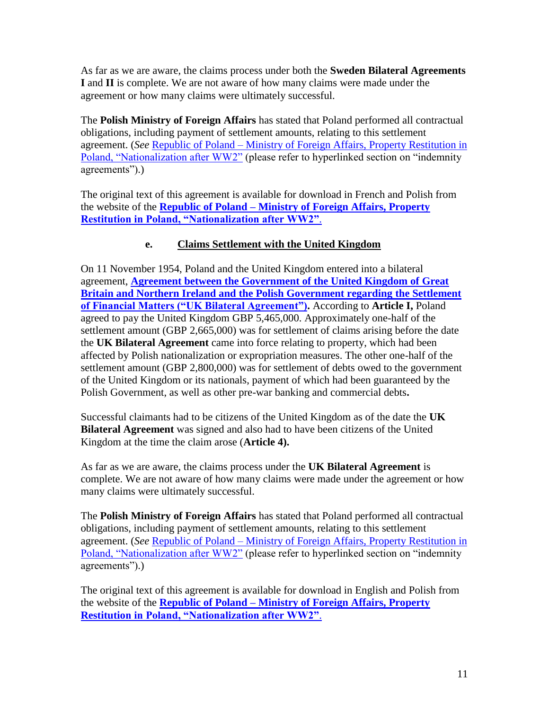As far as we are aware, the claims process under both the **Sweden Bilateral Agreements I** and **II** is complete. We are not aware of how many claims were made under the agreement or how many claims were ultimately successful.

The **Polish Ministry of Foreign Affairs** has stated that Poland performed all contractual obligations, including payment of settlement amounts, relating to this settlement agreement. (*See* Republic of Poland – [Ministry of Foreign Affairs, Property Restitution in](http://propertyrestitution.pl/Nationalization,after,WW2,18.html)  [Poland, "Nationalization after WW2"](http://propertyrestitution.pl/Nationalization,after,WW2,18.html) (please refer to hyperlinked section on "indemnity agreements").)

The original text of this agreement is available for download in French and Polish from the website of the **Republic of Poland – [Ministry of Foreign Affairs, Property](http://propertyrestitution.pl/Nationalization,after,WW2,18.html)  [Restitution in Poland, "Nationalization after](http://propertyrestitution.pl/Nationalization,after,WW2,18.html) WW2"**.

# **e. Claims Settlement with the United Kingdom**

On 11 November 1954, Poland and the United Kingdom entered into a bilateral agreement, **[Agreement between the Government of the United Kingdom of Great](http://treaties.fco.gov.uk/docs/fullnames/pdf/1954/TS0077%20(1954)%20CMD-9343%201954%2011%20NOV,%20WARSAW%3b%20AGREEMENT%20BETWEEN%20GOV%20OF%20UK,%20NI%20&%20POLISH%20GOV%20REGARDING%20SETTLEMENT%20OF%20FINANCIAL%20MATTERS.pdf)  [Britain and Northern Ireland and the Polish Government regarding](http://treaties.fco.gov.uk/docs/fullnames/pdf/1954/TS0077%20(1954)%20CMD-9343%201954%2011%20NOV,%20WARSAW%3b%20AGREEMENT%20BETWEEN%20GOV%20OF%20UK,%20NI%20&%20POLISH%20GOV%20REGARDING%20SETTLEMENT%20OF%20FINANCIAL%20MATTERS.pdf) the Settlement [of Financial Matters \("UK Bilateral Agreement"\).](http://treaties.fco.gov.uk/docs/fullnames/pdf/1954/TS0077%20(1954)%20CMD-9343%201954%2011%20NOV,%20WARSAW%3b%20AGREEMENT%20BETWEEN%20GOV%20OF%20UK,%20NI%20&%20POLISH%20GOV%20REGARDING%20SETTLEMENT%20OF%20FINANCIAL%20MATTERS.pdf)** According to **Article I,** Poland agreed to pay the United Kingdom GBP 5,465,000. Approximately one-half of the settlement amount (GBP 2,665,000) was for settlement of claims arising before the date the **UK Bilateral Agreement** came into force relating to property, which had been affected by Polish nationalization or expropriation measures. The other one-half of the settlement amount (GBP 2,800,000) was for settlement of debts owed to the government of the United Kingdom or its nationals, payment of which had been guaranteed by the Polish Government, as well as other pre-war banking and commercial debts**.** 

Successful claimants had to be citizens of the United Kingdom as of the date the **UK Bilateral Agreement** was signed and also had to have been citizens of the United Kingdom at the time the claim arose (**Article 4).**

As far as we are aware, the claims process under the **UK Bilateral Agreement** is complete. We are not aware of how many claims were made under the agreement or how many claims were ultimately successful.

The **Polish Ministry of Foreign Affairs** has stated that Poland performed all contractual obligations, including payment of settlement amounts, relating to this settlement agreement. (*See* Republic of Poland – [Ministry of Foreign Affairs, Property Restitution in](http://propertyrestitution.pl/Nationalization,after,WW2,18.html)  [Poland, "Nationalization after WW2"](http://propertyrestitution.pl/Nationalization,after,WW2,18.html) (please refer to hyperlinked section on "indemnity agreements").)

The original text of this agreement is available for download in English and Polish from the website of the **Republic of Poland – [Ministry of Foreign Affairs, Property](http://propertyrestitution.pl/Nationalization,after,WW2,18.html)  [Restitution in Poland, "Nationalization after WW2"](http://propertyrestitution.pl/Nationalization,after,WW2,18.html)**.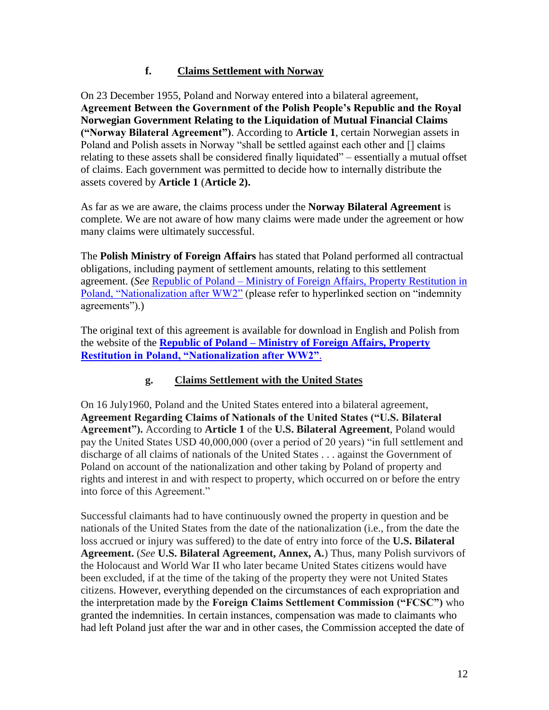## **f. Claims Settlement with Norway**

On 23 December 1955, Poland and Norway entered into a bilateral agreement, **Agreement Between the Government of the Polish People's Republic and the Royal Norwegian Government Relating to the Liquidation of Mutual Financial Claims ("Norway Bilateral Agreement")**. According to **Article 1**, certain Norwegian assets in Poland and Polish assets in Norway "shall be settled against each other and [] claims relating to these assets shall be considered finally liquidated" – essentially a mutual offset of claims. Each government was permitted to decide how to internally distribute the assets covered by **Article 1** (**Article 2).** 

As far as we are aware, the claims process under the **Norway Bilateral Agreement** is complete. We are not aware of how many claims were made under the agreement or how many claims were ultimately successful.

The **Polish Ministry of Foreign Affairs** has stated that Poland performed all contractual obligations, including payment of settlement amounts, relating to this settlement agreement. (*See* Republic of Poland – [Ministry of Foreign Affairs, Property Restitution in](http://propertyrestitution.pl/Nationalization,after,WW2,18.html)  [Poland, "Nationalization after WW2"](http://propertyrestitution.pl/Nationalization,after,WW2,18.html) (please refer to hyperlinked section on "indemnity agreements").)

The original text of this agreement is available for download in English and Polish from the website of the **Republic of Poland – [Ministry of Foreign Affairs, Property](http://propertyrestitution.pl/Nationalization,after,WW2,18.html)  [Restitution in Poland, "Nationalization after WW2"](http://propertyrestitution.pl/Nationalization,after,WW2,18.html)**.

# **g. Claims Settlement with the United States**

On 16 July1960, Poland and the United States entered into a bilateral agreement, **Agreement Regarding Claims of Nationals of the United States ("U.S. Bilateral Agreement").** According to **Article 1** of the **U.S. Bilateral Agreement**, Poland would pay the United States USD 40,000,000 (over a period of 20 years) "in full settlement and discharge of all claims of nationals of the United States . . . against the Government of Poland on account of the nationalization and other taking by Poland of property and rights and interest in and with respect to property, which occurred on or before the entry into force of this Agreement."

Successful claimants had to have continuously owned the property in question and be nationals of the United States from the date of the nationalization (i.e., from the date the loss accrued or injury was suffered) to the date of entry into force of the **U.S. Bilateral Agreement.** (*See* **U.S. Bilateral Agreement, Annex, A.**) Thus, many Polish survivors of the Holocaust and World War II who later became United States citizens would have been excluded, if at the time of the taking of the property they were not United States citizens. However, everything depended on the circumstances of each expropriation and the interpretation made by the **Foreign Claims Settlement Commission ("FCSC")** who granted the indemnities. In certain instances, compensation was made to claimants who had left Poland just after the war and in other cases, the Commission accepted the date of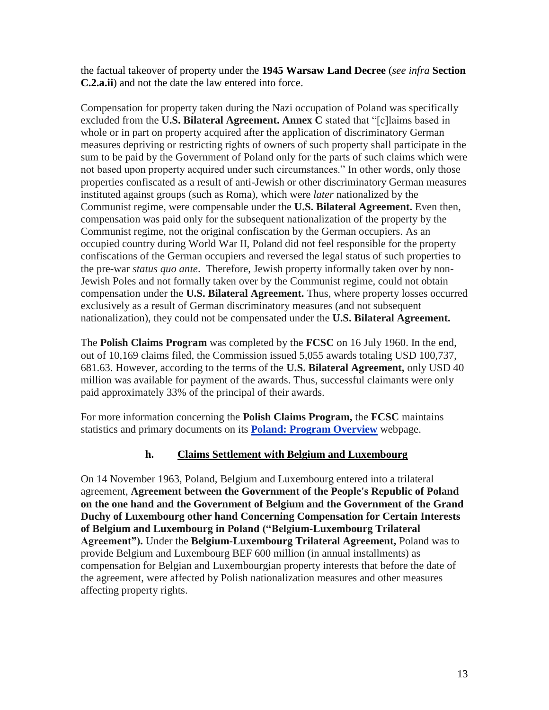the factual takeover of property under the **1945 Warsaw Land Decree** (*see infra* **Section C.2.a.ii**) and not the date the law entered into force.

Compensation for property taken during the Nazi occupation of Poland was specifically excluded from the **U.S. Bilateral Agreement. Annex C** stated that "[c]laims based in whole or in part on property acquired after the application of discriminatory German measures depriving or restricting rights of owners of such property shall participate in the sum to be paid by the Government of Poland only for the parts of such claims which were not based upon property acquired under such circumstances." In other words, only those properties confiscated as a result of anti-Jewish or other discriminatory German measures instituted against groups (such as Roma), which were *later* nationalized by the Communist regime, were compensable under the **U.S. Bilateral Agreement.** Even then, compensation was paid only for the subsequent nationalization of the property by the Communist regime, not the original confiscation by the German occupiers. As an occupied country during World War II, Poland did not feel responsible for the property confiscations of the German occupiers and reversed the legal status of such properties to the pre-war *status quo ante*. Therefore, Jewish property informally taken over by non-Jewish Poles and not formally taken over by the Communist regime, could not obtain compensation under the **U.S. Bilateral Agreement.** Thus, where property losses occurred exclusively as a result of German discriminatory measures (and not subsequent nationalization), they could not be compensated under the **U.S. Bilateral Agreement.** 

The **Polish Claims Program** was completed by the **FCSC** on 16 July 1960. In the end, out of 10,169 claims filed, the Commission issued 5,055 awards totaling USD 100,737, 681.63. However, according to the terms of the **U.S. Bilateral Agreement,** only USD 40 million was available for payment of the awards. Thus, successful claimants were only paid approximately 33% of the principal of their awards.

For more information concerning the **Polish Claims Program,** the **FCSC** maintains statistics and primary documents on its **[Poland: Program Overview](http://www.justice.gov/fcsc/completed-programs-poland)** webpage.

# **h. Claims Settlement with Belgium and Luxembourg**

On 14 November 1963, Poland, Belgium and Luxembourg entered into a trilateral agreement, **Agreement between the Government of the People's Republic of Poland on the one hand and the Government of Belgium and the Government of the Grand Duchy of Luxembourg other hand Concerning Compensation for Certain Interests of Belgium and Luxembourg in Poland ("Belgium-Luxembourg Trilateral Agreement").** Under the **Belgium-Luxembourg Trilateral Agreement,** Poland was to provide Belgium and Luxembourg BEF 600 million (in annual installments) as compensation for Belgian and Luxembourgian property interests that before the date of the agreement, were affected by Polish nationalization measures and other measures affecting property rights.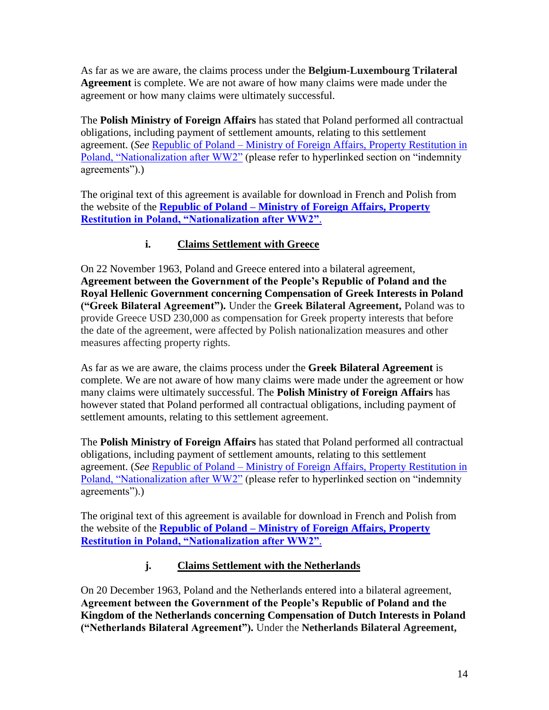As far as we are aware, the claims process under the **Belgium-Luxembourg Trilateral Agreement** is complete. We are not aware of how many claims were made under the agreement or how many claims were ultimately successful.

The **Polish Ministry of Foreign Affairs** has stated that Poland performed all contractual obligations, including payment of settlement amounts, relating to this settlement agreement. (*See* Republic of Poland – [Ministry of Foreign Affairs, Property Restitution in](http://propertyrestitution.pl/Nationalization,after,WW2,18.html)  [Poland, "Nationalization after WW2"](http://propertyrestitution.pl/Nationalization,after,WW2,18.html) (please refer to hyperlinked section on "indemnity agreements").)

The original text of this agreement is available for download in French and Polish from the website of the **Republic of Poland – [Ministry of Foreign Affairs, Property](http://propertyrestitution.pl/Nationalization,after,WW2,18.html)  [Restitution in Poland, "Nationalization after WW2"](http://propertyrestitution.pl/Nationalization,after,WW2,18.html)**.

# **i. Claims Settlement with Greece**

On 22 November 1963, Poland and Greece entered into a bilateral agreement, **Agreement between the Government of the People's Republic of Poland and the Royal Hellenic Government concerning Compensation of Greek Interests in Poland ("Greek Bilateral Agreement").** Under the **Greek Bilateral Agreement,** Poland was to provide Greece USD 230,000 as compensation for Greek property interests that before the date of the agreement, were affected by Polish nationalization measures and other measures affecting property rights.

As far as we are aware, the claims process under the **Greek Bilateral Agreement** is complete. We are not aware of how many claims were made under the agreement or how many claims were ultimately successful. The **Polish Ministry of Foreign Affairs** has however stated that Poland performed all contractual obligations, including payment of settlement amounts, relating to this settlement agreement.

The **Polish Ministry of Foreign Affairs** has stated that Poland performed all contractual obligations, including payment of settlement amounts, relating to this settlement agreement. (*See* Republic of Poland – [Ministry of Foreign Affairs, Property Restitution in](http://propertyrestitution.pl/Nationalization,after,WW2,18.html)  [Poland, "Nationalization after WW2"](http://propertyrestitution.pl/Nationalization,after,WW2,18.html) (please refer to hyperlinked section on "indemnity agreements").)

The original text of this agreement is available for download in French and Polish from the website of the **Republic of Poland – [Ministry of Foreign Affairs, Property](http://propertyrestitution.pl/Nationalization,after,WW2,18.html)  [Restitution in Poland, "Nationalization after WW2"](http://propertyrestitution.pl/Nationalization,after,WW2,18.html)**.

# **j. Claims Settlement with the Netherlands**

On 20 December 1963, Poland and the Netherlands entered into a bilateral agreement, **Agreement between the Government of the People's Republic of Poland and the Kingdom of the Netherlands concerning Compensation of Dutch Interests in Poland ("Netherlands Bilateral Agreement").** Under the **Netherlands Bilateral Agreement,**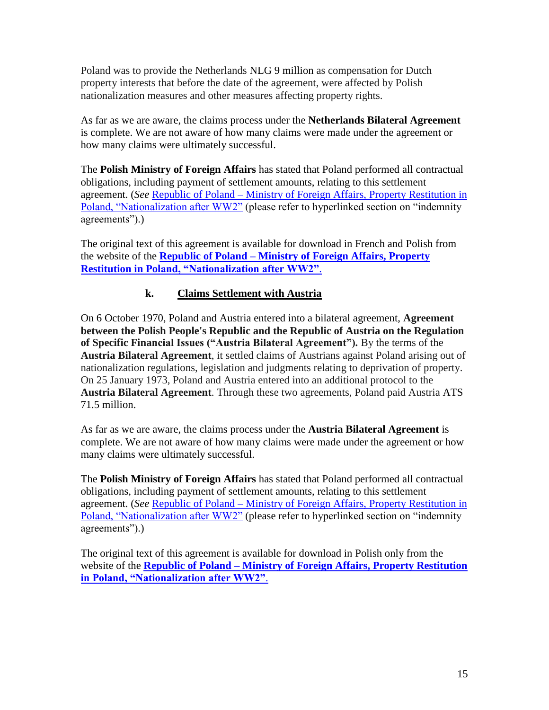Poland was to provide the Netherlands NLG 9 million as compensation for Dutch property interests that before the date of the agreement, were affected by Polish nationalization measures and other measures affecting property rights.

As far as we are aware, the claims process under the **Netherlands Bilateral Agreement**  is complete. We are not aware of how many claims were made under the agreement or how many claims were ultimately successful.

The **Polish Ministry of Foreign Affairs** has stated that Poland performed all contractual obligations, including payment of settlement amounts, relating to this settlement agreement. (*See* Republic of Poland – [Ministry of Foreign Affairs, Property Restitution in](http://propertyrestitution.pl/Nationalization,after,WW2,18.html)  [Poland, "Nationalization after WW2"](http://propertyrestitution.pl/Nationalization,after,WW2,18.html) (please refer to hyperlinked section on "indemnity agreements").)

The original text of this agreement is available for download in French and Polish from the website of the **Republic of Poland – [Ministry of Foreign Affairs, Property](http://propertyrestitution.pl/Nationalization,after,WW2,18.html)  [Restitution in Poland, "Nationalization after WW2"](http://propertyrestitution.pl/Nationalization,after,WW2,18.html)**.

# **k. Claims Settlement with Austria**

On 6 October 1970, Poland and Austria entered into a bilateral agreement, **Agreement between the Polish People's Republic and the Republic of Austria on the Regulation of Specific Financial Issues ("Austria Bilateral Agreement").** By the terms of the **Austria Bilateral Agreement**, it settled claims of Austrians against Poland arising out of nationalization regulations, legislation and judgments relating to deprivation of property. On 25 January 1973, Poland and Austria entered into an additional protocol to the **Austria Bilateral Agreement**. Through these two agreements, Poland paid Austria ATS 71.5 million.

As far as we are aware, the claims process under the **Austria Bilateral Agreement** is complete. We are not aware of how many claims were made under the agreement or how many claims were ultimately successful.

The **Polish Ministry of Foreign Affairs** has stated that Poland performed all contractual obligations, including payment of settlement amounts, relating to this settlement agreement. (*See* Republic of Poland – [Ministry of Foreign Affairs, Property Restitution in](http://propertyrestitution.pl/Nationalization,after,WW2,18.html)  [Poland, "Nationalization after WW2"](http://propertyrestitution.pl/Nationalization,after,WW2,18.html) (please refer to hyperlinked section on "indemnity agreements").)

The original text of this agreement is available for download in Polish only from the website of the **Republic of Poland – [Ministry of Foreign Affairs, Property Restitution](http://propertyrestitution.pl/Nationalization,after,WW2,18.html)  [in Poland, "Nationalization after WW2"](http://propertyrestitution.pl/Nationalization,after,WW2,18.html)**.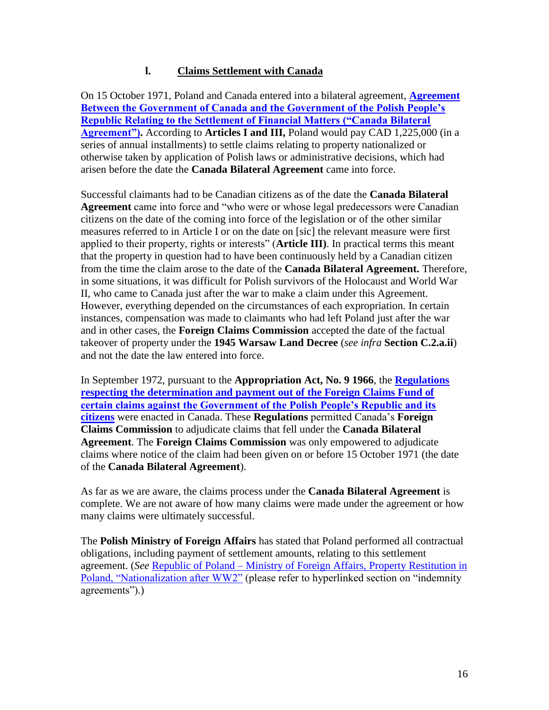## **l. Claims Settlement with Canada**

On 15 October 1971, Poland and Canada entered into a bilateral agreement, **[Agreement](http://www.treaty-accord.gc.ca/text-texte.aspx?id=101401)  [Between the Government of Canada and the Government of the Polish People's](http://www.treaty-accord.gc.ca/text-texte.aspx?id=101401)  [Republic Relating to the Settlement of Financial Matters \("Canada Bilateral](http://www.treaty-accord.gc.ca/text-texte.aspx?id=101401)  [Agreement"\).](http://www.treaty-accord.gc.ca/text-texte.aspx?id=101401)** According to **Articles I and III,** Poland would pay CAD 1,225,000 (in a series of annual installments) to settle claims relating to property nationalized or otherwise taken by application of Polish laws or administrative decisions, which had arisen before the date the **Canada Bilateral Agreement** came into force.

Successful claimants had to be Canadian citizens as of the date the **Canada Bilateral Agreement** came into force and "who were or whose legal predecessors were Canadian citizens on the date of the coming into force of the legislation or of the other similar measures referred to in Article I or on the date on [sic] the relevant measure were first applied to their property, rights or interests" (**Article III)**. In practical terms this meant that the property in question had to have been continuously held by a Canadian citizen from the time the claim arose to the date of the **Canada Bilateral Agreement.** Therefore, in some situations, it was difficult for Polish survivors of the Holocaust and World War II, who came to Canada just after the war to make a claim under this Agreement. However, everything depended on the circumstances of each expropriation. In certain instances, compensation was made to claimants who had left Poland just after the war and in other cases, the **Foreign Claims Commission** accepted the date of the factual takeover of property under the **1945 Warsaw Land Decree** (*see infra* **Section C.2.a.ii**) and not the date the law entered into force.

In September 1972, pursuant to the **Appropriation Act, No. 9 1966**, the **[Regulations](http://laws-lois.justice.gc.ca/eng/regulations/SOR-72-395/page-1.html#h-1)  [respecting the determination and payment out of the Foreign Claims Fund of](http://laws-lois.justice.gc.ca/eng/regulations/SOR-72-395/page-1.html#h-1)  [certain claims against the Government of the Polish People's Republic and its](http://laws-lois.justice.gc.ca/eng/regulations/SOR-72-395/page-1.html#h-1)  [citizens](http://laws-lois.justice.gc.ca/eng/regulations/SOR-72-395/page-1.html#h-1)** were enacted in Canada. These **Regulations** permitted Canada's **Foreign Claims Commission** to adjudicate claims that fell under the **Canada Bilateral Agreement**. The **Foreign Claims Commission** was only empowered to adjudicate claims where notice of the claim had been given on or before 15 October 1971 (the date of the **Canada Bilateral Agreement**).

As far as we are aware, the claims process under the **Canada Bilateral Agreement** is complete. We are not aware of how many claims were made under the agreement or how many claims were ultimately successful.

The **Polish Ministry of Foreign Affairs** has stated that Poland performed all contractual obligations, including payment of settlement amounts, relating to this settlement agreement. (*See* Republic of Poland – [Ministry of Foreign Affairs, Property Restitution in](http://propertyrestitution.pl/Nationalization,after,WW2,18.html)  [Poland, "Nationalization after WW2"](http://propertyrestitution.pl/Nationalization,after,WW2,18.html) (please refer to hyperlinked section on "indemnity agreements").)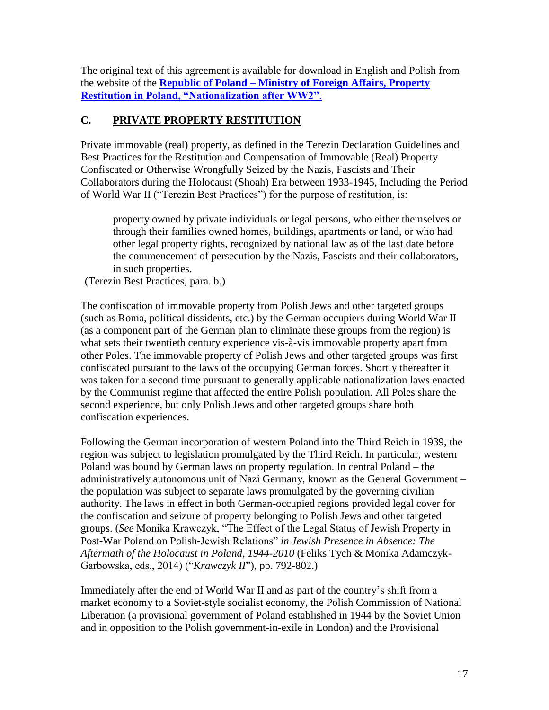The original text of this agreement is available for download in English and Polish from the website of the **Republic of Poland – [Ministry of Foreign Affairs, Property](http://propertyrestitution.pl/Nationalization,after,WW2,18.html)  [Restitution in Poland, "Nationalization after WW2"](http://propertyrestitution.pl/Nationalization,after,WW2,18.html)**.

# **C. PRIVATE PROPERTY RESTITUTION**

Private immovable (real) property, as defined in the Terezin Declaration Guidelines and Best Practices for the Restitution and Compensation of Immovable (Real) Property Confiscated or Otherwise Wrongfully Seized by the Nazis, Fascists and Their Collaborators during the Holocaust (Shoah) Era between 1933-1945, Including the Period of World War II ("Terezin Best Practices") for the purpose of restitution, is:

property owned by private individuals or legal persons, who either themselves or through their families owned homes, buildings, apartments or land, or who had other legal property rights, recognized by national law as of the last date before the commencement of persecution by the Nazis, Fascists and their collaborators, in such properties.

(Terezin Best Practices, para. b.)

The confiscation of immovable property from Polish Jews and other targeted groups (such as Roma, political dissidents, etc.) by the German occupiers during World War II (as a component part of the German plan to eliminate these groups from the region) is what sets their twentieth century experience vis-à-vis immovable property apart from other Poles. The immovable property of Polish Jews and other targeted groups was first confiscated pursuant to the laws of the occupying German forces. Shortly thereafter it was taken for a second time pursuant to generally applicable nationalization laws enacted by the Communist regime that affected the entire Polish population. All Poles share the second experience, but only Polish Jews and other targeted groups share both confiscation experiences.

Following the German incorporation of western Poland into the Third Reich in 1939, the region was subject to legislation promulgated by the Third Reich. In particular, western Poland was bound by German laws on property regulation. In central Poland – the administratively autonomous unit of Nazi Germany, known as the General Government – the population was subject to separate laws promulgated by the governing civilian authority. The laws in effect in both German-occupied regions provided legal cover for the confiscation and seizure of property belonging to Polish Jews and other targeted groups. (*See* Monika Krawczyk, "The Effect of the Legal Status of Jewish Property in Post-War Poland on Polish-Jewish Relations" *in Jewish Presence in Absence: The Aftermath of the Holocaust in Poland, 1944-2010* (Feliks Tych & Monika Adamczyk-Garbowska, eds., 2014) ("*Krawczyk II*"), pp. 792-802.)

Immediately after the end of World War II and as part of the country's shift from a market economy to a Soviet-style socialist economy, the Polish Commission of National Liberation (a provisional government of Poland established in 1944 by the Soviet Union and in opposition to the Polish government-in-exile in London) and the Provisional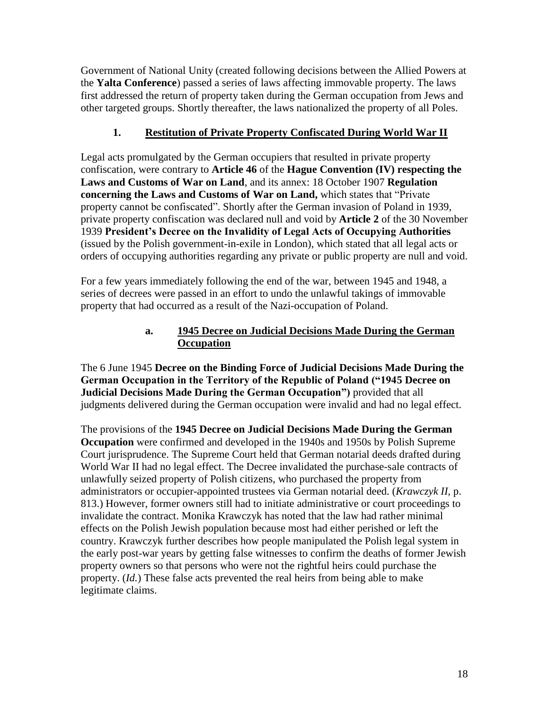Government of National Unity (created following decisions between the Allied Powers at the **Yalta Conference**) passed a series of laws affecting immovable property. The laws first addressed the return of property taken during the German occupation from Jews and other targeted groups. Shortly thereafter, the laws nationalized the property of all Poles.

# **1. Restitution of Private Property Confiscated During World War II**

Legal acts promulgated by the German occupiers that resulted in private property confiscation, were contrary to **Article 46** of the **Hague Convention (IV) respecting the Laws and Customs of War on Land**, and its annex: 18 October 1907 **Regulation concerning the Laws and Customs of War on Land,** which states that "Private property cannot be confiscated". Shortly after the German invasion of Poland in 1939, private property confiscation was declared null and void by **Article 2** of the 30 November 1939 **President's Decree on the Invalidity of Legal Acts of Occupying Authorities** (issued by the Polish government-in-exile in London), which stated that all legal acts or orders of occupying authorities regarding any private or public property are null and void.

For a few years immediately following the end of the war, between 1945 and 1948, a series of decrees were passed in an effort to undo the unlawful takings of immovable property that had occurred as a result of the Nazi-occupation of Poland.

## **a. 1945 Decree on Judicial Decisions Made During the German Occupation**

The 6 June 1945 **Decree on the Binding Force of Judicial Decisions Made During the German Occupation in the Territory of the Republic of Poland ("1945 Decree on Judicial Decisions Made During the German Occupation")** provided that all judgments delivered during the German occupation were invalid and had no legal effect.

The provisions of the **1945 Decree on Judicial Decisions Made During the German Occupation** were confirmed and developed in the 1940s and 1950s by Polish Supreme Court jurisprudence. The Supreme Court held that German notarial deeds drafted during World War II had no legal effect. The Decree invalidated the purchase-sale contracts of unlawfully seized property of Polish citizens, who purchased the property from administrators or occupier-appointed trustees via German notarial deed. (*Krawczyk II,* p. 813.) However, former owners still had to initiate administrative or court proceedings to invalidate the contract. Monika Krawczyk has noted that the law had rather minimal effects on the Polish Jewish population because most had either perished or left the country. Krawczyk further describes how people manipulated the Polish legal system in the early post-war years by getting false witnesses to confirm the deaths of former Jewish property owners so that persons who were not the rightful heirs could purchase the property. (*Id.*) These false acts prevented the real heirs from being able to make legitimate claims.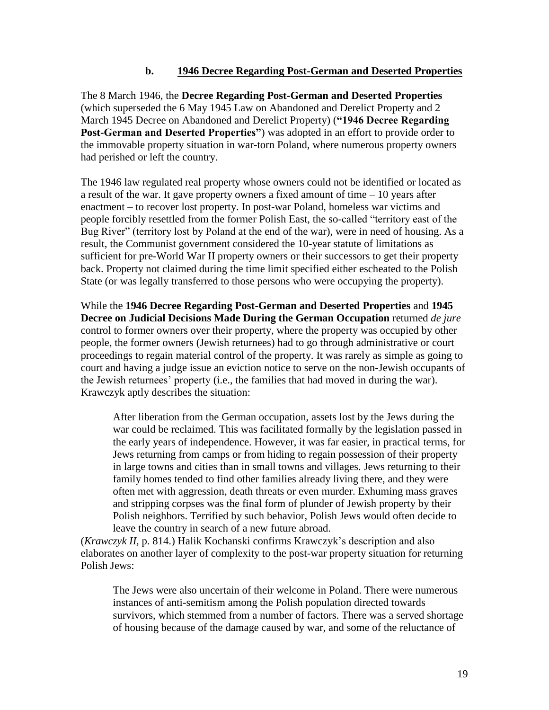#### **b. 1946 Decree Regarding Post-German and Deserted Properties**

The 8 March 1946, the **Decree Regarding Post-German and Deserted Properties**  (which superseded the 6 May 1945 Law on Abandoned and Derelict Property and 2 March 1945 Decree on Abandoned and Derelict Property) (**"1946 Decree Regarding Post-German and Deserted Properties"**) was adopted in an effort to provide order to the immovable property situation in war-torn Poland, where numerous property owners had perished or left the country.

The 1946 law regulated real property whose owners could not be identified or located as a result of the war. It gave property owners a fixed amount of time – 10 years after enactment – to recover lost property. In post-war Poland, homeless war victims and people forcibly resettled from the former Polish East, the so-called "territory east of the Bug River" (territory lost by Poland at the end of the war), were in need of housing. As a result, the Communist government considered the 10-year statute of limitations as sufficient for pre-World War II property owners or their successors to get their property back. Property not claimed during the time limit specified either escheated to the Polish State (or was legally transferred to those persons who were occupying the property).

While the **1946 Decree Regarding Post-German and Deserted Properties** and **1945 Decree on Judicial Decisions Made During the German Occupation** returned *de jure* control to former owners over their property, where the property was occupied by other people, the former owners (Jewish returnees) had to go through administrative or court proceedings to regain material control of the property. It was rarely as simple as going to court and having a judge issue an eviction notice to serve on the non-Jewish occupants of the Jewish returnees' property (i.e., the families that had moved in during the war). Krawczyk aptly describes the situation:

After liberation from the German occupation, assets lost by the Jews during the war could be reclaimed. This was facilitated formally by the legislation passed in the early years of independence. However, it was far easier, in practical terms, for Jews returning from camps or from hiding to regain possession of their property in large towns and cities than in small towns and villages. Jews returning to their family homes tended to find other families already living there, and they were often met with aggression, death threats or even murder. Exhuming mass graves and stripping corpses was the final form of plunder of Jewish property by their Polish neighbors. Terrified by such behavior, Polish Jews would often decide to leave the country in search of a new future abroad.

(*Krawczyk II,* p. 814.) Halik Kochanski confirms Krawczyk's description and also elaborates on another layer of complexity to the post-war property situation for returning Polish Jews:

The Jews were also uncertain of their welcome in Poland. There were numerous instances of anti-semitism among the Polish population directed towards survivors, which stemmed from a number of factors. There was a served shortage of housing because of the damage caused by war, and some of the reluctance of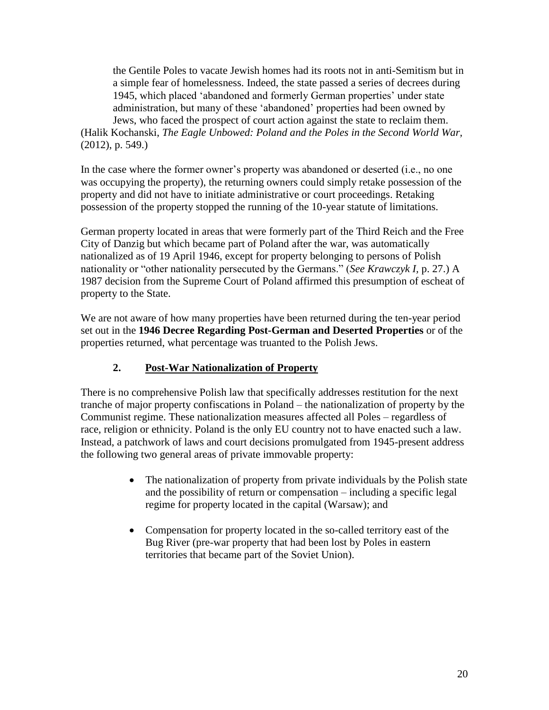the Gentile Poles to vacate Jewish homes had its roots not in anti-Semitism but in a simple fear of homelessness. Indeed, the state passed a series of decrees during 1945, which placed 'abandoned and formerly German properties' under state administration, but many of these 'abandoned' properties had been owned by Jews, who faced the prospect of court action against the state to reclaim them. (Halik Kochanski, *The Eagle Unbowed: Poland and the Poles in the Second World War,*  (2012), p. 549.)

In the case where the former owner's property was abandoned or deserted (i.e., no one was occupying the property), the returning owners could simply retake possession of the property and did not have to initiate administrative or court proceedings. Retaking possession of the property stopped the running of the 10-year statute of limitations.

German property located in areas that were formerly part of the Third Reich and the Free City of Danzig but which became part of Poland after the war, was automatically nationalized as of 19 April 1946, except for property belonging to persons of Polish nationality or "other nationality persecuted by the Germans." (*See Krawczyk I,* p. 27.) A 1987 decision from the Supreme Court of Poland affirmed this presumption of escheat of property to the State.

We are not aware of how many properties have been returned during the ten-year period set out in the **1946 Decree Regarding Post-German and Deserted Properties** or of the properties returned, what percentage was truanted to the Polish Jews.

# **2. Post-War Nationalization of Property**

There is no comprehensive Polish law that specifically addresses restitution for the next tranche of major property confiscations in Poland – the nationalization of property by the Communist regime. These nationalization measures affected all Poles – regardless of race, religion or ethnicity. Poland is the only EU country not to have enacted such a law. Instead, a patchwork of laws and court decisions promulgated from 1945-present address the following two general areas of private immovable property:

- The nationalization of property from private individuals by the Polish state and the possibility of return or compensation – including a specific legal regime for property located in the capital (Warsaw); and
- Compensation for property located in the so-called territory east of the Bug River (pre-war property that had been lost by Poles in eastern territories that became part of the Soviet Union).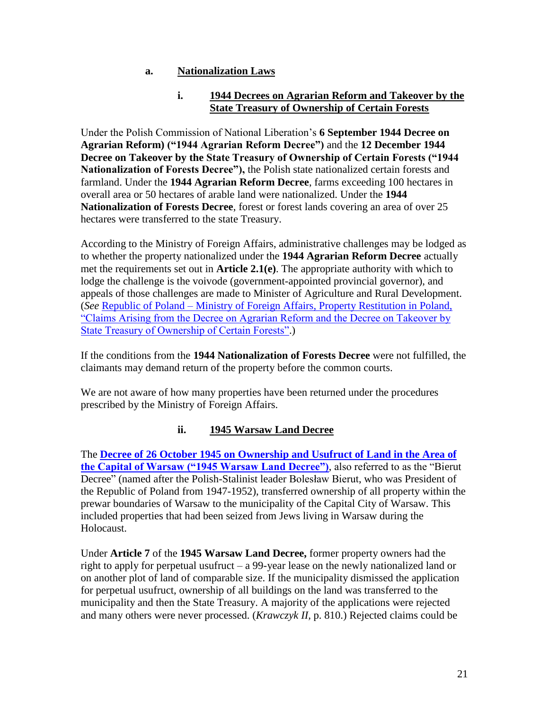## **a. Nationalization Laws**

## **i. 1944 Decrees on Agrarian Reform and Takeover by the State Treasury of Ownership of Certain Forests**

Under the Polish Commission of National Liberation's **6 September 1944 Decree on Agrarian Reform) ("1944 Agrarian Reform Decree")** and the **12 December 1944 Decree on Takeover by the State Treasury of Ownership of Certain Forests ("1944 Nationalization of Forests Decree"),** the Polish state nationalized certain forests and farmland. Under the **1944 Agrarian Reform Decree**, farms exceeding 100 hectares in overall area or 50 hectares of arable land were nationalized. Under the **1944 Nationalization of Forests Decree**, forest or forest lands covering an area of over 25 hectares were transferred to the state Treasury.

According to the Ministry of Foreign Affairs, administrative challenges may be lodged as to whether the property nationalized under the **1944 Agrarian Reform Decree** actually met the requirements set out in **Article 2.1(e)**. The appropriate authority with which to lodge the challenge is the voivode (government-appointed provincial governor), and appeals of those challenges are made to Minister of Agriculture and Rural Development. (*See* Republic of Poland – [Ministry of Foreign Affairs, Property Restitution in Poland,](http://propertyrestitution.pl/Restitution,after,1989,legal,regulations,20.html#agrarian_reform)  ["Claims Arising from the Decree on Agrarian Reform and the Decree on Takeover by](http://propertyrestitution.pl/Restitution,after,1989,legal,regulations,20.html#agrarian_reform)  [State Treasury of Ownership of Certain Forests".](http://propertyrestitution.pl/Restitution,after,1989,legal,regulations,20.html#agrarian_reform))

If the conditions from the **1944 Nationalization of Forests Decree** were not fulfilled, the claimants may demand return of the property before the common courts.

We are not aware of how many properties have been returned under the procedures prescribed by the Ministry of Foreign Affairs.

# **ii. 1945 Warsaw Land Decree**

The **[Decree of 26 October 1945 on Ownership and Usufruct of Land in the Area of](http://isap.sejm.gov.pl/DetailsServlet?id=WDU19450500279)  [the Capital of Warsaw \("1945 Warsaw Land Decree"\)](http://isap.sejm.gov.pl/DetailsServlet?id=WDU19450500279)**, also referred to as the "Bierut Decree" (named after the Polish-Stalinist leader Bolesław Bierut, who was President of the Republic of Poland from 1947-1952), transferred ownership of all property within the prewar boundaries of Warsaw to the municipality of the Capital City of Warsaw. This included properties that had been seized from Jews living in Warsaw during the Holocaust.

Under **Article 7** of the **1945 Warsaw Land Decree,** former property owners had the right to apply for perpetual usufruct – a 99-year lease on the newly nationalized land or on another plot of land of comparable size. If the municipality dismissed the application for perpetual usufruct, ownership of all buildings on the land was transferred to the municipality and then the State Treasury. A majority of the applications were rejected and many others were never processed. (*Krawczyk II,* p. 810.) Rejected claims could be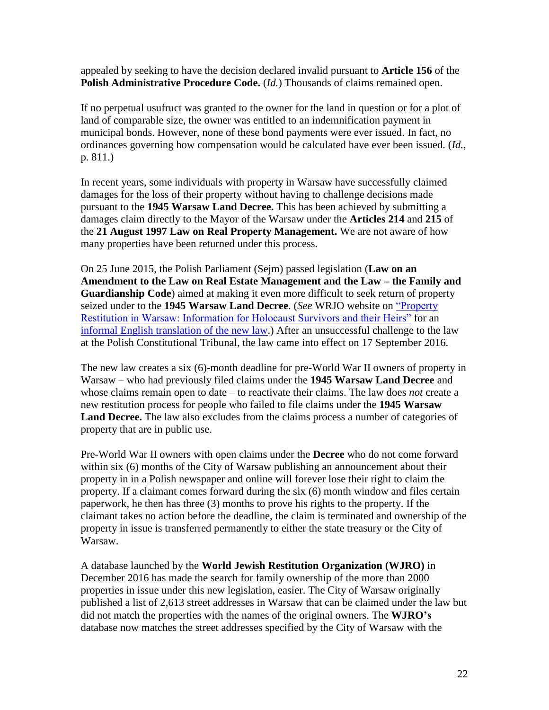appealed by seeking to have the decision declared invalid pursuant to **Article 156** of the **Polish Administrative Procedure Code.** (*Id.*) Thousands of claims remained open.

If no perpetual usufruct was granted to the owner for the land in question or for a plot of land of comparable size, the owner was entitled to an indemnification payment in municipal bonds. However, none of these bond payments were ever issued. In fact, no ordinances governing how compensation would be calculated have ever been issued. (*Id.*, p. 811.)

In recent years, some individuals with property in Warsaw have successfully claimed damages for the loss of their property without having to challenge decisions made pursuant to the **1945 Warsaw Land Decree.** This has been achieved by submitting a damages claim directly to the Mayor of the Warsaw under the **Articles 214** and **215** of the **21 August 1997 Law on Real Property Management.** We are not aware of how many properties have been returned under this process.

On 25 June 2015, the Polish Parliament (Sejm) passed legislation (**Law on an Amendment to the Law on Real Estate Management and the Law – the Family and Guardianship Code**) aimed at making it even more difficult to seek return of property seized under to the **1945 Warsaw Land Decree**. (*See* WRJO website on ["Property](http://wjro.org.il/our-work/property-restitution-in-warsaw/)  [Restitution in Warsaw: Information for Holocaust Survivors and their Heirs"](http://wjro.org.il/our-work/property-restitution-in-warsaw/) for an [informal English translation of the new law.](http://wjro.org.il/cms/assets/uploads/2016/12/Warsaw-Legislation-Informal-English-Translation.pdf)) After an unsuccessful challenge to the law at the Polish Constitutional Tribunal, the law came into effect on 17 September 2016.

The new law creates a six (6)-month deadline for pre-World War II owners of property in Warsaw – who had previously filed claims under the **1945 Warsaw Land Decree** and whose claims remain open to date – to reactivate their claims. The law does *not* create a new restitution process for people who failed to file claims under the **1945 Warsaw Land Decree.** The law also excludes from the claims process a number of categories of property that are in public use.

Pre-World War II owners with open claims under the **Decree** who do not come forward within six (6) months of the City of Warsaw publishing an announcement about their property in in a Polish newspaper and online will forever lose their right to claim the property. If a claimant comes forward during the six (6) month window and files certain paperwork, he then has three (3) months to prove his rights to the property. If the claimant takes no action before the deadline, the claim is terminated and ownership of the property in issue is transferred permanently to either the state treasury or the City of Warsaw.

A database launched by the **World Jewish Restitution Organization (WJRO)** in December 2016 has made the search for family ownership of the more than 2000 properties in issue under this new legislation, easier. The City of Warsaw originally published a list of 2,613 street addresses in Warsaw that can be claimed under the law but did not match the properties with the names of the original owners. The **WJRO's**  database now matches the street addresses specified by the City of Warsaw with the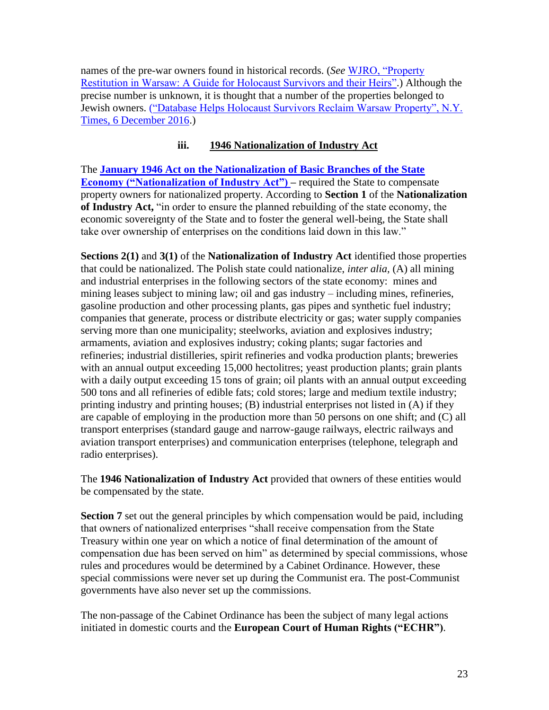names of the pre-war owners found in historical records. (*See* [WJRO, "Property](http://warsawproperty.org/)  [Restitution in Warsaw: A Guide for Holocaust Survivors and their Heirs".](http://warsawproperty.org/)) Although the precise number is unknown, it is thought that a number of the properties belonged to Jewish owners. [\("Database Helps Holocaust Survivors Reclaim Warsaw Property", N.Y.](http://www.nytimes.com/aponline/2016/12/06/world/europe/ap-eu-poland-holocaust-property.html?_r=1)  [Times, 6 December 2016.](http://www.nytimes.com/aponline/2016/12/06/world/europe/ap-eu-poland-holocaust-property.html?_r=1))

## **iii. 1946 Nationalization of Industry Act**

The **[January 1946 Act on the Nationalization of Basic Branches of the State](http://isap.sejm.gov.pl/DetailsServlet?id=WDU19460030017)  Economy ("Nationalization of Industry Act")** – required the State to compensate property owners for nationalized property. According to **Section 1** of the **Nationalization of Industry Act,** "in order to ensure the planned rebuilding of the state economy, the economic sovereignty of the State and to foster the general well-being, the State shall take over ownership of enterprises on the conditions laid down in this law."

**Sections 2(1)** and **3(1)** of the **Nationalization of Industry Act** identified those properties that could be nationalized. The Polish state could nationalize, *inter alia,* (A) all mining and industrial enterprises in the following sectors of the state economy: mines and mining leases subject to mining law; oil and gas industry – including mines, refineries, gasoline production and other processing plants, gas pipes and synthetic fuel industry; companies that generate, process or distribute electricity or gas; water supply companies serving more than one municipality; steelworks, aviation and explosives industry; armaments, aviation and explosives industry; coking plants; sugar factories and refineries; industrial distilleries, spirit refineries and vodka production plants; breweries with an annual output exceeding 15,000 hectolitres; yeast production plants; grain plants with a daily output exceeding 15 tons of grain; oil plants with an annual output exceeding 500 tons and all refineries of edible fats; cold stores; large and medium textile industry; printing industry and printing houses; (B) industrial enterprises not listed in (A) if they are capable of employing in the production more than 50 persons on one shift; and (C) all transport enterprises (standard gauge and narrow-gauge railways, electric railways and aviation transport enterprises) and communication enterprises (telephone, telegraph and radio enterprises).

The **1946 Nationalization of Industry Act** provided that owners of these entities would be compensated by the state.

**Section 7** set out the general principles by which compensation would be paid, including that owners of nationalized enterprises "shall receive compensation from the State Treasury within one year on which a notice of final determination of the amount of compensation due has been served on him" as determined by special commissions, whose rules and procedures would be determined by a Cabinet Ordinance. However, these special commissions were never set up during the Communist era. The post-Communist governments have also never set up the commissions.

The non-passage of the Cabinet Ordinance has been the subject of many legal actions initiated in domestic courts and the **European Court of Human Rights ("ECHR")**.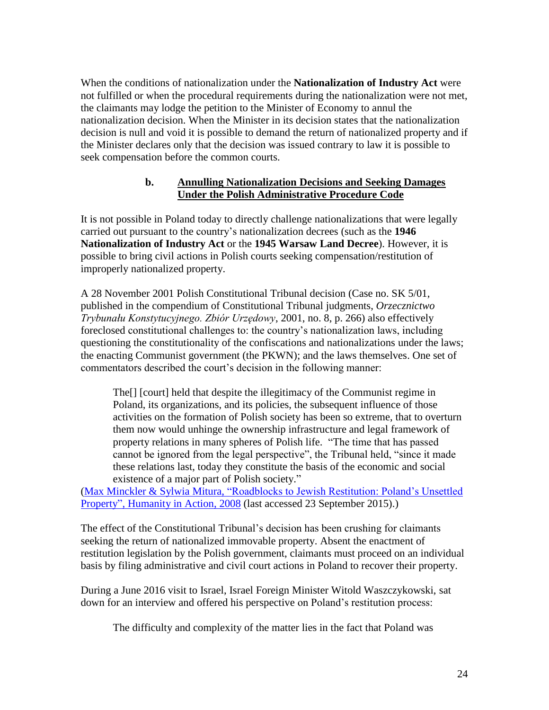When the conditions of nationalization under the **Nationalization of Industry Act** were not fulfilled or when the procedural requirements during the nationalization were not met, the claimants may lodge the petition to the Minister of Economy to annul the nationalization decision. When the Minister in its decision states that the nationalization decision is null and void it is possible to demand the return of nationalized property and if the Minister declares only that the decision was issued contrary to law it is possible to seek compensation before the common courts.

## **b. Annulling Nationalization Decisions and Seeking Damages Under the Polish Administrative Procedure Code**

It is not possible in Poland today to directly challenge nationalizations that were legally carried out pursuant to the country's nationalization decrees (such as the **1946 Nationalization of Industry Act** or the **1945 Warsaw Land Decree**). However, it is possible to bring civil actions in Polish courts seeking compensation/restitution of improperly nationalized property.

A 28 November 2001 Polish Constitutional Tribunal decision (Case no. SK 5/01, published in the compendium of Constitutional Tribunal judgments, *Orzecznictwo Trybunału Konstytucyjnego. Zbiór Urzędowy*, 2001, no. 8, p. 266) also effectively foreclosed constitutional challenges to: the country's nationalization laws, including questioning the constitutionality of the confiscations and nationalizations under the laws; the enacting Communist government (the PKWN); and the laws themselves. One set of commentators described the court's decision in the following manner:

The[] [court] held that despite the illegitimacy of the Communist regime in Poland, its organizations, and its policies, the subsequent influence of those activities on the formation of Polish society has been so extreme, that to overturn them now would unhinge the ownership infrastructure and legal framework of property relations in many spheres of Polish life. "The time that has passed cannot be ignored from the legal perspective", the Tribunal held, "since it made these relations last, today they constitute the basis of the economic and social existence of a major part of Polish society."

[\(Max Minckler & Sylwia Mitura, "Roadblocks to Jewish Restitution: Poland's Unsettled](http://www.humanityinaction.org/knowledgebase/115-roadblocks-to-jewish-restitution-poland-s-unsettled-property)  [Property", Humanity in Action, 2008](http://www.humanityinaction.org/knowledgebase/115-roadblocks-to-jewish-restitution-poland-s-unsettled-property) (last accessed 23 September 2015).)

The effect of the Constitutional Tribunal's decision has been crushing for claimants seeking the return of nationalized immovable property. Absent the enactment of restitution legislation by the Polish government, claimants must proceed on an individual basis by filing administrative and civil court actions in Poland to recover their property.

During a June 2016 visit to Israel, Israel Foreign Minister Witold Waszczykowski, sat down for an interview and offered his perspective on Poland's restitution process:

The difficulty and complexity of the matter lies in the fact that Poland was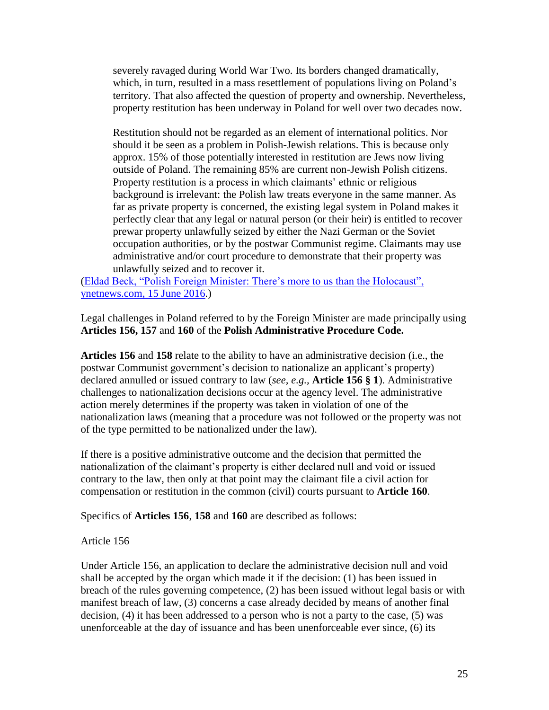severely ravaged during World War Two. Its borders changed dramatically, which, in turn, resulted in a mass resettlement of populations living on Poland's territory. That also affected the question of property and ownership. Nevertheless, property restitution has been underway in Poland for well over two decades now.

Restitution should not be regarded as an element of international politics. Nor should it be seen as a problem in Polish-Jewish relations. This is because only approx. 15% of those potentially interested in restitution are Jews now living outside of Poland. The remaining 85% are current non-Jewish Polish citizens. Property restitution is a process in which claimants' ethnic or religious background is irrelevant: the Polish law treats everyone in the same manner. As far as private property is concerned, the existing legal system in Poland makes it perfectly clear that any legal or natural person (or their heir) is entitled to recover prewar property unlawfully seized by either the Nazi German or the Soviet occupation authorities, or by the postwar Communist regime. Claimants may use administrative and/or court procedure to demonstrate that their property was unlawfully seized and to recover it.

[\(Eldad Beck, "Polish Foreign Minister: There's more to us than the Holocaust",](http://www.ynetnews.com/articles/0,7340,L-4816365,00.html)  [ynetnews.com, 15 June 2016.](http://www.ynetnews.com/articles/0,7340,L-4816365,00.html))

Legal challenges in Poland referred to by the Foreign Minister are made principally using **Articles 156, 157** and **160** of the **Polish Administrative Procedure Code.** 

**Articles 156** and **158** relate to the ability to have an administrative decision (i.e., the postwar Communist government's decision to nationalize an applicant's property) declared annulled or issued contrary to law (*see, e.g.,* **Article 156 § 1**). Administrative challenges to nationalization decisions occur at the agency level. The administrative action merely determines if the property was taken in violation of one of the nationalization laws (meaning that a procedure was not followed or the property was not of the type permitted to be nationalized under the law).

If there is a positive administrative outcome and the decision that permitted the nationalization of the claimant's property is either declared null and void or issued contrary to the law, then only at that point may the claimant file a civil action for compensation or restitution in the common (civil) courts pursuant to **Article 160**.

Specifics of **Articles 156**, **158** and **160** are described as follows:

#### Article 156

Under Article 156, an application to declare the administrative decision null and void shall be accepted by the organ which made it if the decision: (1) has been issued in breach of the rules governing competence, (2) has been issued without legal basis or with manifest breach of law, (3) concerns a case already decided by means of another final decision, (4) it has been addressed to a person who is not a party to the case, (5) was unenforceable at the day of issuance and has been unenforceable ever since, (6) its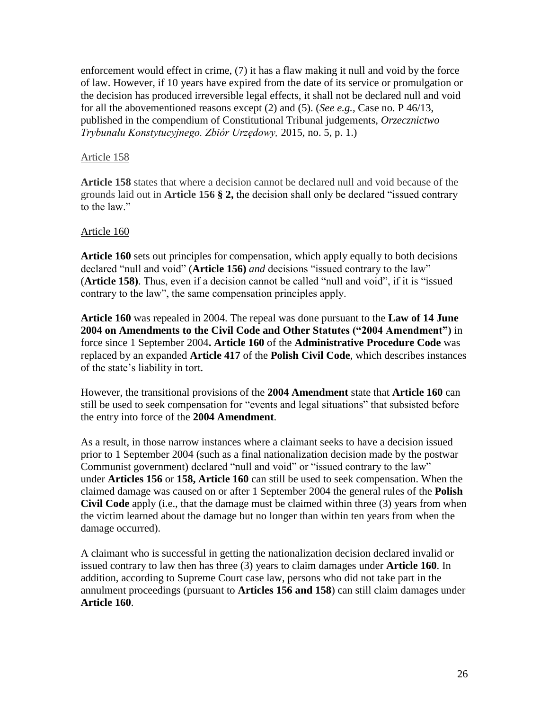enforcement would effect in crime, (7) it has a flaw making it null and void by the force of law. However, if 10 years have expired from the date of its service or promulgation or the decision has produced irreversible legal effects, it shall not be declared null and void for all the abovementioned reasons except (2) and (5). (*See e.g.,* Case no. P 46/13, published in the compendium of Constitutional Tribunal judgements, *Orzecznictwo Trybunału Konstytucyjnego. Zbiór Urzędowy,* 2015, no. 5, p. 1.)

#### Article 158

**Article 158** states that where a decision cannot be declared null and void because of the grounds laid out in **Article 156 § 2,** the decision shall only be declared "issued contrary to the law."

#### Article 160

**Article 160** sets out principles for compensation, which apply equally to both decisions declared "null and void" (**Article 156)** *and* decisions "issued contrary to the law" (**Article 158)**. Thus, even if a decision cannot be called "null and void", if it is "issued contrary to the law", the same compensation principles apply.

**Article 160** was repealed in 2004. The repeal was done pursuant to the **Law of 14 June 2004 on Amendments to the Civil Code and Other Statutes ("2004 Amendment")** in force since 1 September 2004**. Article 160** of the **Administrative Procedure Code** was replaced by an expanded **Article 417** of the **Polish Civil Code**, which describes instances of the state's liability in tort.

However, the transitional provisions of the **2004 Amendment** state that **Article 160** can still be used to seek compensation for "events and legal situations" that subsisted before the entry into force of the **2004 Amendment**.

As a result, in those narrow instances where a claimant seeks to have a decision issued prior to 1 September 2004 (such as a final nationalization decision made by the postwar Communist government) declared "null and void" or "issued contrary to the law" under **Articles 156** or **158, Article 160** can still be used to seek compensation. When the claimed damage was caused on or after 1 September 2004 the general rules of the **Polish Civil Code** apply (i.e., that the damage must be claimed within three (3) years from when the victim learned about the damage but no longer than within ten years from when the damage occurred).

A claimant who is successful in getting the nationalization decision declared invalid or issued contrary to law then has three (3) years to claim damages under **Article 160**. In addition, according to Supreme Court case law, persons who did not take part in the annulment proceedings (pursuant to **Articles 156 and 158**) can still claim damages under **Article 160**.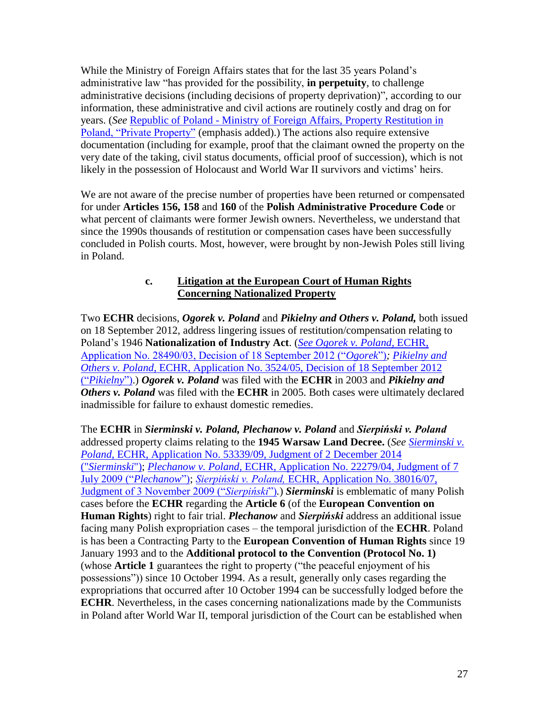While the Ministry of Foreign Affairs states that for the last 35 years Poland's administrative law "has provided for the possibility, **in perpetuity**, to challenge administrative decisions (including decisions of property deprivation)", according to our information, these administrative and civil actions are routinely costly and drag on for years. (*See* Republic of Poland - [Ministry of Foreign Affairs, Property Restitution in](http://propertyrestitution.pl/Restitution,after,1989,legal,regulations,20.html)  [Poland, "Private Property"](http://propertyrestitution.pl/Restitution,after,1989,legal,regulations,20.html) (emphasis added).) The actions also require extensive documentation (including for example, proof that the claimant owned the property on the very date of the taking, civil status documents, official proof of succession), which is not likely in the possession of Holocaust and World War II survivors and victims' heirs.

We are not aware of the precise number of properties have been returned or compensated for under **Articles 156, 158** and **160** of the **Polish Administrative Procedure Code** or what percent of claimants were former Jewish owners. Nevertheless, we understand that since the 1990s thousands of restitution or compensation cases have been successfully concluded in Polish courts. Most, however, were brought by non-Jewish Poles still living in Poland.

## **c. Litigation at the European Court of Human Rights Concerning Nationalized Property**

Two **ECHR** decisions, *Ogorek v. Poland* and *Pikielny and Others v. Poland,* both issued on 18 September 2012, address lingering issues of restitution/compensation relating to Poland's 1946 **Nationalization of Industry Act**. (*[See Ogorek v. Poland,](http://hudoc.echr.coe.int/eng?i=001-113877)* ECHR, [Application No. 28490/03, Decision of 18 September 2012 \("](http://hudoc.echr.coe.int/eng?i=001-113877)*Ogorek*")*; [Pikielny and](http://hudoc.echr.coe.int/eng?i=001-113901)  Others v. Poland*[, ECHR, Application No. 3524/05, Decision of 18 September 2012](http://hudoc.echr.coe.int/eng?i=001-113901)  ("*[Pikielny](http://hudoc.echr.coe.int/eng?i=001-113901)*").) *Ogorek v. Poland* was filed with the **ECHR** in 2003 and *Pikielny and Others v. Poland* was filed with the **ECHR** in 2005. Both cases were ultimately declared inadmissible for failure to exhaust domestic remedies.

The **ECHR** in *Sierminski v. Poland, Plechanow v. Poland* and *Sierpiński v. Poland* addressed property claims relating to the **1945 Warsaw Land Decree.** (*See [Sierminski v](http://hudoc.echr.coe.int/eng?i=001-148272)*. *Poland*[, ECHR, Application No. 53339/09, Judgment of 2 December 2014](http://hudoc.echr.coe.int/eng?i=001-148272)  ("*[Sierminski](http://hudoc.echr.coe.int/eng?i=001-148272)*"); *Plechanow v. Poland,* [ECHR, Application No. 22279/04, Judgment](http://hudoc.echr.coe.int/eng?i=001-93302) of 7 [July 2009 \("](http://hudoc.echr.coe.int/eng?i=001-93302)*Plechanow*"); *Sierpiński v. Poland,* [ECHR, Application No. 38016/07,](http://hudoc.echr.coe.int/eng?i=001-95590)  Judgment [of 3 November 2009 \("](http://hudoc.echr.coe.int/eng?i=001-95590)*Sierpiński*")*.*) *Sierminski* is emblematic of many Polish cases before the **ECHR** regarding the **Article 6** (of the **European Convention on Human Rights**) right to fair trial. *Plechanow* and *Sierpiński* address an additional issue facing many Polish expropriation cases – the temporal jurisdiction of the **ECHR**. Poland is has been a Contracting Party to the **European Convention of Human Rights** since 19 January 1993 and to the **Additional protocol to the Convention (Protocol No. 1)**  (whose **Article 1** guarantees the right to property ("the peaceful enjoyment of his possessions")) since 10 October 1994. As a result, generally only cases regarding the expropriations that occurred after 10 October 1994 can be successfully lodged before the **ECHR**. Nevertheless, in the cases concerning nationalizations made by the Communists in Poland after World War II, temporal jurisdiction of the Court can be established when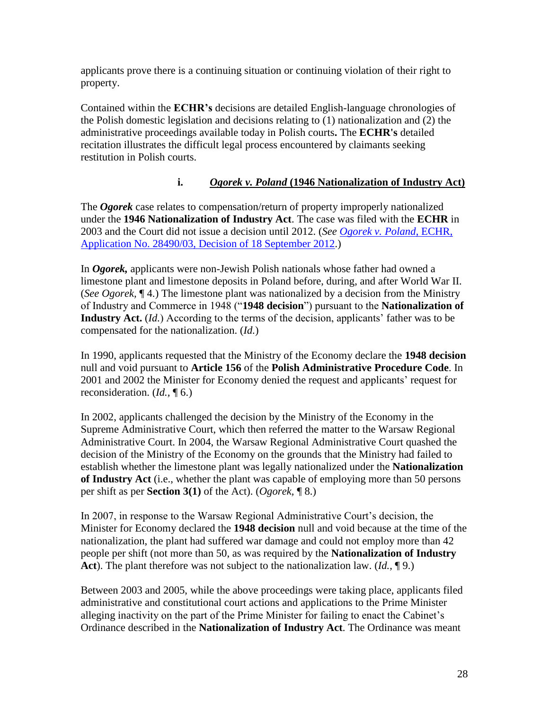applicants prove there is a continuing situation or continuing violation of their right to property.

Contained within the **ECHR's** decisions are detailed English-language chronologies of the Polish domestic legislation and decisions relating to (1) nationalization and (2) the administrative proceedings available today in Polish courts**.** The **ECHR's** detailed recitation illustrates the difficult legal process encountered by claimants seeking restitution in Polish courts.

# **i.** *Ogorek v. Poland* **(1946 Nationalization of Industry Act)**

The *Ogorek* case relates to compensation/return of property improperly nationalized under the **1946 Nationalization of Industry Act**. The case was filed with the **ECHR** in 2003 and the Court did not issue a decision until 2012. (*See [Ogorek v. Poland](http://hudoc.echr.coe.int/eng?i=001-113877)*, ECHR, [Application No. 28490/03, Decision of 18 September 2012.](http://hudoc.echr.coe.int/eng?i=001-113877))

In *Ogorek,* applicants were non-Jewish Polish nationals whose father had owned a limestone plant and limestone deposits in Poland before, during, and after World War II. (*See Ogorek,* ¶ 4.) The limestone plant was nationalized by a decision from the Ministry of Industry and Commerce in 1948 ("**1948 decision**") pursuant to the **Nationalization of Industry Act.** (*Id.*) According to the terms of the decision, applicants' father was to be compensated for the nationalization. (*Id.*)

In 1990, applicants requested that the Ministry of the Economy declare the **1948 decision**  null and void pursuant to **Article 156** of the **Polish Administrative Procedure Code**. In 2001 and 2002 the Minister for Economy denied the request and applicants' request for reconsideration. (*Id.,* ¶ 6.)

In 2002, applicants challenged the decision by the Ministry of the Economy in the Supreme Administrative Court, which then referred the matter to the Warsaw Regional Administrative Court. In 2004, the Warsaw Regional Administrative Court quashed the decision of the Ministry of the Economy on the grounds that the Ministry had failed to establish whether the limestone plant was legally nationalized under the **Nationalization of Industry Act** (i.e., whether the plant was capable of employing more than 50 persons per shift as per **Section 3(1)** of the Act). (*Ogorek,* ¶ 8.)

In 2007, in response to the Warsaw Regional Administrative Court's decision, the Minister for Economy declared the **1948 decision** null and void because at the time of the nationalization, the plant had suffered war damage and could not employ more than 42 people per shift (not more than 50, as was required by the **Nationalization of Industry Act**). The plant therefore was not subject to the nationalization law. (*Id.,* ¶ 9.)

Between 2003 and 2005, while the above proceedings were taking place, applicants filed administrative and constitutional court actions and applications to the Prime Minister alleging inactivity on the part of the Prime Minister for failing to enact the Cabinet's Ordinance described in the **Nationalization of Industry Act**. The Ordinance was meant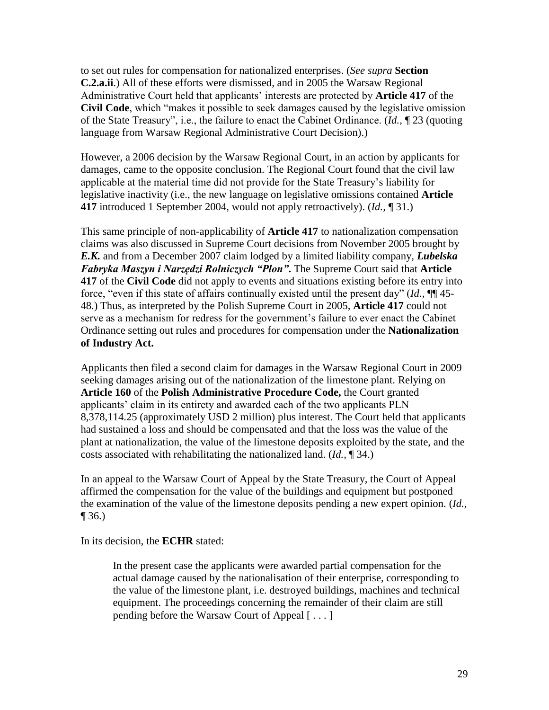to set out rules for compensation for nationalized enterprises. (*See supra* **Section C.2.a.ii**.) All of these efforts were dismissed, and in 2005 the Warsaw Regional Administrative Court held that applicants' interests are protected by **Article 417** of the **Civil Code**, which "makes it possible to seek damages caused by the legislative omission of the State Treasury", i.e., the failure to enact the Cabinet Ordinance. (*Id.,* ¶ 23 (quoting language from Warsaw Regional Administrative Court Decision).)

However, a 2006 decision by the Warsaw Regional Court, in an action by applicants for damages, came to the opposite conclusion. The Regional Court found that the civil law applicable at the material time did not provide for the State Treasury's liability for legislative inactivity (i.e., the new language on legislative omissions contained **Article 417** introduced 1 September 2004, would not apply retroactively). (*Id.,* ¶ 31.)

This same principle of non-applicability of **Article 417** to nationalization compensation claims was also discussed in Supreme Court decisions from November 2005 brought by *E.K.* and from a December 2007 claim lodged by a limited liability company, *Lubelska Fabryka Maszyn i Narzędzi Rolniczych "Plon"***.** The Supreme Court said that **Article 417** of the **Civil Code** did not apply to events and situations existing before its entry into force, "even if this state of affairs continually existed until the present day" (*Id.,* ¶¶ 45- 48.) Thus, as interpreted by the Polish Supreme Court in 2005, **Article 417** could not serve as a mechanism for redress for the government's failure to ever enact the Cabinet Ordinance setting out rules and procedures for compensation under the **Nationalization of Industry Act.**

Applicants then filed a second claim for damages in the Warsaw Regional Court in 2009 seeking damages arising out of the nationalization of the limestone plant. Relying on **Article 160** of the **Polish Administrative Procedure Code,** the Court granted applicants' claim in its entirety and awarded each of the two applicants PLN 8,378,114.25 (approximately USD 2 million) plus interest. The Court held that applicants had sustained a loss and should be compensated and that the loss was the value of the plant at nationalization, the value of the limestone deposits exploited by the state, and the costs associated with rehabilitating the nationalized land. (*Id.,* ¶ 34.)

In an appeal to the Warsaw Court of Appeal by the State Treasury, the Court of Appeal affirmed the compensation for the value of the buildings and equipment but postponed the examination of the value of the limestone deposits pending a new expert opinion. (*Id.,*  $\P$  36.)

In its decision, the **ECHR** stated:

In the present case the applicants were awarded partial compensation for the actual damage caused by the nationalisation of their enterprise, corresponding to the value of the limestone plant, i.e. destroyed buildings, machines and technical equipment. The proceedings concerning the remainder of their claim are still pending before the Warsaw Court of Appeal [ . . . ]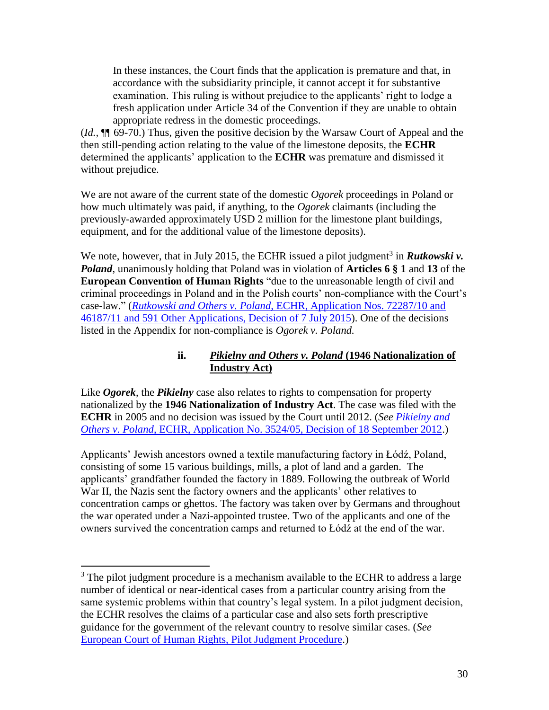In these instances, the Court finds that the application is premature and that, in accordance with the subsidiarity principle, it cannot accept it for substantive examination. This ruling is without prejudice to the applicants' right to lodge a fresh application under Article 34 of the Convention if they are unable to obtain appropriate redress in the domestic proceedings.

(*Id.,* ¶¶ 69-70.) Thus, given the positive decision by the Warsaw Court of Appeal and the then still-pending action relating to the value of the limestone deposits, the **ECHR** determined the applicants' application to the **ECHR** was premature and dismissed it without prejudice.

We are not aware of the current state of the domestic *Ogorek* proceedings in Poland or how much ultimately was paid, if anything, to the *Ogorek* claimants (including the previously-awarded approximately USD 2 million for the limestone plant buildings, equipment, and for the additional value of the limestone deposits).

We note, however, that in July 2015, the ECHR issued a pilot judgment<sup>3</sup> in **Rutkowski v.** *Poland*, unanimously holding that Poland was in violation of **Articles 6 § 1** and **13** of the **European Convention of Human Rights** "due to the unreasonable length of civil and criminal proceedings in Poland and in the Polish courts' non-compliance with the Court's case-law." (*Rutkowski and Others v. Poland,* [ECHR, Application Nos. 72287/10 and](http://hudoc.echr.coe.int/eng?i=001-155815)  [46187/11 and 591 Other Applications, Decision of 7 July 2015\)](http://hudoc.echr.coe.int/eng?i=001-155815). One of the decisions listed in the Appendix for non-compliance is *Ogorek v. Poland.* 

## **ii.** *Pikielny and Others v. Poland* **(1946 Nationalization of Industry Act)**

Like *Ogorek*, the *Pikielny* case also relates to rights to compensation for property nationalized by the **1946 Nationalization of Industry Act**. The case was filed with the **ECHR** in 2005 and no decision was issued by the Court until 2012. (*See [Pikielny and](http://hudoc.echr.coe.int/eng?i=001-113901)  Others v. Poland*[, ECHR, Application No. 3524/05, Decision of 18 September 2012.](http://hudoc.echr.coe.int/eng?i=001-113901))

Applicants' Jewish ancestors owned a textile manufacturing factory in Łódź, Poland, consisting of some 15 various buildings, mills, a plot of land and a garden. The applicants' grandfather founded the factory in 1889. Following the outbreak of World War II, the Nazis sent the factory owners and the applicants' other relatives to concentration camps or ghettos. The factory was taken over by Germans and throughout the war operated under a Nazi-appointed trustee. Two of the applicants and one of the owners survived the concentration camps and returned to Łódź at the end of the war.

 $\overline{a}$ 

 $3$  The pilot judgment procedure is a mechanism available to the ECHR to address a large number of identical or near-identical cases from a particular country arising from the same systemic problems within that country's legal system. In a pilot judgment decision, the ECHR resolves the claims of a particular case and also sets forth prescriptive guidance for the government of the relevant country to resolve similar cases. (*See*  [European Court of Human Rights, Pilot Judgment Procedure.](http://www.echr.coe.int/Documents/Pilot_judgment_procedure_ENG.pdf))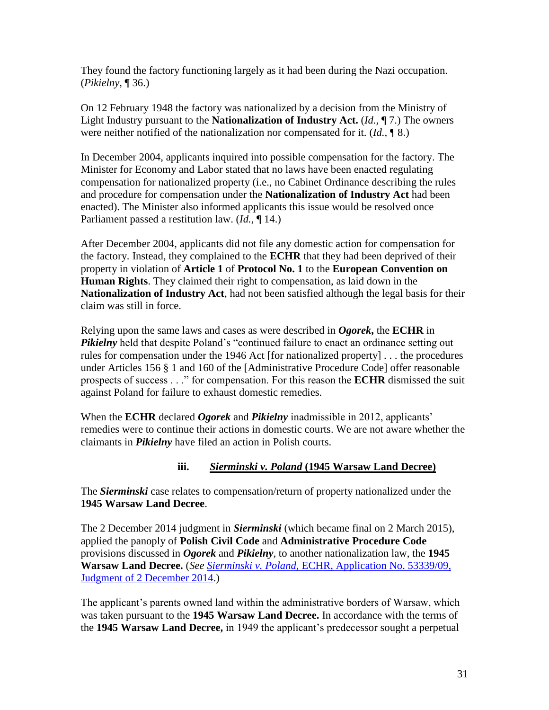They found the factory functioning largely as it had been during the Nazi occupation. (*Pikielny,* ¶ 36.)

On 12 February 1948 the factory was nationalized by a decision from the Ministry of Light Industry pursuant to the **Nationalization of Industry Act.** (*Id.,* ¶ 7.) The owners were neither notified of the nationalization nor compensated for it. (*Id.,* ¶ 8.)

In December 2004, applicants inquired into possible compensation for the factory. The Minister for Economy and Labor stated that no laws have been enacted regulating compensation for nationalized property (i.e., no Cabinet Ordinance describing the rules and procedure for compensation under the **Nationalization of Industry Act** had been enacted). The Minister also informed applicants this issue would be resolved once Parliament passed a restitution law. (*Id.,* ¶ 14.)

After December 2004, applicants did not file any domestic action for compensation for the factory. Instead, they complained to the **ECHR** that they had been deprived of their property in violation of **Article 1** of **Protocol No. 1** to the **European Convention on Human Rights**. They claimed their right to compensation, as laid down in the **Nationalization of Industry Act**, had not been satisfied although the legal basis for their claim was still in force.

Relying upon the same laws and cases as were described in *Ogorek***,** the **ECHR** in *Pikielny* held that despite Poland's "continued failure to enact an ordinance setting out rules for compensation under the 1946 Act [for nationalized property] . . . the procedures under Articles 156 § 1 and 160 of the [Administrative Procedure Code] offer reasonable prospects of success . . ." for compensation. For this reason the **ECHR** dismissed the suit against Poland for failure to exhaust domestic remedies.

When the **ECHR** declared *Ogorek* and *Pikielny* inadmissible in 2012, applicants' remedies were to continue their actions in domestic courts. We are not aware whether the claimants in *Pikielny* have filed an action in Polish courts.

## **iii.** *Sierminski v. Poland* **(1945 Warsaw Land Decree)**

The *Sierminski* case relates to compensation/return of property nationalized under the **1945 Warsaw Land Decree**.

The 2 December 2014 judgment in *Sierminski* (which became final on 2 March 2015), applied the panoply of **Polish Civil Code** and **Administrative Procedure Code** provisions discussed in *Ogorek* and *Pikielny*, to another nationalization law, the **1945 Warsaw Land Decree.** (*See Sierminski v. Poland,* [ECHR, Application No. 53339/09,](http://hudoc.echr.coe.int/eng?i=001-148272)  [Judgment of 2 December 2014.](http://hudoc.echr.coe.int/eng?i=001-148272))

The applicant's parents owned land within the administrative borders of Warsaw, which was taken pursuant to the **1945 Warsaw Land Decree.** In accordance with the terms of the **1945 Warsaw Land Decree,** in 1949 the applicant's predecessor sought a perpetual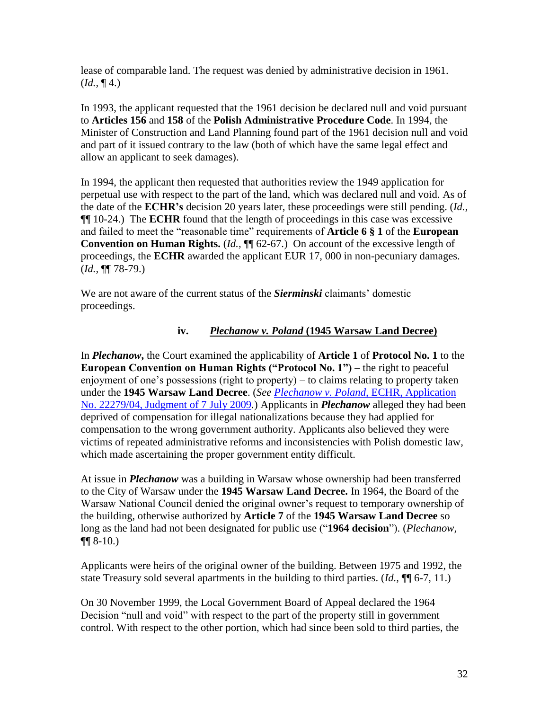lease of comparable land. The request was denied by administrative decision in 1961.  $(Id., \P 4.)$ 

In 1993, the applicant requested that the 1961 decision be declared null and void pursuant to **Articles 156** and **158** of the **Polish Administrative Procedure Code**. In 1994, the Minister of Construction and Land Planning found part of the 1961 decision null and void and part of it issued contrary to the law (both of which have the same legal effect and allow an applicant to seek damages).

In 1994, the applicant then requested that authorities review the 1949 application for perpetual use with respect to the part of the land, which was declared null and void. As of the date of the **ECHR's** decision 20 years later, these proceedings were still pending. (*Id.,*  ¶¶ 10-24.) The **ECHR** found that the length of proceedings in this case was excessive and failed to meet the "reasonable time" requirements of **Article 6 § 1** of the **European Convention on Human Rights.** (*Id.*,  $\P$   $\Box$  62-67.) On account of the excessive length of proceedings, the **ECHR** awarded the applicant EUR 17, 000 in non-pecuniary damages. (*Id.,* ¶¶ 78-79.)

We are not aware of the current status of the *Sierminski* claimants' domestic proceedings.

## **iv.** *Plechanow v. Poland* **(1945 Warsaw Land Decree)**

In *Plechanow***,** the Court examined the applicability of **Article 1** of **Protocol No. 1** to the **European Convention on Human Rights ("Protocol No. 1")** – the right to peaceful enjoyment of one's possessions (right to property) – to claims relating to property taken under the **1945 Warsaw Land Decree**. (*See [Plechanow v. Poland,](http://hudoc.echr.coe.int/eng?i=001-93302)* ECHR, Application [No. 22279/04, Judgment of 7 July 2009](http://hudoc.echr.coe.int/eng?i=001-93302)*.*) Applicants in *Plechanow* alleged they had been deprived of compensation for illegal nationalizations because they had applied for compensation to the wrong government authority. Applicants also believed they were victims of repeated administrative reforms and inconsistencies with Polish domestic law, which made ascertaining the proper government entity difficult.

At issue in *Plechanow* was a building in Warsaw whose ownership had been transferred to the City of Warsaw under the **1945 Warsaw Land Decree.** In 1964, the Board of the Warsaw National Council denied the original owner's request to temporary ownership of the building, otherwise authorized by **Article 7** of the **1945 Warsaw Land Decree** so long as the land had not been designated for public use ("**1964 decision**"). (*Plechanow,*   $\P\P$  8-10.)

Applicants were heirs of the original owner of the building. Between 1975 and 1992, the state Treasury sold several apartments in the building to third parties. (*Id.,* ¶¶ 6-7, 11.)

On 30 November 1999, the Local Government Board of Appeal declared the 1964 Decision "null and void" with respect to the part of the property still in government control. With respect to the other portion, which had since been sold to third parties, the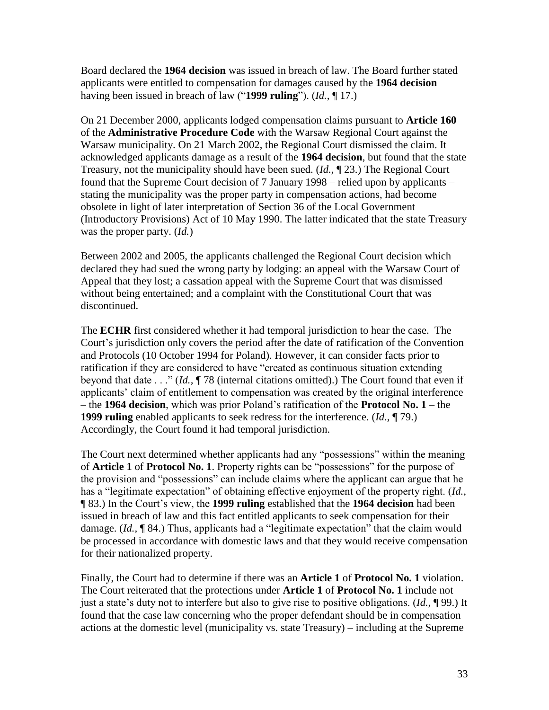Board declared the **1964 decision** was issued in breach of law. The Board further stated applicants were entitled to compensation for damages caused by the **1964 decision** having been issued in breach of law ("**1999 ruling**"). (*Id.,* ¶ 17.)

On 21 December 2000, applicants lodged compensation claims pursuant to **Article 160**  of the **Administrative Procedure Code** with the Warsaw Regional Court against the Warsaw municipality. On 21 March 2002, the Regional Court dismissed the claim. It acknowledged applicants damage as a result of the **1964 decision**, but found that the state Treasury, not the municipality should have been sued. (*Id.,* ¶ 23.) The Regional Court found that the Supreme Court decision of 7 January 1998 – relied upon by applicants – stating the municipality was the proper party in compensation actions, had become obsolete in light of later interpretation of Section 36 of the Local Government (Introductory Provisions) Act of 10 May 1990. The latter indicated that the state Treasury was the proper party. (*Id.*)

Between 2002 and 2005, the applicants challenged the Regional Court decision which declared they had sued the wrong party by lodging: an appeal with the Warsaw Court of Appeal that they lost; a cassation appeal with the Supreme Court that was dismissed without being entertained; and a complaint with the Constitutional Court that was discontinued.

The **ECHR** first considered whether it had temporal jurisdiction to hear the case. The Court's jurisdiction only covers the period after the date of ratification of the Convention and Protocols (10 October 1994 for Poland). However, it can consider facts prior to ratification if they are considered to have "created as continuous situation extending beyond that date . . ." (*Id.,* ¶ 78 (internal citations omitted).) The Court found that even if applicants' claim of entitlement to compensation was created by the original interference – the **1964 decision**, which was prior Poland's ratification of the **Protocol No. 1** – the **1999 ruling** enabled applicants to seek redress for the interference. (*Id.,* ¶ 79.) Accordingly, the Court found it had temporal jurisdiction.

The Court next determined whether applicants had any "possessions" within the meaning of **Article 1** of **Protocol No. 1**. Property rights can be "possessions" for the purpose of the provision and "possessions" can include claims where the applicant can argue that he has a "legitimate expectation" of obtaining effective enjoyment of the property right. (*Id.*, ¶ 83.) In the Court's view, the **1999 ruling** established that the **1964 decision** had been issued in breach of law and this fact entitled applicants to seek compensation for their damage. (*Id.*, **¶** 84.) Thus, applicants had a "legitimate expectation" that the claim would be processed in accordance with domestic laws and that they would receive compensation for their nationalized property.

Finally, the Court had to determine if there was an **Article 1** of **Protocol No. 1** violation. The Court reiterated that the protections under **Article 1** of **Protocol No. 1** include not just a state's duty not to interfere but also to give rise to positive obligations. (*Id.,* ¶ 99.) It found that the case law concerning who the proper defendant should be in compensation actions at the domestic level (municipality vs. state Treasury) – including at the Supreme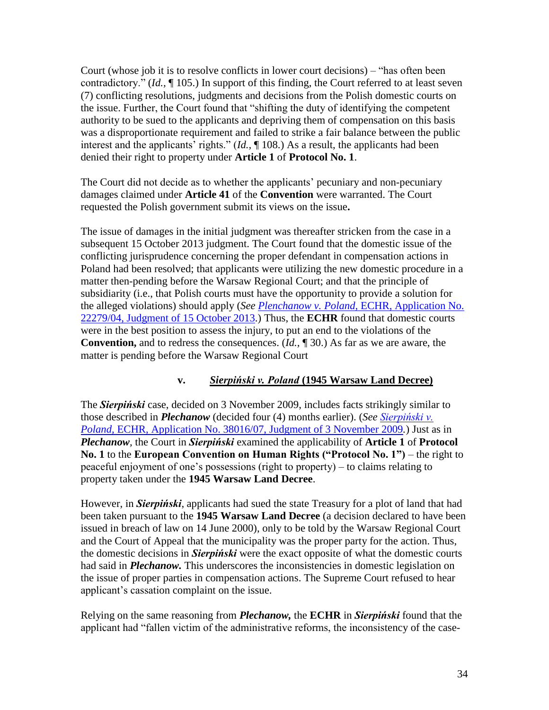Court (whose job it is to resolve conflicts in lower court decisions) – "has often been contradictory." (*Id.,* ¶ 105.) In support of this finding, the Court referred to at least seven (7) conflicting resolutions, judgments and decisions from the Polish domestic courts on the issue. Further, the Court found that "shifting the duty of identifying the competent authority to be sued to the applicants and depriving them of compensation on this basis was a disproportionate requirement and failed to strike a fair balance between the public interest and the applicants' rights." (*Id.,* ¶ 108.) As a result, the applicants had been denied their right to property under **Article 1** of **Protocol No. 1**.

The Court did not decide as to whether the applicants' pecuniary and non-pecuniary damages claimed under **Article 41** of the **Convention** were warranted. The Court requested the Polish government submit its views on the issue**.** 

The issue of damages in the initial judgment was thereafter stricken from the case in a subsequent 15 October 2013 judgment. The Court found that the domestic issue of the conflicting jurisprudence concerning the proper defendant in compensation actions in Poland had been resolved; that applicants were utilizing the new domestic procedure in a matter then-pending before the Warsaw Regional Court; and that the principle of subsidiarity (i.e., that Polish courts must have the opportunity to provide a solution for the alleged violations) should apply (*See Plenchanow v. Poland,* [ECHR, Application No.](http://hudoc.echr.coe.int/eng?i=001-126971)  [22279/04, Judgment of 15 October 2013.](http://hudoc.echr.coe.int/eng?i=001-126971)) Thus, the **ECHR** found that domestic courts were in the best position to assess the injury, to put an end to the violations of the **Convention,** and to redress the consequences. (*Id.,* ¶ 30.) As far as we are aware, the matter is pending before the Warsaw Regional Court

## **v.** *Sierpiński v. Poland* **(1945 Warsaw Land Decree)**

The *Sierpiński* case, decided on 3 November 2009, includes facts strikingly similar to those described in *Plechanow* (decided four (4) months earlier). (*See [Sierpiński v.](http://hudoc.echr.coe.int/eng?i=001-95590)  Poland,* [ECHR, Application No. 38016/07, Judgment of 3 November 2009](http://hudoc.echr.coe.int/eng?i=001-95590)*.*) Just as in *Plechanow,* the Court in *Sierpiński* examined the applicability of **Article 1** of **Protocol No. 1** to the **European Convention on Human Rights ("Protocol No. 1")** – the right to peaceful enjoyment of one's possessions (right to property) – to claims relating to property taken under the **1945 Warsaw Land Decree**.

However, in *Sierpiński*, applicants had sued the state Treasury for a plot of land that had been taken pursuant to the **1945 Warsaw Land Decree** (a decision declared to have been issued in breach of law on 14 June 2000), only to be told by the Warsaw Regional Court and the Court of Appeal that the municipality was the proper party for the action. Thus, the domestic decisions in *Sierpiński* were the exact opposite of what the domestic courts had said in *Plechanow.* This underscores the inconsistencies in domestic legislation on the issue of proper parties in compensation actions. The Supreme Court refused to hear applicant's cassation complaint on the issue.

Relying on the same reasoning from *Plechanow,* the **ECHR** in *Sierpiński* found that the applicant had "fallen victim of the administrative reforms, the inconsistency of the case-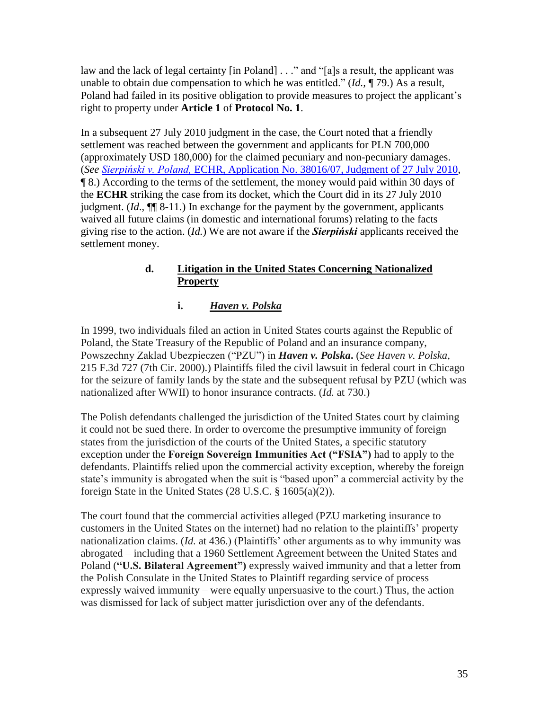law and the lack of legal certainty [in Poland] . . ." and "[a]s a result, the applicant was unable to obtain due compensation to which he was entitled." (*Id.,* ¶ 79.) As a result, Poland had failed in its positive obligation to provide measures to project the applicant's right to property under **Article 1** of **Protocol No. 1**.

In a subsequent 27 July 2010 judgment in the case, the Court noted that a friendly settlement was reached between the government and applicants for PLN 700,000 (approximately USD 180,000) for the claimed pecuniary and non-pecuniary damages. (*See Sierpiński v. Poland,* [ECHR, Application No. 38016/07, Judgment of 27 July 2010,](http://hudoc.echr.coe.int/eng?i=001-100178) ¶ 8.) According to the terms of the settlement, the money would paid within 30 days of the **ECHR** striking the case from its docket, which the Court did in its 27 July 2010 judgment. (*Id*., ¶¶ 8-11.) In exchange for the payment by the government, applicants waived all future claims (in domestic and international forums) relating to the facts giving rise to the action. (*Id.*) We are not aware if the *Sierpiński* applicants received the settlement money.

## **d. Litigation in the United States Concerning Nationalized Property**

# **i.** *Haven v. Polska*

In 1999, two individuals filed an action in United States courts against the Republic of Poland, the State Treasury of the Republic of Poland and an insurance company, Powszechny Zaklad Ubezpieczen ("PZU") in *Haven v. Polska***.** (*See Haven v. Polska,*  215 F.3d 727 (7th Cir. 2000).) Plaintiffs filed the civil lawsuit in federal court in Chicago for the seizure of family lands by the state and the subsequent refusal by PZU (which was nationalized after WWII) to honor insurance contracts. (*Id.* at 730.)

The Polish defendants challenged the jurisdiction of the United States court by claiming it could not be sued there. In order to overcome the presumptive immunity of foreign states from the jurisdiction of the courts of the United States, a specific statutory exception under the **Foreign Sovereign Immunities Act ("FSIA")** had to apply to the defendants. Plaintiffs relied upon the commercial activity exception, whereby the foreign state's immunity is abrogated when the suit is "based upon" a commercial activity by the foreign State in the United States (28 U.S.C. § 1605(a)(2)).

The court found that the commercial activities alleged (PZU marketing insurance to customers in the United States on the internet) had no relation to the plaintiffs' property nationalization claims. (*Id.* at 436.) (Plaintiffs' other arguments as to why immunity was abrogated – including that a 1960 Settlement Agreement between the United States and Poland (**"U.S. Bilateral Agreement")** expressly waived immunity and that a letter from the Polish Consulate in the United States to Plaintiff regarding service of process expressly waived immunity – were equally unpersuasive to the court.) Thus, the action was dismissed for lack of subject matter jurisdiction over any of the defendants.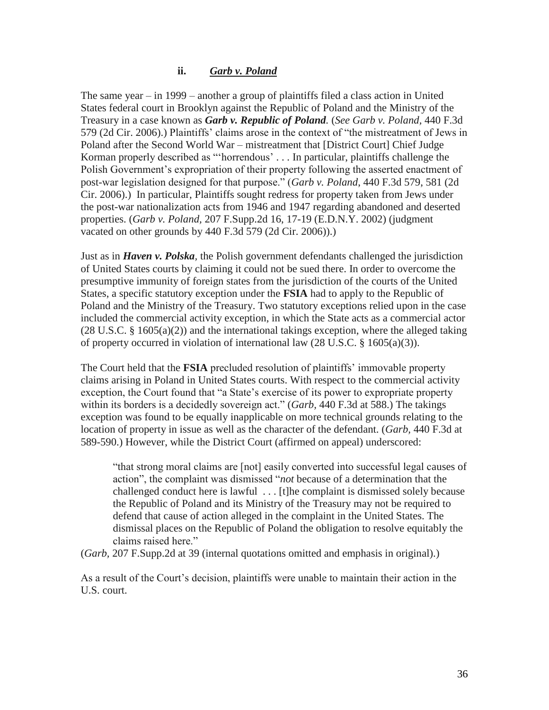#### **ii.** *Garb v. Poland*

The same year – in 1999 – another a group of plaintiffs filed a class action in United States federal court in Brooklyn against the Republic of Poland and the Ministry of the Treasury in a case known as *Garb v. Republic of Poland.* (*See Garb v. Poland,* 440 F.3d 579 (2d Cir. 2006).) Plaintiffs' claims arose in the context of "the mistreatment of Jews in Poland after the Second World War – mistreatment that [District Court] Chief Judge Korman properly described as "'horrendous' . . . In particular, plaintiffs challenge the Polish Government's expropriation of their property following the asserted enactment of post-war legislation designed for that purpose." (*Garb v. Poland*, 440 F.3d 579, 581 (2d Cir. 2006).) In particular, Plaintiffs sought redress for property taken from Jews under the post-war nationalization acts from 1946 and 1947 regarding abandoned and deserted properties. (*Garb v. Poland,* 207 F.Supp.2d 16, 17-19 (E.D.N.Y. 2002) (judgment vacated on other grounds by 440 F.3d 579 (2d Cir. 2006)).)

Just as in *Haven v. Polska,* the Polish government defendants challenged the jurisdiction of United States courts by claiming it could not be sued there. In order to overcome the presumptive immunity of foreign states from the jurisdiction of the courts of the United States, a specific statutory exception under the **FSIA** had to apply to the Republic of Poland and the Ministry of the Treasury. Two statutory exceptions relied upon in the case included the commercial activity exception, in which the State acts as a commercial actor (28 U.S.C. § 1605(a)(2)) and the international takings exception, where the alleged taking of property occurred in violation of international law  $(28 \text{ U.S.C. } § 1605(a)(3))$ .

The Court held that the **FSIA** precluded resolution of plaintiffs' immovable property claims arising in Poland in United States courts. With respect to the commercial activity exception, the Court found that "a State's exercise of its power to expropriate property within its borders is a decidedly sovereign act." (*Garb,* 440 F.3d at 588.) The takings exception was found to be equally inapplicable on more technical grounds relating to the location of property in issue as well as the character of the defendant. (*Garb,* 440 F.3d at 589-590.) However, while the District Court (affirmed on appeal) underscored:

"that strong moral claims are [not] easily converted into successful legal causes of action", the complaint was dismissed "*not* because of a determination that the challenged conduct here is lawful . . . [t]he complaint is dismissed solely because the Republic of Poland and its Ministry of the Treasury may not be required to defend that cause of action alleged in the complaint in the United States. The dismissal places on the Republic of Poland the obligation to resolve equitably the claims raised here."

(*Garb,* 207 F.Supp.2d at 39 (internal quotations omitted and emphasis in original).)

As a result of the Court's decision, plaintiffs were unable to maintain their action in the U.S. court.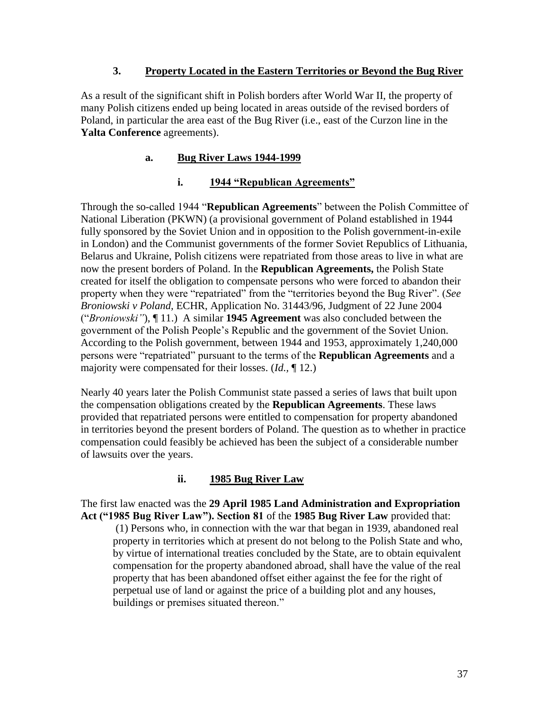## **3. Property Located in the Eastern Territories or Beyond the Bug River**

As a result of the significant shift in Polish borders after World War II, the property of many Polish citizens ended up being located in areas outside of the revised borders of Poland, in particular the area east of the Bug River (i.e., east of the Curzon line in the **Yalta Conference** agreements).

## **a. Bug River Laws 1944-1999**

## **i. 1944 "Republican Agreements"**

Through the so-called 1944 "**Republican Agreements**" between the Polish Committee of National Liberation (PKWN) (a provisional government of Poland established in 1944 fully sponsored by the Soviet Union and in opposition to the Polish government-in-exile in London) and the Communist governments of the former Soviet Republics of Lithuania, Belarus and Ukraine, Polish citizens were repatriated from those areas to live in what are now the present borders of Poland. In the **Republican Agreements,** the Polish State created for itself the obligation to compensate persons who were forced to abandon their property when they were "repatriated" from the "territories beyond the Bug River". (*See Broniowski v Poland,* ECHR, Application No. 31443/96, Judgment of 22 June 2004 ("*Broniowski"*), ¶ 11.) A similar **1945 Agreement** was also concluded between the government of the Polish People's Republic and the government of the Soviet Union. According to the Polish government, between 1944 and 1953, approximately 1,240,000 persons were "repatriated" pursuant to the terms of the **Republican Agreements** and a majority were compensated for their losses. (*Id.,* ¶ 12.)

Nearly 40 years later the Polish Communist state passed a series of laws that built upon the compensation obligations created by the **Republican Agreements**. These laws provided that repatriated persons were entitled to compensation for property abandoned in territories beyond the present borders of Poland. The question as to whether in practice compensation could feasibly be achieved has been the subject of a considerable number of lawsuits over the years.

## **ii. 1985 Bug River Law**

The first law enacted was the **29 April 1985 Land Administration and Expropriation Act ("1985 Bug River Law"). Section 81** of the **1985 Bug River Law** provided that:

(1) Persons who, in connection with the war that began in 1939, abandoned real property in territories which at present do not belong to the Polish State and who, by virtue of international treaties concluded by the State, are to obtain equivalent compensation for the property abandoned abroad, shall have the value of the real property that has been abandoned offset either against the fee for the right of perpetual use of land or against the price of a building plot and any houses, buildings or premises situated thereon."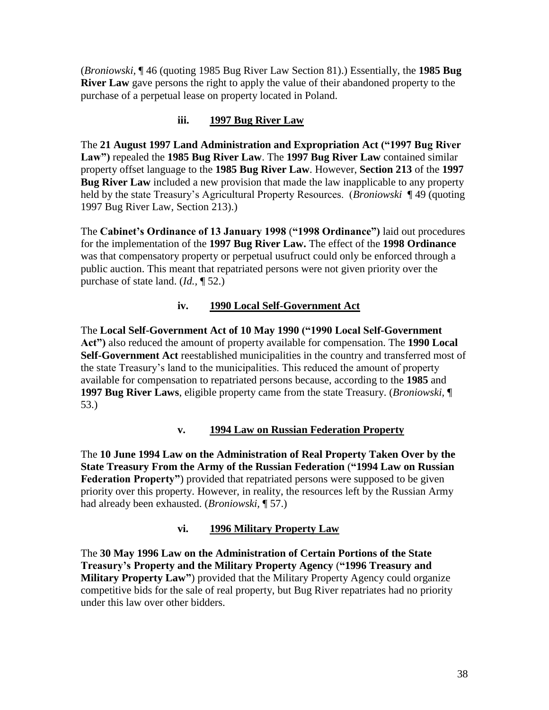(*Broniowski,* ¶ 46 (quoting 1985 Bug River Law Section 81).) Essentially, the **1985 Bug River Law** gave persons the right to apply the value of their abandoned property to the purchase of a perpetual lease on property located in Poland.

## **iii. 1997 Bug River Law**

The **21 August 1997 Land Administration and Expropriation Act ("1997 Bug River Law")** repealed the **1985 Bug River Law**. The **1997 Bug River Law** contained similar property offset language to the **1985 Bug River Law**. However, **Section 213** of the **1997 Bug River Law** included a new provision that made the law inapplicable to any property held by the state Treasury's Agricultural Property Resources. (*Broniowski* ¶ 49 (quoting 1997 Bug River Law, Section 213).)

The **Cabinet's Ordinance of 13 January 1998** (**"1998 Ordinance")** laid out procedures for the implementation of the **1997 Bug River Law.** The effect of the **1998 Ordinance**  was that compensatory property or perpetual usufruct could only be enforced through a public auction. This meant that repatriated persons were not given priority over the purchase of state land. (*Id.,* ¶ 52.)

## **iv. 1990 Local Self-Government Act**

The **Local Self-Government Act of 10 May 1990 ("1990 Local Self-Government Act")** also reduced the amount of property available for compensation. The **1990 Local Self-Government Act** reestablished municipalities in the country and transferred most of the state Treasury's land to the municipalities. This reduced the amount of property available for compensation to repatriated persons because, according to the **1985** and **1997 Bug River Laws**, eligible property came from the state Treasury. (*Broniowski,* ¶ 53.)

## **v. 1994 Law on Russian Federation Property**

The **10 June 1994 Law on the Administration of Real Property Taken Over by the State Treasury From the Army of the Russian Federation** (**"1994 Law on Russian Federation Property"**) provided that repatriated persons were supposed to be given priority over this property. However, in reality, the resources left by the Russian Army had already been exhausted. (*Broniowski,* ¶ 57.)

## **vi. 1996 Military Property Law**

The **30 May 1996 Law on the Administration of Certain Portions of the State Treasury's Property and the Military Property Agency** (**"1996 Treasury and Military Property Law"**) provided that the Military Property Agency could organize competitive bids for the sale of real property, but Bug River repatriates had no priority under this law over other bidders.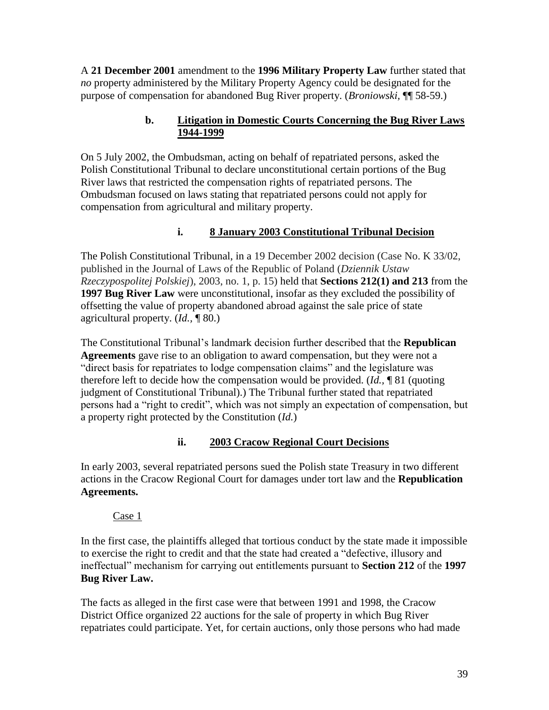A **21 December 2001** amendment to the **1996 Military Property Law** further stated that *no* property administered by the Military Property Agency could be designated for the purpose of compensation for abandoned Bug River property. (*Broniowski,* ¶¶ 58-59.)

# **b. Litigation in Domestic Courts Concerning the Bug River Laws 1944-1999**

On 5 July 2002, the Ombudsman, acting on behalf of repatriated persons, asked the Polish Constitutional Tribunal to declare unconstitutional certain portions of the Bug River laws that restricted the compensation rights of repatriated persons. The Ombudsman focused on laws stating that repatriated persons could not apply for compensation from agricultural and military property.

# **i. 8 January 2003 Constitutional Tribunal Decision**

The Polish Constitutional Tribunal, in a 19 December 2002 decision (Case No. K 33/02, published in the Journal of Laws of the Republic of Poland (*Dziennik Ustaw Rzeczypospolitej Polskiej*), 2003, no. 1, p. 15) held that **Sections 212(1) and 213** from the **1997 Bug River Law** were unconstitutional, insofar as they excluded the possibility of offsetting the value of property abandoned abroad against the sale price of state agricultural property. (*Id.,* ¶ 80.)

The Constitutional Tribunal's landmark decision further described that the **Republican Agreements** gave rise to an obligation to award compensation, but they were not a "direct basis for repatriates to lodge compensation claims" and the legislature was therefore left to decide how the compensation would be provided. (*Id.,* ¶ 81 (quoting judgment of Constitutional Tribunal).) The Tribunal further stated that repatriated persons had a "right to credit", which was not simply an expectation of compensation, but a property right protected by the Constitution (*Id.*)

# **ii. 2003 Cracow Regional Court Decisions**

In early 2003, several repatriated persons sued the Polish state Treasury in two different actions in the Cracow Regional Court for damages under tort law and the **Republication Agreements.**

# $Case 1$

In the first case, the plaintiffs alleged that tortious conduct by the state made it impossible to exercise the right to credit and that the state had created a "defective, illusory and ineffectual" mechanism for carrying out entitlements pursuant to **Section 212** of the **1997 Bug River Law.**

The facts as alleged in the first case were that between 1991 and 1998, the Cracow District Office organized 22 auctions for the sale of property in which Bug River repatriates could participate. Yet, for certain auctions, only those persons who had made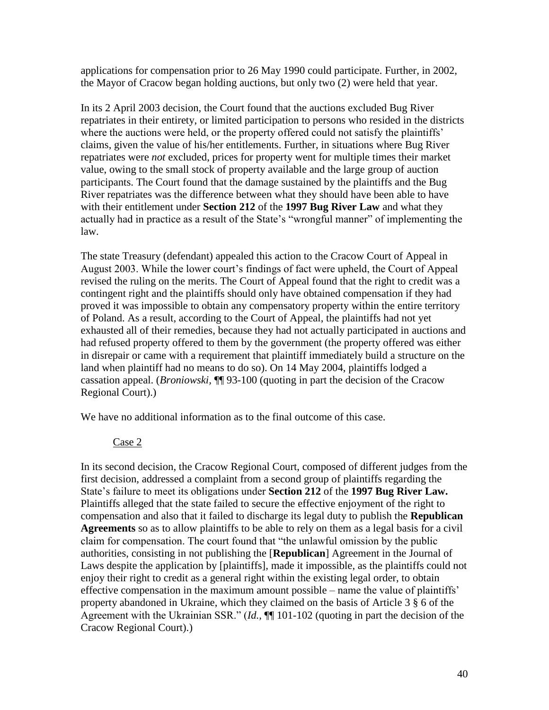applications for compensation prior to 26 May 1990 could participate. Further, in 2002, the Mayor of Cracow began holding auctions, but only two (2) were held that year.

In its 2 April 2003 decision, the Court found that the auctions excluded Bug River repatriates in their entirety, or limited participation to persons who resided in the districts where the auctions were held, or the property offered could not satisfy the plaintiffs' claims, given the value of his/her entitlements. Further, in situations where Bug River repatriates were *not* excluded, prices for property went for multiple times their market value, owing to the small stock of property available and the large group of auction participants. The Court found that the damage sustained by the plaintiffs and the Bug River repatriates was the difference between what they should have been able to have with their entitlement under **Section 212** of the **1997 Bug River Law** and what they actually had in practice as a result of the State's "wrongful manner" of implementing the law.

The state Treasury (defendant) appealed this action to the Cracow Court of Appeal in August 2003. While the lower court's findings of fact were upheld, the Court of Appeal revised the ruling on the merits. The Court of Appeal found that the right to credit was a contingent right and the plaintiffs should only have obtained compensation if they had proved it was impossible to obtain any compensatory property within the entire territory of Poland. As a result, according to the Court of Appeal, the plaintiffs had not yet exhausted all of their remedies, because they had not actually participated in auctions and had refused property offered to them by the government (the property offered was either in disrepair or came with a requirement that plaintiff immediately build a structure on the land when plaintiff had no means to do so). On 14 May 2004, plaintiffs lodged a cassation appeal. (*Broniowski,* ¶¶ 93-100 (quoting in part the decision of the Cracow Regional Court).)

We have no additional information as to the final outcome of this case.

## Case 2

In its second decision, the Cracow Regional Court, composed of different judges from the first decision, addressed a complaint from a second group of plaintiffs regarding the State's failure to meet its obligations under **Section 212** of the **1997 Bug River Law.** Plaintiffs alleged that the state failed to secure the effective enjoyment of the right to compensation and also that it failed to discharge its legal duty to publish the **Republican Agreements** so as to allow plaintiffs to be able to rely on them as a legal basis for a civil claim for compensation. The court found that "the unlawful omission by the public authorities, consisting in not publishing the [**Republican**] Agreement in the Journal of Laws despite the application by [plaintiffs], made it impossible, as the plaintiffs could not enjoy their right to credit as a general right within the existing legal order, to obtain effective compensation in the maximum amount possible – name the value of plaintiffs' property abandoned in Ukraine, which they claimed on the basis of Article 3 § 6 of the Agreement with the Ukrainian SSR." (*Id.,* ¶¶ 101-102 (quoting in part the decision of the Cracow Regional Court).)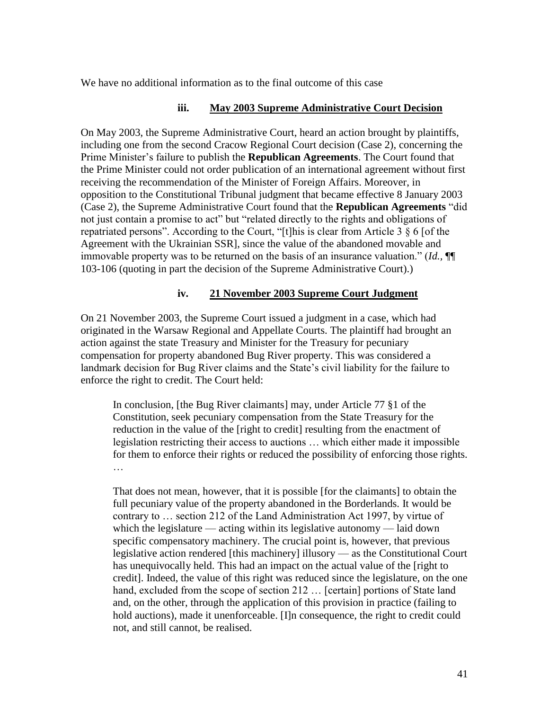We have no additional information as to the final outcome of this case

#### **iii. May 2003 Supreme Administrative Court Decision**

On May 2003, the Supreme Administrative Court, heard an action brought by plaintiffs, including one from the second Cracow Regional Court decision (Case 2), concerning the Prime Minister's failure to publish the **Republican Agreements**. The Court found that the Prime Minister could not order publication of an international agreement without first receiving the recommendation of the Minister of Foreign Affairs. Moreover, in opposition to the Constitutional Tribunal judgment that became effective 8 January 2003 (Case 2), the Supreme Administrative Court found that the **Republican Agreements** "did not just contain a promise to act" but "related directly to the rights and obligations of repatriated persons". According to the Court, "[t]his is clear from Article 3 § 6 [of the Agreement with the Ukrainian SSR], since the value of the abandoned movable and immovable property was to be returned on the basis of an insurance valuation." (*Id.,* ¶¶ 103-106 (quoting in part the decision of the Supreme Administrative Court).)

#### **iv. 21 November 2003 Supreme Court Judgment**

On 21 November 2003, the Supreme Court issued a judgment in a case, which had originated in the Warsaw Regional and Appellate Courts. The plaintiff had brought an action against the state Treasury and Minister for the Treasury for pecuniary compensation for property abandoned Bug River property. This was considered a landmark decision for Bug River claims and the State's civil liability for the failure to enforce the right to credit. The Court held:

In conclusion, [the Bug River claimants] may, under Article 77 §1 of the Constitution, seek pecuniary compensation from the State Treasury for the reduction in the value of the [right to credit] resulting from the enactment of legislation restricting their access to auctions … which either made it impossible for them to enforce their rights or reduced the possibility of enforcing those rights. …

That does not mean, however, that it is possible [for the claimants] to obtain the full pecuniary value of the property abandoned in the Borderlands. It would be contrary to … section 212 of the Land Administration Act 1997, by virtue of which the legislature — acting within its legislative autonomy — laid down specific compensatory machinery. The crucial point is, however, that previous legislative action rendered [this machinery] illusory — as the Constitutional Court has unequivocally held. This had an impact on the actual value of the [right to credit]. Indeed, the value of this right was reduced since the legislature, on the one hand, excluded from the scope of section 212 ... [certain] portions of State land and, on the other, through the application of this provision in practice (failing to hold auctions), made it unenforceable. [I]n consequence, the right to credit could not, and still cannot, be realised.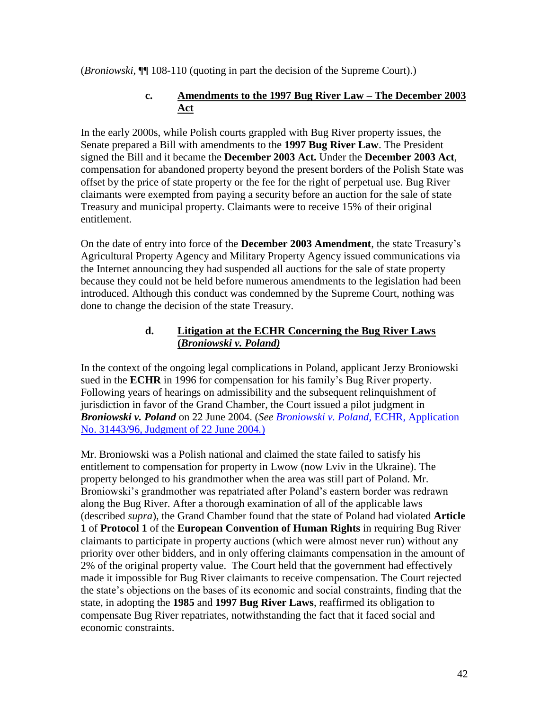(*Broniowski,* ¶¶ 108-110 (quoting in part the decision of the Supreme Court).)

#### **c. Amendments to the 1997 Bug River Law – The December 2003 Act**

In the early 2000s, while Polish courts grappled with Bug River property issues, the Senate prepared a Bill with amendments to the **1997 Bug River Law**. The President signed the Bill and it became the **December 2003 Act.** Under the **December 2003 Act**, compensation for abandoned property beyond the present borders of the Polish State was offset by the price of state property or the fee for the right of perpetual use. Bug River claimants were exempted from paying a security before an auction for the sale of state Treasury and municipal property. Claimants were to receive 15% of their original entitlement.

On the date of entry into force of the **December 2003 Amendment**, the state Treasury's Agricultural Property Agency and Military Property Agency issued communications via the Internet announcing they had suspended all auctions for the sale of state property because they could not be held before numerous amendments to the legislation had been introduced. Although this conduct was condemned by the Supreme Court, nothing was done to change the decision of the state Treasury.

## **d. Litigation at the ECHR Concerning the Bug River Laws (***Broniowski v. Poland)*

In the context of the ongoing legal complications in Poland, applicant Jerzy Broniowski sued in the **ECHR** in 1996 for compensation for his family's Bug River property. Following years of hearings on admissibility and the subsequent relinquishment of jurisdiction in favor of the Grand Chamber, the Court issued a pilot judgment in *Broniowski v. Poland* on 22 June 2004. (*See [Broniowski v. Poland,](http://hudoc.echr.coe.int/eng?i=001-61828)* ECHR, Application [No. 31443/96, Judgment of 22 June 2004](http://hudoc.echr.coe.int/eng?i=001-61828)*.*)

Mr. Broniowski was a Polish national and claimed the state failed to satisfy his entitlement to compensation for property in Lwow (now Lviv in the Ukraine). The property belonged to his grandmother when the area was still part of Poland. Mr. Broniowski's grandmother was repatriated after Poland's eastern border was redrawn along the Bug River. After a thorough examination of all of the applicable laws (described *supra*), the Grand Chamber found that the state of Poland had violated **Article 1** of **Protocol 1** of the **European Convention of Human Rights** in requiring Bug River claimants to participate in property auctions (which were almost never run) without any priority over other bidders, and in only offering claimants compensation in the amount of 2% of the original property value. The Court held that the government had effectively made it impossible for Bug River claimants to receive compensation. The Court rejected the state's objections on the bases of its economic and social constraints, finding that the state, in adopting the **1985** and **1997 Bug River Laws**, reaffirmed its obligation to compensate Bug River repatriates, notwithstanding the fact that it faced social and economic constraints.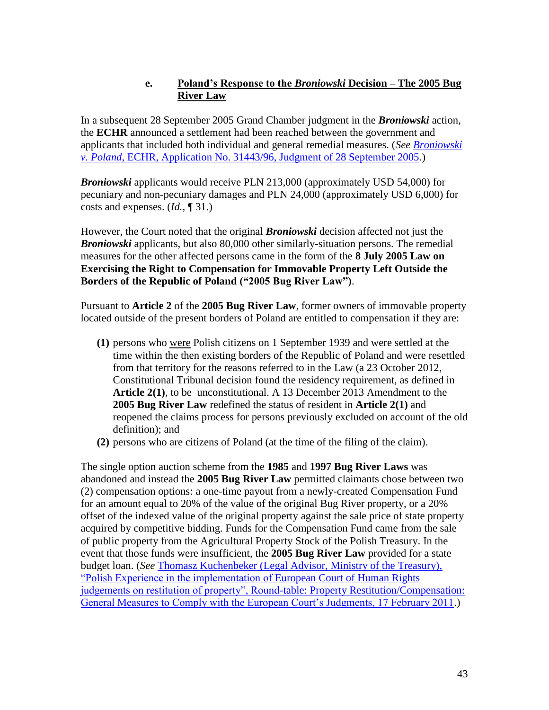## **e. Poland's Response to the** *Broniowski* **Decision – The 2005 Bug River Law**

In a subsequent 28 September 2005 Grand Chamber judgment in the *Broniowski* action, the **ECHR** announced a settlement had been reached between the government and applicants that included both individual and general remedial measures. (*See [Broniowski](http://hudoc.echr.coe.int/eng?i=001-70326)  v. Poland*[, ECHR, Application No. 31443/96, Judgment of 28 September 2005](http://hudoc.echr.coe.int/eng?i=001-70326)*.*)

*Broniowski* applicants would receive PLN 213,000 (approximately USD 54,000) for pecuniary and non-pecuniary damages and PLN 24,000 (approximately USD 6,000) for costs and expenses. (*Id.,* ¶ 31.)

However, the Court noted that the original *Broniowski* decision affected not just the *Broniowski* applicants, but also 80,000 other similarly-situation persons. The remedial measures for the other affected persons came in the form of the **8 July 2005 Law on Exercising the Right to Compensation for Immovable Property Left Outside the Borders of the Republic of Poland ("2005 Bug River Law")**.

Pursuant to **Article 2** of the **2005 Bug River Law**, former owners of immovable property located outside of the present borders of Poland are entitled to compensation if they are:

- **(1)** persons who were Polish citizens on 1 September 1939 and were settled at the time within the then existing borders of the Republic of Poland and were resettled from that territory for the reasons referred to in the Law (a 23 October 2012, Constitutional Tribunal decision found the residency requirement, as defined in **Article 2(1)**, to be unconstitutional. A 13 December 2013 Amendment to the **2005 Bug River Law** redefined the status of resident in **Article 2(1)** and reopened the claims process for persons previously excluded on account of the old definition); and
- **(2)** persons who are citizens of Poland (at the time of the filing of the claim).

The single option auction scheme from the **1985** and **1997 Bug River Laws** was abandoned and instead the **2005 Bug River Law** permitted claimants chose between two (2) compensation options: a one-time payout from a newly-created Compensation Fund for an amount equal to 20% of the value of the original Bug River property, or a 20% offset of the indexed value of the original property against the sale price of state property acquired by competitive bidding. Funds for the Compensation Fund came from the sale of public property from the Agricultural Property Stock of the Polish Treasury. In the event that those funds were insufficient, the **2005 Bug River Law** provided for a state budget loan. (*See* [Thomasz Kuchenbeker \(Legal Advisor, Ministry of the Treasury\),](http://www.coe.int/cs/web/execution/property-restitution/compensation-presentations)  ["Polish Experience in the implementation of European Court of Human Rights](http://www.coe.int/cs/web/execution/property-restitution/compensation-presentations)  [judgements on restitution of property", Round-table: Property Restitution/Compensation:](http://www.coe.int/cs/web/execution/property-restitution/compensation-presentations)  [General Measures to Comply with the European Court's Judgments, 17 February 2011.](http://www.coe.int/cs/web/execution/property-restitution/compensation-presentations))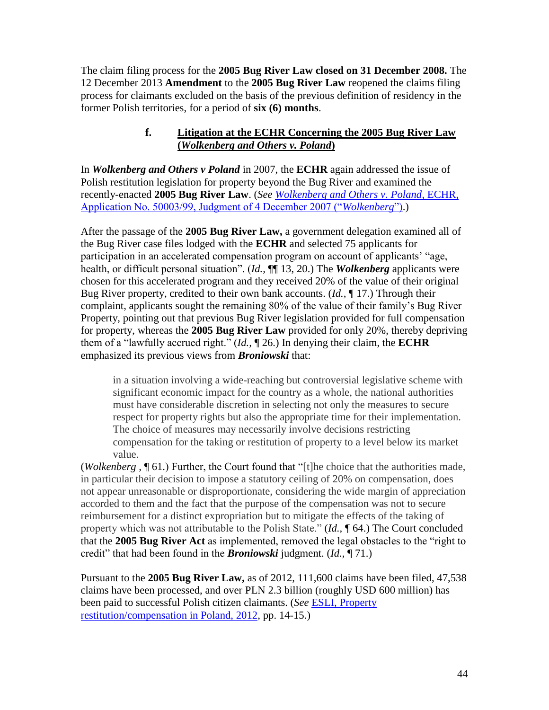The claim filing process for the **2005 Bug River Law closed on 31 December 2008.** The 12 December 2013 **Amendment** to the **2005 Bug River Law** reopened the claims filing process for claimants excluded on the basis of the previous definition of residency in the former Polish territories, for a period of **six (6) months**.

## **f. Litigation at the ECHR Concerning the 2005 Bug River Law (***Wolkenberg and Others v. Poland***)**

In *Wolkenberg and Others v Poland* in 2007, the **ECHR** again addressed the issue of Polish restitution legislation for property beyond the Bug River and examined the recently-enacted **2005 Bug River Law**. (*See [Wolkenberg and Others v. Poland](http://hudoc.echr.coe.int/eng?i=001-83935)*, ECHR, [Application No. 50003/99, Judgment of 4 December 2007 \("](http://hudoc.echr.coe.int/eng?i=001-83935)*Wolkenberg*").)

After the passage of the **2005 Bug River Law,** a government delegation examined all of the Bug River case files lodged with the **ECHR** and selected 75 applicants for participation in an accelerated compensation program on account of applicants' "age, health, or difficult personal situation". (*Id.,* ¶¶ 13, 20.) The *Wolkenberg* applicants were chosen for this accelerated program and they received 20% of the value of their original Bug River property, credited to their own bank accounts. (*Id.,* ¶ 17.) Through their complaint, applicants sought the remaining 80% of the value of their family's Bug River Property, pointing out that previous Bug River legislation provided for full compensation for property, whereas the **2005 Bug River Law** provided for only 20%, thereby depriving them of a "lawfully accrued right." (*Id.,* ¶ 26.) In denying their claim, the **ECHR** emphasized its previous views from *Broniowski* that:

in a situation involving a wide-reaching but controversial legislative scheme with significant economic impact for the country as a whole, the national authorities must have considerable discretion in selecting not only the measures to secure respect for property rights but also the appropriate time for their implementation. The choice of measures may necessarily involve decisions restricting compensation for the taking or restitution of property to a level below its market value.

(*Wolkenberg ,* ¶ 61.) Further, the Court found that "[t]he choice that the authorities made, in particular their decision to impose a statutory ceiling of 20% on compensation, does not appear unreasonable or disproportionate, considering the wide margin of appreciation accorded to them and the fact that the purpose of the compensation was not to secure reimbursement for a distinct expropriation but to mitigate the effects of the taking of property which was not attributable to the Polish State." (*Id.,* ¶ 64.) The Court concluded that the **2005 Bug River Act** as implemented, removed the legal obstacles to the "right to credit" that had been found in the *Broniowski* judgment. (*Id.,* ¶ 71.)

Pursuant to the **2005 Bug River Law,** as of 2012, 111,600 claims have been filed, 47,538 claims have been processed, and over PLN 2.3 billion (roughly USD 600 million) has been paid to successful Polish citizen claimants. (*See* [ESLI, Property](http://shoahlegacy.org/wp-content/uploads/2014/07/Property-restitution-in-Poland-for-Green-Paper_05112013.pdf)  [restitution/compensation in Poland, 2012,](http://shoahlegacy.org/wp-content/uploads/2014/07/Property-restitution-in-Poland-for-Green-Paper_05112013.pdf) pp. 14-15.)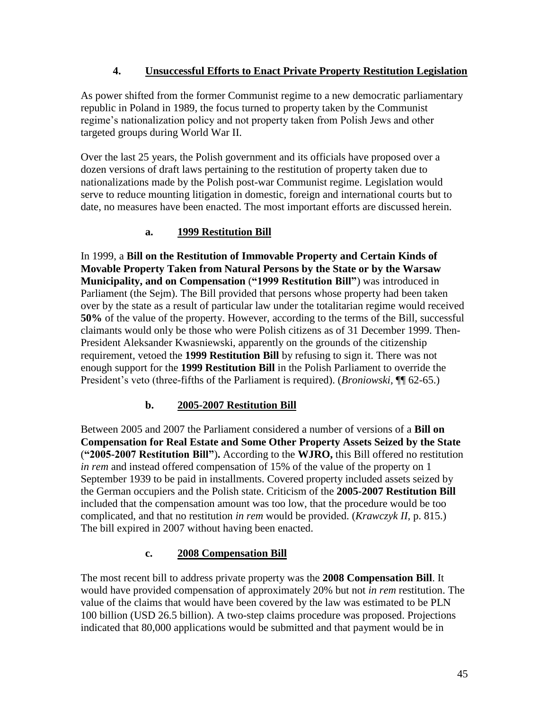## **4. Unsuccessful Efforts to Enact Private Property Restitution Legislation**

As power shifted from the former Communist regime to a new democratic parliamentary republic in Poland in 1989, the focus turned to property taken by the Communist regime's nationalization policy and not property taken from Polish Jews and other targeted groups during World War II.

Over the last 25 years, the Polish government and its officials have proposed over a dozen versions of draft laws pertaining to the restitution of property taken due to nationalizations made by the Polish post-war Communist regime. Legislation would serve to reduce mounting litigation in domestic, foreign and international courts but to date, no measures have been enacted. The most important efforts are discussed herein.

## **a. 1999 Restitution Bill**

In 1999, a **Bill on the Restitution of Immovable Property and Certain Kinds of Movable Property Taken from Natural Persons by the State or by the Warsaw Municipality, and on Compensation** (**"1999 Restitution Bill"**) was introduced in Parliament (the Sejm). The Bill provided that persons whose property had been taken over by the state as a result of particular law under the totalitarian regime would received **50%** of the value of the property. However, according to the terms of the Bill, successful claimants would only be those who were Polish citizens as of 31 December 1999. Then-President Aleksander Kwasniewski, apparently on the grounds of the citizenship requirement, vetoed the **1999 Restitution Bill** by refusing to sign it. There was not enough support for the **1999 Restitution Bill** in the Polish Parliament to override the President's veto (three-fifths of the Parliament is required). (*Broniowski*,  $\P$  62-65.)

# **b. 2005-2007 Restitution Bill**

Between 2005 and 2007 the Parliament considered a number of versions of a **Bill on Compensation for Real Estate and Some Other Property Assets Seized by the State**  (**"2005-2007 Restitution Bill"**)**.** According to the **WJRO,** this Bill offered no restitution *in rem* and instead offered compensation of 15% of the value of the property on 1 September 1939 to be paid in installments. Covered property included assets seized by the German occupiers and the Polish state. Criticism of the **2005-2007 Restitution Bill** included that the compensation amount was too low, that the procedure would be too complicated, and that no restitution *in rem* would be provided. (*Krawczyk II,* p. 815.) The bill expired in 2007 without having been enacted.

## **c. 2008 Compensation Bill**

The most recent bill to address private property was the **2008 Compensation Bill**. It would have provided compensation of approximately 20% but not *in rem* restitution. The value of the claims that would have been covered by the law was estimated to be PLN 100 billion (USD 26.5 billion). A two-step claims procedure was proposed. Projections indicated that 80,000 applications would be submitted and that payment would be in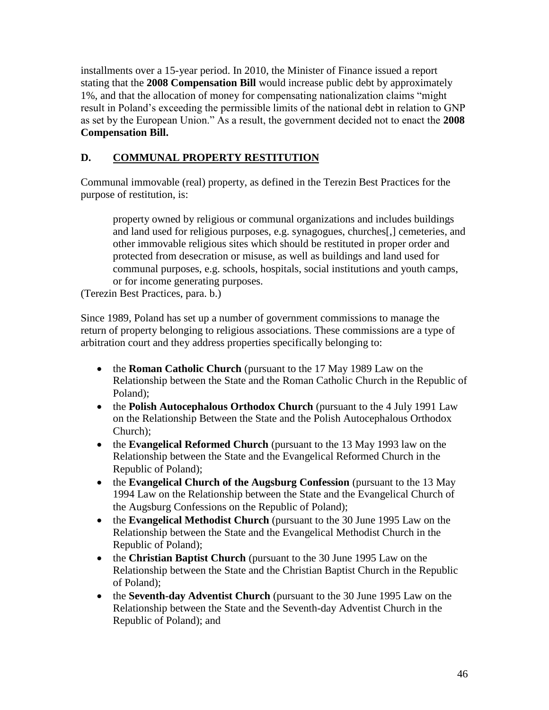installments over a 15-year period. In 2010, the Minister of Finance issued a report stating that the **2008 Compensation Bill** would increase public debt by approximately 1%, and that the allocation of money for compensating nationalization claims "might result in Poland's exceeding the permissible limits of the national debt in relation to GNP as set by the European Union." As a result, the government decided not to enact the **2008 Compensation Bill.**

# **D. COMMUNAL PROPERTY RESTITUTION**

Communal immovable (real) property, as defined in the Terezin Best Practices for the purpose of restitution, is:

property owned by religious or communal organizations and includes buildings and land used for religious purposes, e.g. synagogues, churches[,] cemeteries, and other immovable religious sites which should be restituted in proper order and protected from desecration or misuse, as well as buildings and land used for communal purposes, e.g. schools, hospitals, social institutions and youth camps, or for income generating purposes.

(Terezin Best Practices, para. b.)

Since 1989, Poland has set up a number of government commissions to manage the return of property belonging to religious associations. These commissions are a type of arbitration court and they address properties specifically belonging to:

- the **Roman Catholic Church** (pursuant to the 17 May 1989 Law on the Relationship between the State and the Roman Catholic Church in the Republic of Poland);
- the **Polish Autocephalous Orthodox Church** (pursuant to the 4 July 1991 Law on the Relationship Between the State and the Polish Autocephalous Orthodox Church);
- the **Evangelical Reformed Church** (pursuant to the 13 May 1993 law on the Relationship between the State and the Evangelical Reformed Church in the Republic of Poland);
- the **Evangelical Church of the Augsburg Confession** (pursuant to the 13 May 1994 Law on the Relationship between the State and the Evangelical Church of the Augsburg Confessions on the Republic of Poland);
- the **Evangelical Methodist Church** (pursuant to the 30 June 1995 Law on the Relationship between the State and the Evangelical Methodist Church in the Republic of Poland);
- the **Christian Baptist Church** (pursuant to the 30 June 1995 Law on the Relationship between the State and the Christian Baptist Church in the Republic of Poland);
- the **Seventh-day Adventist Church** (pursuant to the 30 June 1995 Law on the Relationship between the State and the Seventh-day Adventist Church in the Republic of Poland); and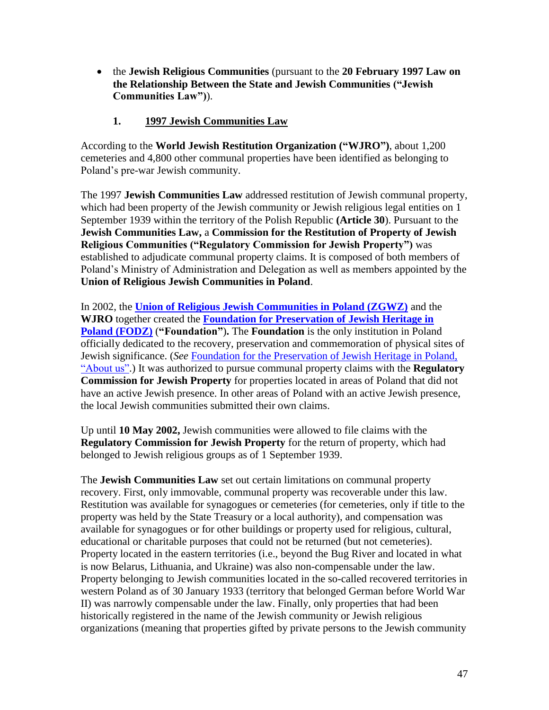• the **Jewish Religious Communities** (pursuant to the **20 February 1997 Law on the Relationship Between the State and Jewish Communities ("Jewish Communities Law")**).

## **1. 1997 Jewish Communities Law**

According to the **World Jewish Restitution Organization ("WJRO")**, about 1,200 cemeteries and 4,800 other communal properties have been identified as belonging to Poland's pre-war Jewish community.

The 1997 **Jewish Communities Law** addressed restitution of Jewish communal property, which had been property of the Jewish community or Jewish religious legal entities on 1 September 1939 within the territory of the Polish Republic **(Article 30**). Pursuant to the **Jewish Communities Law,** a **Commission for the Restitution of Property of Jewish Religious Communities ("Regulatory Commission for Jewish Property")** was established to adjudicate communal property claims. It is composed of both members of Poland's Ministry of Administration and Delegation as well as members appointed by the **Union of Religious Jewish Communities in Poland**.

In 2002, the **[Union of Religious Jewish Communities in Poland \(ZGWZ\)](http://www.jewish.org.pl/)** and the **WJRO** together created the **[Foundation for Preservation of Jewish Heritage in](http://fodz.pl/?d=3&l=en)  [Poland \(FODZ\)](http://fodz.pl/?d=3&l=en)** (**"Foundation"**)**.** The **Foundation** is the only institution in Poland officially dedicated to the recovery, preservation and commemoration of physical sites of Jewish significance. (*See* [Foundation for the Preservation of Jewish Heritage in Poland,](http://fodz.pl/?d=3&l=en)  ["About us".](http://fodz.pl/?d=3&l=en)) It was authorized to pursue communal property claims with the **Regulatory Commission for Jewish Property** for properties located in areas of Poland that did not have an active Jewish presence. In other areas of Poland with an active Jewish presence, the local Jewish communities submitted their own claims.

Up until **10 May 2002,** Jewish communities were allowed to file claims with the **Regulatory Commission for Jewish Property** for the return of property, which had belonged to Jewish religious groups as of 1 September 1939.

The **Jewish Communities Law** set out certain limitations on communal property recovery. First, only immovable, communal property was recoverable under this law. Restitution was available for synagogues or cemeteries (for cemeteries, only if title to the property was held by the State Treasury or a local authority), and compensation was available for synagogues or for other buildings or property used for religious, cultural, educational or charitable purposes that could not be returned (but not cemeteries). Property located in the eastern territories (i.e., beyond the Bug River and located in what is now Belarus, Lithuania, and Ukraine) was also non-compensable under the law. Property belonging to Jewish communities located in the so-called recovered territories in western Poland as of 30 January 1933 (territory that belonged German before World War II) was narrowly compensable under the law. Finally, only properties that had been historically registered in the name of the Jewish community or Jewish religious organizations (meaning that properties gifted by private persons to the Jewish community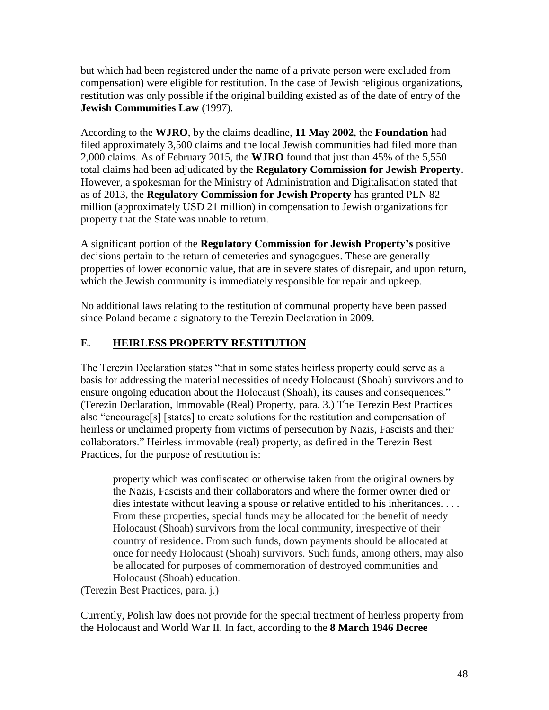but which had been registered under the name of a private person were excluded from compensation) were eligible for restitution. In the case of Jewish religious organizations, restitution was only possible if the original building existed as of the date of entry of the **Jewish Communities Law** (1997).

According to the **WJRO**, by the claims deadline, **11 May 2002**, the **Foundation** had filed approximately 3,500 claims and the local Jewish communities had filed more than 2,000 claims. As of February 2015, the **WJRO** found that just than 45% of the 5,550 total claims had been adjudicated by the **Regulatory Commission for Jewish Property**. However, a spokesman for the Ministry of Administration and Digitalisation stated that as of 2013, the **Regulatory Commission for Jewish Property** has granted PLN 82 million (approximately USD 21 million) in compensation to Jewish organizations for property that the State was unable to return.

A significant portion of the **Regulatory Commission for Jewish Property's** positive decisions pertain to the return of cemeteries and synagogues. These are generally properties of lower economic value, that are in severe states of disrepair, and upon return, which the Jewish community is immediately responsible for repair and upkeep.

No additional laws relating to the restitution of communal property have been passed since Poland became a signatory to the Terezin Declaration in 2009.

# **E. HEIRLESS PROPERTY RESTITUTION**

The Terezin Declaration states "that in some states heirless property could serve as a basis for addressing the material necessities of needy Holocaust (Shoah) survivors and to ensure ongoing education about the Holocaust (Shoah), its causes and consequences." (Terezin Declaration, Immovable (Real) Property, para. 3.) The Terezin Best Practices also "encourage[s] [states] to create solutions for the restitution and compensation of heirless or unclaimed property from victims of persecution by Nazis, Fascists and their collaborators." Heirless immovable (real) property, as defined in the Terezin Best Practices, for the purpose of restitution is:

property which was confiscated or otherwise taken from the original owners by the Nazis, Fascists and their collaborators and where the former owner died or dies intestate without leaving a spouse or relative entitled to his inheritances. . . . From these properties, special funds may be allocated for the benefit of needy Holocaust (Shoah) survivors from the local community, irrespective of their country of residence. From such funds, down payments should be allocated at once for needy Holocaust (Shoah) survivors. Such funds, among others, may also be allocated for purposes of commemoration of destroyed communities and Holocaust (Shoah) education.

(Terezin Best Practices, para. j.)

Currently, Polish law does not provide for the special treatment of heirless property from the Holocaust and World War II. In fact, according to the **8 March 1946 Decree**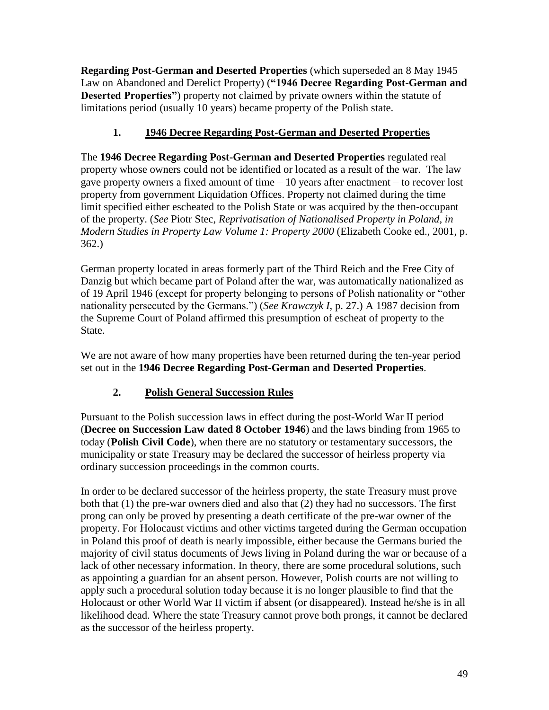**Regarding Post-German and Deserted Properties** (which superseded an 8 May 1945 Law on Abandoned and Derelict Property) (**"1946 Decree Regarding Post-German and Deserted Properties"**) property not claimed by private owners within the statute of limitations period (usually 10 years) became property of the Polish state.

# **1. 1946 Decree Regarding Post-German and Deserted Properties**

The **1946 Decree Regarding Post-German and Deserted Properties** regulated real property whose owners could not be identified or located as a result of the war.The law gave property owners a fixed amount of time – 10 years after enactment – to recover lost property from government Liquidation Offices. Property not claimed during the time limit specified either escheated to the Polish State or was acquired by the then-occupant of the property. (*See* Piotr Stec, *Reprivatisation of Nationalised Property in Poland, in Modern Studies in Property Law Volume 1: Property 2000* (Elizabeth Cooke ed., 2001, p. 362.)

German property located in areas formerly part of the Third Reich and the Free City of Danzig but which became part of Poland after the war, was automatically nationalized as of 19 April 1946 (except for property belonging to persons of Polish nationality or "other nationality persecuted by the Germans.") (*See Krawczyk I,* p. 27.) A 1987 decision from the Supreme Court of Poland affirmed this presumption of escheat of property to the State.

We are not aware of how many properties have been returned during the ten-year period set out in the **1946 Decree Regarding Post-German and Deserted Properties**.

# **2. Polish General Succession Rules**

Pursuant to the Polish succession laws in effect during the post-World War II period (**Decree on Succession Law dated 8 October 1946**) and the laws binding from 1965 to today (**Polish Civil Code**), when there are no statutory or testamentary successors, the municipality or state Treasury may be declared the successor of heirless property via ordinary succession proceedings in the common courts.

In order to be declared successor of the heirless property, the state Treasury must prove both that (1) the pre-war owners died and also that (2) they had no successors. The first prong can only be proved by presenting a death certificate of the pre-war owner of the property. For Holocaust victims and other victims targeted during the German occupation in Poland this proof of death is nearly impossible, either because the Germans buried the majority of civil status documents of Jews living in Poland during the war or because of a lack of other necessary information. In theory, there are some procedural solutions, such as appointing a guardian for an absent person. However, Polish courts are not willing to apply such a procedural solution today because it is no longer plausible to find that the Holocaust or other World War II victim if absent (or disappeared). Instead he/she is in all likelihood dead. Where the state Treasury cannot prove both prongs, it cannot be declared as the successor of the heirless property.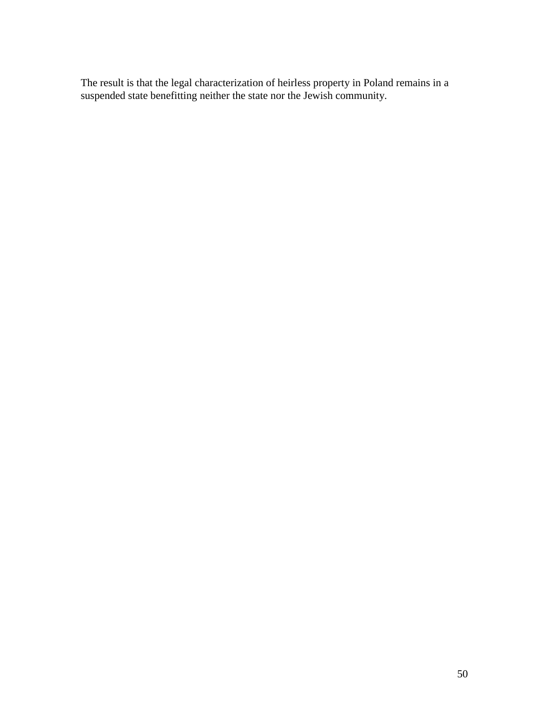The result is that the legal characterization of heirless property in Poland remains in a suspended state benefitting neither the state nor the Jewish community.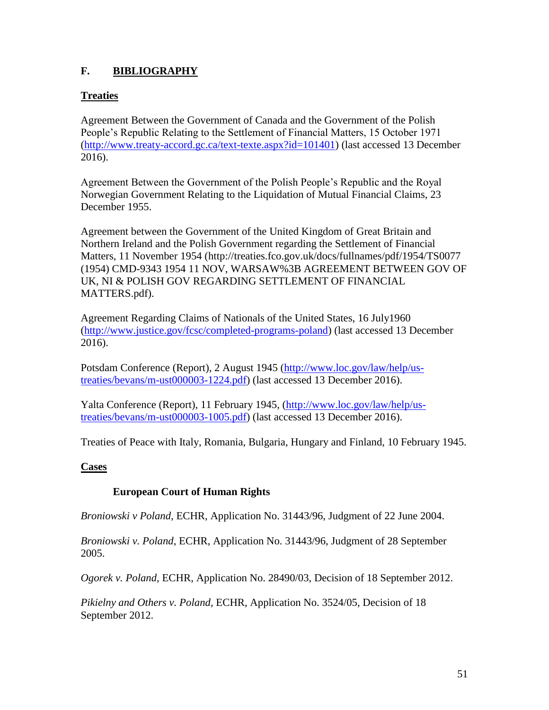# **F. BIBLIOGRAPHY**

# **Treaties**

Agreement Between the Government of Canada and the Government of the Polish People's Republic Relating to the Settlement of Financial Matters, 15 October 1971 [\(http://www.treaty-accord.gc.ca/text-texte.aspx?id=101401\)](http://www.treaty-accord.gc.ca/text-texte.aspx?id=101401) (last accessed 13 December 2016).

Agreement Between the Government of the Polish People's Republic and the Royal Norwegian Government Relating to the Liquidation of Mutual Financial Claims, 23 December 1955.

Agreement between the Government of the United Kingdom of Great Britain and Northern Ireland and the Polish Government regarding the Settlement of Financial Matters, 11 November 1954 (http://treaties.fco.gov.uk/docs/fullnames/pdf/1954/TS0077 (1954) CMD-9343 1954 11 NOV, WARSAW%3B AGREEMENT BETWEEN GOV OF UK, NI & POLISH GOV REGARDING SETTLEMENT OF FINANCIAL MATTERS.pdf).

Agreement Regarding Claims of Nationals of the United States, 16 July1960 [\(http://www.justice.gov/fcsc/completed-programs-poland\)](http://www.justice.gov/fcsc/completed-programs-poland) (last accessed 13 December 2016).

Potsdam Conference (Report), 2 August 1945 [\(http://www.loc.gov/law/help/us](http://www.loc.gov/law/help/us-treaties/bevans/m-ust000003-1224.pdf)[treaties/bevans/m-ust000003-1224.pdf\)](http://www.loc.gov/law/help/us-treaties/bevans/m-ust000003-1224.pdf) (last accessed 13 December 2016).

Yalta Conference (Report), 11 February 1945, [\(http://www.loc.gov/law/help/us](http://www.loc.gov/law/help/us-treaties/bevans/m-ust000003-1005.pdf)[treaties/bevans/m-ust000003-1005.pdf\)](http://www.loc.gov/law/help/us-treaties/bevans/m-ust000003-1005.pdf) (last accessed 13 December 2016).

Treaties of Peace with Italy, Romania, Bulgaria, Hungary and Finland, 10 February 1945.

# **Cases**

# **European Court of Human Rights**

*Broniowski v Poland,* ECHR, Application No. 31443/96, Judgment of 22 June 2004.

*Broniowski v. Poland*, ECHR, Application No. 31443/96, Judgment of 28 September 2005.

*Ogorek v. Poland*, ECHR, Application No. 28490/03, Decision of 18 September 2012.

*Pikielny and Others v. Poland*, ECHR, Application No. 3524/05, Decision of 18 September 2012.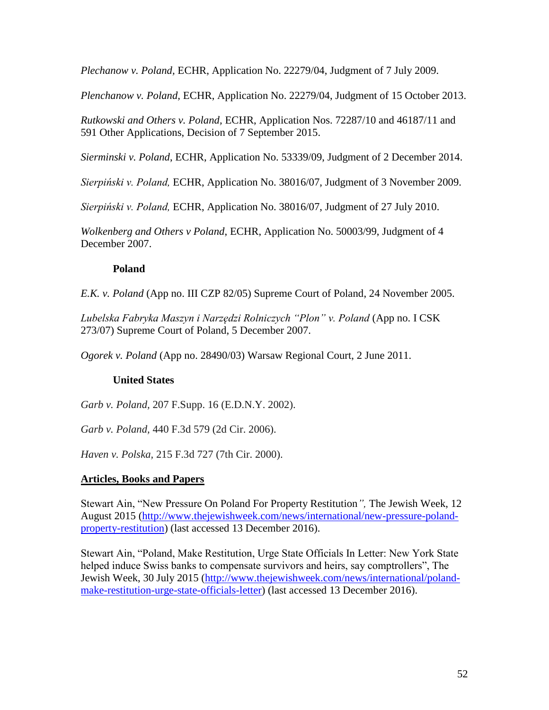*Plechanow v. Poland,* ECHR, Application No. 22279/04, Judgment of 7 July 2009.

*Plenchanow v. Poland,* ECHR, Application No. 22279/04, Judgment of 15 October 2013.

*Rutkowski and Others v. Poland,* ECHR, Application Nos. 72287/10 and 46187/11 and 591 Other Applications, Decision of 7 September 2015.

*Sierminski v. Poland*, ECHR, Application No. 53339/09, Judgment of 2 December 2014.

*Sierpiński v. Poland,* ECHR, Application No. 38016/07, Judgment of 3 November 2009.

*Sierpiński v. Poland,* ECHR, Application No. 38016/07, Judgment of 27 July 2010.

*Wolkenberg and Others v Poland*, ECHR, Application No. 50003/99, Judgment of 4 December 2007.

#### **Poland**

*E.K. v. Poland* (App no. III CZP 82/05) Supreme Court of Poland, 24 November 2005.

*Lubelska Fabryka Maszyn i Narzędzi Rolniczych "Plon" v. Poland* (App no. I CSK 273/07) Supreme Court of Poland, 5 December 2007.

*Ogorek v. Poland* (App no. 28490/03) Warsaw Regional Court, 2 June 2011.

## **United States**

*Garb v. Poland,* 207 F.Supp. 16 (E.D.N.Y. 2002).

*Garb v. Poland,* 440 F.3d 579 (2d Cir. 2006).

*Haven v. Polska,* 215 F.3d 727 (7th Cir. 2000).

## **Articles, Books and Papers**

Stewart Ain, "New Pressure On Poland For Property Restitution*",* The Jewish Week, 12 August 2015 [\(http://www.thejewishweek.com/news/international/new-pressure-poland](http://www.thejewishweek.com/news/international/new-pressure-poland-property-restitution)[property-restitution\)](http://www.thejewishweek.com/news/international/new-pressure-poland-property-restitution) (last accessed 13 December 2016).

Stewart Ain, "Poland, Make Restitution, Urge State Officials In Letter: New York State helped induce Swiss banks to compensate survivors and heirs, say comptrollers", The Jewish Week, 30 July 2015 [\(http://www.thejewishweek.com/news/international/poland](http://www.thejewishweek.com/news/international/poland-make-restitution-urge-state-officials-letter)[make-restitution-urge-state-officials-letter\)](http://www.thejewishweek.com/news/international/poland-make-restitution-urge-state-officials-letter) (last accessed 13 December 2016).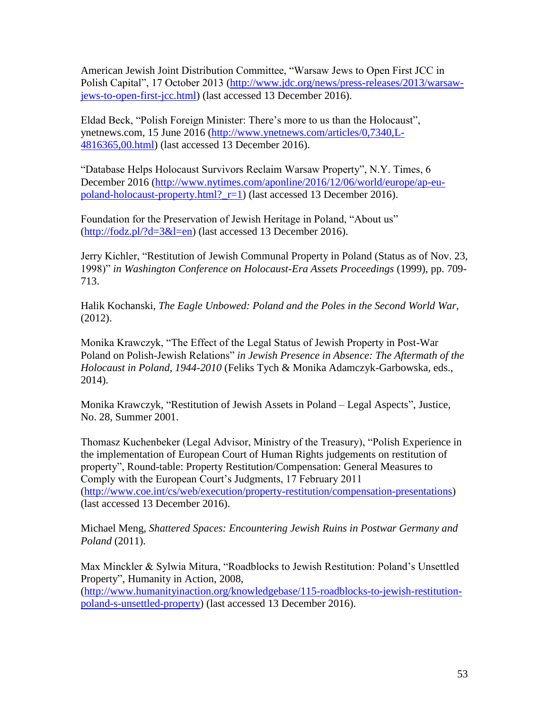American Jewish Joint Distribution Committee, "Warsaw Jews to Open First JCC in Polish Capital", 17 October 2013 [\(http://www.jdc.org/news/press-releases/2013/warsaw](http://www.jdc.org/news/press-releases/2013/warsaw-jews-to-open-first-jcc.html)[jews-to-open-first-jcc.html\)](http://www.jdc.org/news/press-releases/2013/warsaw-jews-to-open-first-jcc.html) (last accessed 13 December 2016).

Eldad Beck, "Polish Foreign Minister: There's more to us than the Holocaust", ynetnews.com, 15 June 2016 [\(http://www.ynetnews.com/articles/0,7340,L-](http://www.ynetnews.com/articles/0,7340,L-4816365,00.html)[4816365,00.html\)](http://www.ynetnews.com/articles/0,7340,L-4816365,00.html) (last accessed 13 December 2016).

"Database Helps Holocaust Survivors Reclaim Warsaw Property", N.Y. Times, 6 December 2016 [\(http://www.nytimes.com/aponline/2016/12/06/world/europe/ap-eu](http://www.nytimes.com/aponline/2016/12/06/world/europe/ap-eu-poland-holocaust-property.html?_r=1)poland-holocaust-property.html?  $r=1$ ) (last accessed 13 December 2016).

Foundation for the Preservation of Jewish Heritage in Poland, "About us"  $(\text{http://fodz.pl/~d=3&l=en})$  (last accessed 13 December 2016).

Jerry Kichler, "Restitution of Jewish Communal Property in Poland (Status as of Nov. 23, 1998)" *in Washington Conference on Holocaust-Era Assets Proceedings* (1999), pp. 709- 713.

Halik Kochanski, *The Eagle Unbowed: Poland and the Poles in the Second World War,*  (2012).

Monika Krawczyk, "The Effect of the Legal Status of Jewish Property in Post-War Poland on Polish-Jewish Relations" *in Jewish Presence in Absence: The Aftermath of the Holocaust in Poland, 1944-2010* (Feliks Tych & Monika Adamczyk-Garbowska, eds., 2014).

Monika Krawczyk, "Restitution of Jewish Assets in Poland – Legal Aspects", Justice, No. 28, Summer 2001.

Thomasz Kuchenbeker (Legal Advisor, Ministry of the Treasury), "Polish Experience in the implementation of European Court of Human Rights judgements on restitution of property", Round-table: Property Restitution/Compensation: General Measures to Comply with the European Court's Judgments, 17 February 2011 [\(http://www.coe.int/cs/web/execution/property-restitution/compensation-presentations\)](http://www.coe.int/cs/web/execution/property-restitution/compensation-presentations) (last accessed 13 December 2016).

Michael Meng, *Shattered Spaces: Encountering Jewish Ruins in Postwar Germany and Poland* (2011).

Max Minckler & Sylwia Mitura, "Roadblocks to Jewish Restitution: Poland's Unsettled Property", Humanity in Action, 2008, [\(http://www.humanityinaction.org/knowledgebase/115-roadblocks-to-jewish-restitution](http://www.humanityinaction.org/knowledgebase/115-roadblocks-to-jewish-restitution-poland-s-unsettled-property)[poland-s-unsettled-property\)](http://www.humanityinaction.org/knowledgebase/115-roadblocks-to-jewish-restitution-poland-s-unsettled-property) (last accessed 13 December 2016).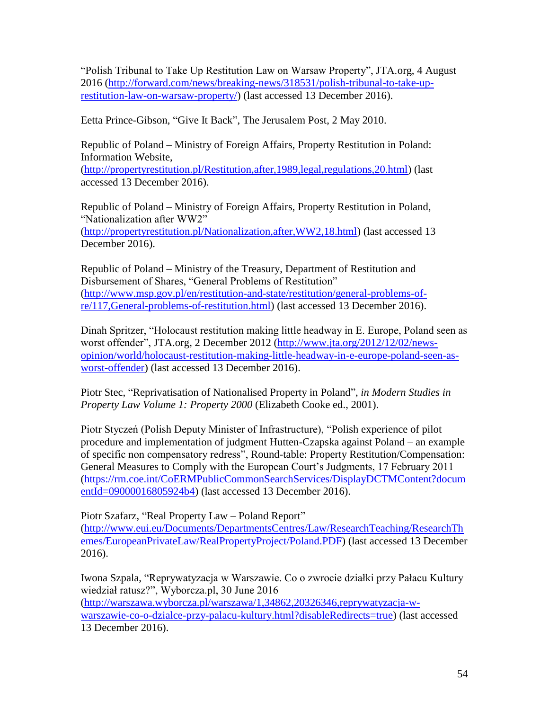"Polish Tribunal to Take Up Restitution Law on Warsaw Property", JTA.org, 4 August 2016 [\(http://forward.com/news/breaking-news/318531/polish-tribunal-to-take-up](http://forward.com/news/breaking-news/318531/polish-tribunal-to-take-up-restitution-law-on-warsaw-property/)[restitution-law-on-warsaw-property/\)](http://forward.com/news/breaking-news/318531/polish-tribunal-to-take-up-restitution-law-on-warsaw-property/) (last accessed 13 December 2016).

Eetta Prince-Gibson, "Give It Back", The Jerusalem Post, 2 May 2010.

Republic of Poland – Ministry of Foreign Affairs, Property Restitution in Poland: Information Website,

[\(http://propertyrestitution.pl/Restitution,after,1989,legal,regulations,20.html\)](http://propertyrestitution.pl/Restitution,after,1989,legal,regulations,20.html) (last accessed 13 December 2016).

Republic of Poland – Ministry of Foreign Affairs, Property Restitution in Poland, "Nationalization after WW2" [\(http://propertyrestitution.pl/Nationalization,after,WW2,18.html\)](http://propertyrestitution.pl/Nationalization,after,WW2,18.html) (last accessed 13 December 2016).

Republic of Poland – Ministry of the Treasury, Department of Restitution and Disbursement of Shares, "General Problems of Restitution" [\(http://www.msp.gov.pl/en/restitution-and-state/restitution/general-problems-of](http://www.msp.gov.pl/en/restitution-and-state/restitution/general-problems-of-re/117,General-problems-of-restitution.html)[re/117,General-problems-of-restitution.html\)](http://www.msp.gov.pl/en/restitution-and-state/restitution/general-problems-of-re/117,General-problems-of-restitution.html) (last accessed 13 December 2016).

Dinah Spritzer, "Holocaust restitution making little headway in E. Europe, Poland seen as worst offender", JTA.org*,* 2 December 2012 [\(http://www.jta.org/2012/12/02/news](http://www.jta.org/2012/12/02/news-opinion/world/holocaust-restitution-making-little-headway-in-e-europe-poland-seen-as-worst-offender)[opinion/world/holocaust-restitution-making-little-headway-in-e-europe-poland-seen-as](http://www.jta.org/2012/12/02/news-opinion/world/holocaust-restitution-making-little-headway-in-e-europe-poland-seen-as-worst-offender)[worst-offender\)](http://www.jta.org/2012/12/02/news-opinion/world/holocaust-restitution-making-little-headway-in-e-europe-poland-seen-as-worst-offender) (last accessed 13 December 2016).

Piotr Stec, "Reprivatisation of Nationalised Property in Poland", *in Modern Studies in Property Law Volume 1: Property 2000* (Elizabeth Cooke ed., 2001).

Piotr Styczeń (Polish Deputy Minister of Infrastructure), "Polish experience of pilot procedure and implementation of judgment Hutten-Czapska against Poland – an example of specific non compensatory redress", Round-table: Property Restitution/Compensation: General Measures to Comply with the European Court's Judgments, 17 February 2011 [\(https://rm.coe.int/CoERMPublicCommonSearchServices/DisplayDCTMContent?docum](https://rm.coe.int/CoERMPublicCommonSearchServices/DisplayDCTMContent?documentId=09000016805924b4) [entId=09000016805924b4\)](https://rm.coe.int/CoERMPublicCommonSearchServices/DisplayDCTMContent?documentId=09000016805924b4) (last accessed 13 December 2016).

Piotr Szafarz, "Real Property Law – Poland Report"

[\(http://www.eui.eu/Documents/DepartmentsCentres/Law/ResearchTeaching/ResearchTh](http://www.eui.eu/Documents/DepartmentsCentres/Law/ResearchTeaching/ResearchThemes/EuropeanPrivateLaw/RealPropertyProject/Poland.PDF) [emes/EuropeanPrivateLaw/RealPropertyProject/Poland.PDF\)](http://www.eui.eu/Documents/DepartmentsCentres/Law/ResearchTeaching/ResearchThemes/EuropeanPrivateLaw/RealPropertyProject/Poland.PDF) (last accessed 13 December 2016).

Iwona Szpala, "Reprywatyzacja w Warszawie. Co o zwrocie działki przy Pałacu Kultury wiedział ratusz?", Wyborcza.pl, 30 June 2016 [\(http://warszawa.wyborcza.pl/warszawa/1,34862,20326346,reprywatyzacja-w](http://warszawa.wyborcza.pl/warszawa/1,34862,20326346,reprywatyzacja-w-warszawie-co-o-dzialce-przy-palacu-kultury.html?disableRedirects=true)[warszawie-co-o-dzialce-przy-palacu-kultury.html?disableRedirects=true\)](http://warszawa.wyborcza.pl/warszawa/1,34862,20326346,reprywatyzacja-w-warszawie-co-o-dzialce-przy-palacu-kultury.html?disableRedirects=true) (last accessed 13 December 2016).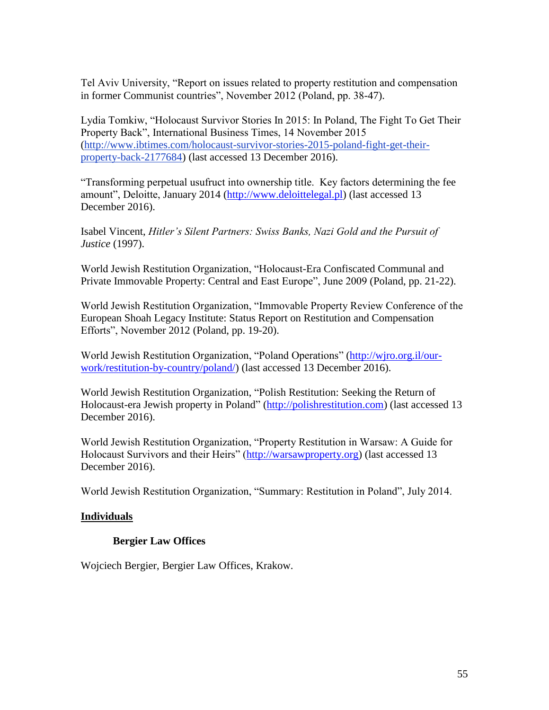Tel Aviv University, "Report on issues related to property restitution and compensation in former Communist countries", November 2012 (Poland, pp. 38-47).

Lydia Tomkiw, "Holocaust Survivor Stories In 2015: In Poland, The Fight To Get Their Property Back", International Business Times, 14 November 2015 [\(http://www.ibtimes.com/holocaust-survivor-stories-2015-poland-fight-get-their](http://www.ibtimes.com/holocaust-survivor-stories-2015-poland-fight-get-their-property-back-2177684)[property-back-2177684\)](http://www.ibtimes.com/holocaust-survivor-stories-2015-poland-fight-get-their-property-back-2177684) (last accessed 13 December 2016).

"Transforming perpetual usufruct into ownership title. Key factors determining the fee amount", Deloitte, January 2014 [\(http://www.deloittelegal.pl\)](http://www.deloittelegal.pl/) (last accessed 13 December 2016).

Isabel Vincent, *Hitler's Silent Partners: Swiss Banks, Nazi Gold and the Pursuit of Justice* (1997).

World Jewish Restitution Organization, "Holocaust-Era Confiscated Communal and Private Immovable Property: Central and East Europe", June 2009 (Poland, pp. 21-22).

World Jewish Restitution Organization, "Immovable Property Review Conference of the European Shoah Legacy Institute: Status Report on Restitution and Compensation Efforts", November 2012 (Poland, pp. 19-20).

World Jewish Restitution Organization, "Poland Operations" [\(http://wjro.org.il/our](http://wjro.org.il/our-work/restitution-by-country/poland/)[work/restitution-by-country/poland/\)](http://wjro.org.il/our-work/restitution-by-country/poland/) (last accessed 13 December 2016).

World Jewish Restitution Organization, "Polish Restitution: Seeking the Return of Holocaust-era Jewish property in Poland" [\(http://polishrestitution.com\)](http://polishrestitution.com/) (last accessed 13 December 2016).

World Jewish Restitution Organization, "Property Restitution in Warsaw: A Guide for Holocaust Survivors and their Heirs" [\(http://warsawproperty.org\)](http://warsawproperty.org/) (last accessed 13 December 2016).

World Jewish Restitution Organization, "Summary: Restitution in Poland", July 2014.

## **Individuals**

## **Bergier Law Offices**

Wojciech Bergier, Bergier Law Offices, Krakow.